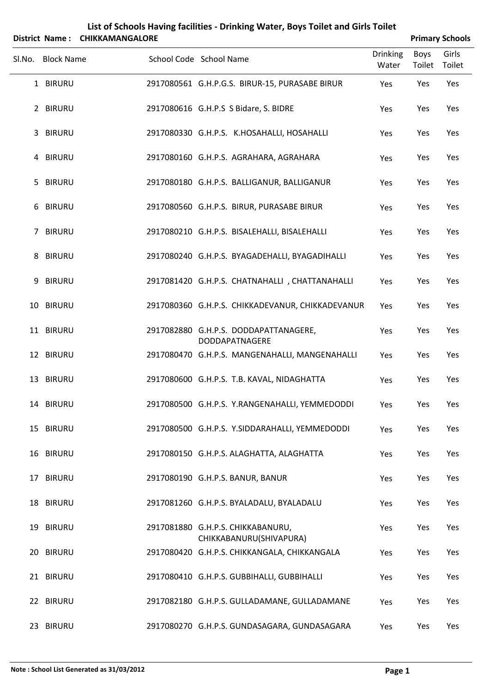|        |                   | District Name: CHIKKAMANGALORE |                                                                         |                          |                | <b>Primary Schools</b> |
|--------|-------------------|--------------------------------|-------------------------------------------------------------------------|--------------------------|----------------|------------------------|
| SI.No. | <b>Block Name</b> |                                | School Code School Name                                                 | <b>Drinking</b><br>Water | Boys<br>Toilet | Girls<br>Toilet        |
|        | 1 BIRURU          |                                | 2917080561 G.H.P.G.S. BIRUR-15, PURASABE BIRUR                          | Yes                      | Yes            | Yes                    |
|        | 2 BIRURU          |                                | 2917080616 G.H.P.S S Bidare, S. BIDRE                                   | Yes                      | Yes            | Yes                    |
|        | 3 BIRURU          |                                | 2917080330 G.H.P.S. K.HOSAHALLI, HOSAHALLI                              | Yes                      | Yes            | Yes                    |
|        | 4 BIRURU          |                                | 2917080160 G.H.P.S. AGRAHARA, AGRAHARA                                  | Yes                      | Yes            | Yes                    |
|        | 5 BIRURU          |                                | 2917080180 G.H.P.S. BALLIGANUR, BALLIGANUR                              | Yes                      | Yes            | Yes                    |
|        | 6 BIRURU          |                                | 2917080560 G.H.P.S. BIRUR, PURASABE BIRUR                               | Yes                      | Yes            | Yes                    |
|        | 7 BIRURU          |                                | 2917080210 G.H.P.S. BISALEHALLI, BISALEHALLI                            | Yes                      | Yes            | Yes                    |
|        | 8 BIRURU          |                                | 2917080240 G.H.P.S. BYAGADEHALLI, BYAGADIHALLI                          | Yes                      | Yes            | Yes                    |
| 9      | <b>BIRURU</b>     |                                | 2917081420 G.H.P.S. CHATNAHALLI, CHATTANAHALLI                          | Yes                      | Yes            | Yes                    |
|        | 10 BIRURU         |                                | 2917080360 G.H.P.S. CHIKKADEVANUR, CHIKKADEVANUR                        | Yes                      | Yes            | Yes                    |
|        | 11 BIRURU         |                                | 2917082880 G.H.P.S. DODDAPATTANAGERE,<br>DODDAPATNAGERE                 | Yes                      | Yes            | Yes                    |
|        | 12 BIRURU         |                                | 2917080470 G.H.P.S. MANGENAHALLI, MANGENAHALLI                          | Yes                      | Yes            | Yes                    |
|        | 13 BIRURU         |                                | 2917080600 G.H.P.S. T.B. KAVAL, NIDAGHATTA                              | Yes                      | Yes            | Yes                    |
|        | 14 BIRURU         |                                | 2917080500 G.H.P.S. Y.RANGENAHALLI, YEMMEDODDI                          | Yes                      | Yes            | Yes                    |
|        | 15 BIRURU         |                                | 2917080500 G.H.P.S. Y.SIDDARAHALLI, YEMMEDODDI                          | Yes                      | Yes            | Yes                    |
|        | 16 BIRURU         |                                | 2917080150 G.H.P.S. ALAGHATTA, ALAGHATTA                                | Yes                      | Yes            | Yes                    |
|        | 17 BIRURU         |                                | 2917080190 G.H.P.S. BANUR, BANUR                                        | Yes                      | Yes            | Yes                    |
|        | 18 BIRURU         |                                | 2917081260 G.H.P.S. BYALADALU, BYALADALU                                | Yes                      | Yes            | Yes                    |
|        | 19 BIRURU         |                                | 2917081880 G.H.P.S. CHIKKABANURU,                                       | Yes                      | Yes            | Yes                    |
|        | 20 BIRURU         |                                | CHIKKABANURU(SHIVAPURA)<br>2917080420 G.H.P.S. CHIKKANGALA, CHIKKANGALA | Yes                      | Yes            | Yes                    |
|        | 21 BIRURU         |                                | 2917080410 G.H.P.S. GUBBIHALLI, GUBBIHALLI                              | Yes                      | Yes            | Yes                    |
|        | 22 BIRURU         |                                | 2917082180 G.H.P.S. GULLADAMANE, GULLADAMANE                            | Yes                      | Yes            | Yes                    |
|        | 23 BIRURU         |                                | 2917080270 G.H.P.S. GUNDASAGARA, GUNDASAGARA                            | Yes                      | Yes            | Yes                    |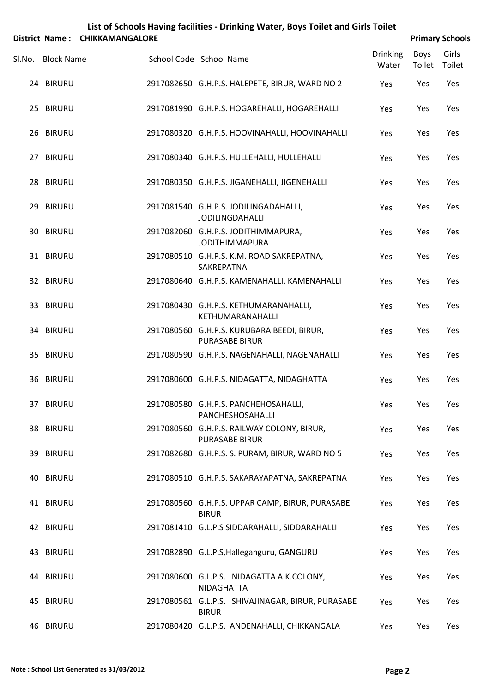|  | List of Schools Having facilities - Drinking Water, Boys Toilet and Girls Toilet |
|--|----------------------------------------------------------------------------------|
|  |                                                                                  |

|        | District Name: CHIKKAMANGALORE |                                                                     |                          |                | <b>Primary Schools</b> |
|--------|--------------------------------|---------------------------------------------------------------------|--------------------------|----------------|------------------------|
| Sl.No. | <b>Block Name</b>              | School Code School Name                                             | <b>Drinking</b><br>Water | Boys<br>Toilet | Girls<br>Toilet        |
|        | 24 BIRURU                      | 2917082650 G.H.P.S. HALEPETE, BIRUR, WARD NO 2                      | Yes                      | Yes            | Yes                    |
|        | 25 BIRURU                      | 2917081990 G.H.P.S. HOGAREHALLI, HOGAREHALLI                        | Yes                      | Yes            | Yes                    |
|        | 26 BIRURU                      | 2917080320 G.H.P.S. HOOVINAHALLI, HOOVINAHALLI                      | Yes                      | Yes            | Yes                    |
|        | 27 BIRURU                      | 2917080340 G.H.P.S. HULLEHALLI, HULLEHALLI                          | Yes                      | Yes            | Yes                    |
|        | 28 BIRURU                      | 2917080350 G.H.P.S. JIGANEHALLI, JIGENEHALLI                        | Yes                      | Yes            | Yes                    |
|        | 29 BIRURU                      | 2917081540 G.H.P.S. JODILINGADAHALLI,<br>JODILINGDAHALLI            | Yes                      | Yes            | Yes                    |
|        | 30 BIRURU                      | 2917082060 G.H.P.S. JODITHIMMAPURA,<br><b>JODITHIMMAPURA</b>        | Yes                      | Yes            | Yes                    |
|        | 31 BIRURU                      | 2917080510 G.H.P.S. K.M. ROAD SAKREPATNA,<br>SAKREPATNA             | Yes                      | Yes            | Yes                    |
|        | 32 BIRURU                      | 2917080640 G.H.P.S. KAMENAHALLI, KAMENAHALLI                        | Yes                      | Yes            | Yes                    |
|        | 33 BIRURU                      | 2917080430 G.H.P.S. KETHUMARANAHALLI,<br>KETHUMARANAHALLI           | Yes                      | Yes            | Yes                    |
|        | 34 BIRURU                      | 2917080560 G.H.P.S. KURUBARA BEEDI, BIRUR,<br><b>PURASABE BIRUR</b> | Yes                      | Yes            | Yes                    |
|        | 35 BIRURU                      | 2917080590 G.H.P.S. NAGENAHALLI, NAGENAHALLI                        | Yes                      | Yes            | Yes                    |
|        | 36 BIRURU                      | 2917080600 G.H.P.S. NIDAGATTA, NIDAGHATTA                           | Yes                      | Yes            | Yes                    |
|        | 37 BIRURU                      | 2917080580 G.H.P.S. PANCHEHOSAHALLI,<br>PANCHESHOSAHALLI            | Yes                      | Yes            | Yes                    |
|        | 38 BIRURU                      | 2917080560 G.H.P.S. RAILWAY COLONY, BIRUR,<br><b>PURASABE BIRUR</b> | Yes                      | Yes            | Yes                    |
|        | 39 BIRURU                      | 2917082680 G.H.P.S. S. PURAM, BIRUR, WARD NO 5                      | Yes                      | Yes            | Yes                    |
|        | 40 BIRURU                      | 2917080510 G.H.P.S. SAKARAYAPATNA, SAKREPATNA                       | Yes                      | Yes            | Yes                    |
|        | 41 BIRURU                      | 2917080560 G.H.P.S. UPPAR CAMP, BIRUR, PURASABE<br><b>BIRUR</b>     | Yes                      | Yes            | Yes                    |
|        | 42 BIRURU                      | 2917081410 G.L.P.S SIDDARAHALLI, SIDDARAHALLI                       | Yes                      | Yes            | Yes                    |
|        | 43 BIRURU                      | 2917082890 G.L.P.S, Halleganguru, GANGURU                           | Yes                      | Yes            | Yes                    |
|        | 44 BIRURU                      | 2917080600 G.L.P.S. NIDAGATTA A.K.COLONY,<br>NIDAGHATTA             | Yes                      | Yes            | Yes                    |
|        | 45 BIRURU                      | 2917080561 G.L.P.S. SHIVAJINAGAR, BIRUR, PURASABE<br><b>BIRUR</b>   | Yes                      | Yes            | Yes                    |
|        | 46 BIRURU                      | 2917080420 G.L.P.S. ANDENAHALLI, CHIKKANGALA                        | Yes                      | Yes            | Yes                    |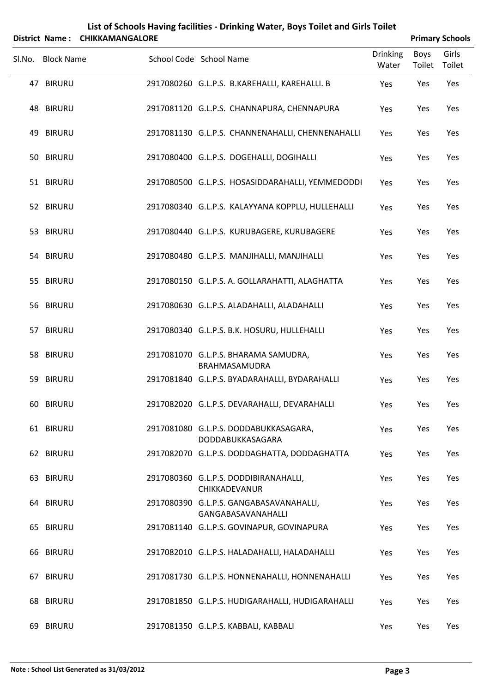|        |                   | District Name: CHIKKAMANGALORE | List of Schools Having facilities - Drinking Water, Boys Toilet and Girls Toilet |                          |                       | <b>Primary Schools</b> |
|--------|-------------------|--------------------------------|----------------------------------------------------------------------------------|--------------------------|-----------------------|------------------------|
| Sl.No. | <b>Block Name</b> |                                | School Code School Name                                                          | <b>Drinking</b><br>Water | <b>Boys</b><br>Toilet | Girls<br>Toilet        |
|        | 47 BIRURU         |                                | 2917080260 G.L.P.S. B.KAREHALLI, KAREHALLI. B                                    | Yes                      | Yes                   | Yes                    |
|        | 48 BIRURU         |                                | 2917081120 G.L.P.S. CHANNAPURA, CHENNAPURA                                       | Yes                      | Yes                   | Yes                    |
|        | 49 BIRURU         |                                | 2917081130 G.L.P.S. CHANNENAHALLI, CHENNENAHALLI                                 | Yes                      | Yes                   | Yes                    |
|        | 50 BIRURU         |                                | 2917080400 G.L.P.S. DOGEHALLI, DOGIHALLI                                         | Yes                      | Yes                   | Yes                    |
|        | 51 BIRURU         |                                | 2917080500 G.L.P.S. HOSASIDDARAHALLI, YEMMEDODDI                                 | Yes                      | Yes                   | Yes                    |
|        | 52 BIRURU         |                                | 2917080340 G.L.P.S. KALAYYANA KOPPLU, HULLEHALLI                                 | Yes                      | Yes                   | Yes                    |
|        | 53 BIRURU         |                                | 2917080440 G.L.P.S. KURUBAGERE, KURUBAGERE                                       | Yes                      | Yes                   | Yes                    |
|        | 54 BIRURU         |                                | 2917080480 G.L.P.S. MANJIHALLI, MANJIHALLI                                       | Yes                      | Yes                   | Yes                    |
|        | 55 BIRURU         |                                | 2917080150 G.L.P.S. A. GOLLARAHATTI, ALAGHATTA                                   | Yes                      | Yes                   | Yes                    |
|        | 56 BIRURU         |                                | 2917080630 G.L.P.S. ALADAHALLI, ALADAHALLI                                       | Yes                      | Yes                   | Yes                    |
|        | 57 BIRURU         |                                | 2917080340 G.L.P.S. B.K. HOSURU, HULLEHALLI                                      | Yes                      | Yes                   | Yes                    |
|        | 58 BIRURU         |                                | 2917081070 G.L.P.S. BHARAMA SAMUDRA,<br>BRAHMASAMUDRA                            | Yes                      | Yes                   | Yes                    |
|        | 59 BIRURU         |                                | 2917081840 G.L.P.S. BYADARAHALLI, BYDARAHALLI                                    | Yes                      | Yes                   | Yes                    |
|        | 60 BIRURU         |                                | 2917082020 G.L.P.S. DEVARAHALLI, DEVARAHALLI                                     | Yes                      | Yes                   | Yes                    |
|        | 61 BIRURU         |                                | 2917081080 G.L.P.S. DODDABUKKASAGARA,<br>DODDABUKKASAGARA                        | Yes                      | Yes                   | Yes                    |
|        | 62 BIRURU         |                                | 2917082070 G.L.P.S. DODDAGHATTA, DODDAGHATTA                                     | Yes                      | Yes                   | Yes                    |
|        | 63 BIRURU         |                                | 2917080360 G.L.P.S. DODDIBIRANAHALLI,<br>CHIKKADEVANUR                           | Yes                      | Yes                   | Yes                    |
|        | 64 BIRURU         |                                | 2917080390 G.L.P.S. GANGABASAVANAHALLI,<br>GANGABASAVANAHALLI                    | Yes                      | Yes                   | Yes                    |
|        | 65 BIRURU         |                                | 2917081140 G.L.P.S. GOVINAPUR, GOVINAPURA                                        | Yes                      | Yes                   | Yes                    |
|        | 66 BIRURU         |                                | 2917082010 G.L.P.S. HALADAHALLI, HALADAHALLI                                     | Yes                      | Yes                   | Yes                    |
|        | 67 BIRURU         |                                | 2917081730 G.L.P.S. HONNENAHALLI, HONNENAHALLI                                   | Yes                      | Yes                   | Yes                    |
|        | 68 BIRURU         |                                | 2917081850 G.L.P.S. HUDIGARAHALLI, HUDIGARAHALLI                                 | Yes                      | Yes                   | Yes                    |
|        | 69 BIRURU         |                                | 2917081350 G.L.P.S. KABBALI, KABBALI                                             | Yes                      | Yes                   | Yes                    |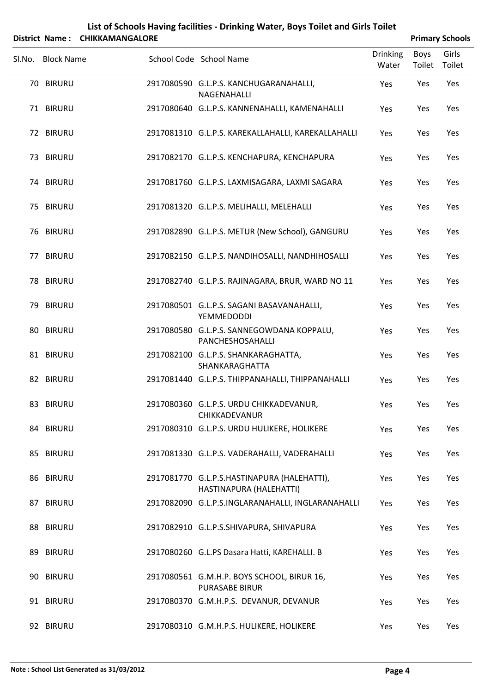|        |                   | District Name: CHIKKAMANGALORE |                                                                        |                          | <b>Primary Schools</b> |                 |
|--------|-------------------|--------------------------------|------------------------------------------------------------------------|--------------------------|------------------------|-----------------|
| Sl.No. | <b>Block Name</b> |                                | School Code School Name                                                | <b>Drinking</b><br>Water | Boys<br>Toilet         | Girls<br>Toilet |
|        | 70 BIRURU         |                                | 2917080590 G.L.P.S. KANCHUGARANAHALLI,<br>NAGENAHALLI                  | Yes                      | Yes                    | Yes             |
|        | 71 BIRURU         |                                | 2917080640 G.L.P.S. KANNENAHALLI, KAMENAHALLI                          | Yes                      | Yes                    | Yes             |
|        | 72 BIRURU         |                                | 2917081310 G.L.P.S. KAREKALLAHALLI, KAREKALLAHALLI                     | Yes                      | Yes                    | Yes             |
|        | 73 BIRURU         |                                | 2917082170 G.L.P.S. KENCHAPURA, KENCHAPURA                             | Yes                      | Yes                    | Yes             |
|        | 74 BIRURU         |                                | 2917081760 G.L.P.S. LAXMISAGARA, LAXMI SAGARA                          | Yes                      | Yes                    | Yes             |
|        | 75 BIRURU         |                                | 2917081320 G.L.P.S. MELIHALLI, MELEHALLI                               | Yes                      | Yes                    | Yes             |
|        | 76 BIRURU         |                                | 2917082890 G.L.P.S. METUR (New School), GANGURU                        | Yes                      | Yes                    | Yes             |
|        | 77 BIRURU         |                                | 2917082150 G.L.P.S. NANDIHOSALLI, NANDHIHOSALLI                        | Yes                      | Yes                    | Yes             |
|        | 78 BIRURU         |                                | 2917082740 G.L.P.S. RAJINAGARA, BRUR, WARD NO 11                       | Yes                      | Yes                    | Yes             |
|        | 79 BIRURU         |                                | 2917080501 G.L.P.S. SAGANI BASAVANAHALLI,<br><b>YEMMEDODDI</b>         | Yes                      | Yes                    | Yes             |
|        | 80 BIRURU         |                                | 2917080580 G.L.P.S. SANNEGOWDANA KOPPALU,<br>PANCHESHOSAHALLI          | Yes                      | Yes                    | Yes             |
|        | 81 BIRURU         |                                | 2917082100 G.L.P.S. SHANKARAGHATTA,<br>SHANKARAGHATTA                  | Yes                      | Yes                    | Yes             |
|        | 82 BIRURU         |                                | 2917081440 G.L.P.S. THIPPANAHALLI, THIPPANAHALLI                       | Yes                      | Yes                    | Yes             |
|        | 83 BIRURU         |                                | 2917080360 G.L.P.S. URDU CHIKKADEVANUR,<br>CHIKKADEVANUR               | Yes                      | Yes                    | Yes             |
|        | 84 BIRURU         |                                | 2917080310 G.L.P.S. URDU HULIKERE, HOLIKERE                            | Yes                      | Yes                    | Yes             |
|        | 85 BIRURU         |                                | 2917081330 G.L.P.S. VADERAHALLI, VADERAHALLI                           | Yes                      | Yes                    | Yes             |
|        | 86 BIRURU         |                                | 2917081770 G.L.P.S.HASTINAPURA (HALEHATTI),<br>HASTINAPURA (HALEHATTI) | Yes                      | Yes                    | Yes             |
|        | 87 BIRURU         |                                | 2917082090 G.L.P.S.INGLARANAHALLI, INGLARANAHALLI                      | Yes                      | Yes                    | Yes             |
|        | 88 BIRURU         |                                | 2917082910 G.L.P.S.SHIVAPURA, SHIVAPURA                                | Yes                      | Yes                    | Yes             |
|        | 89 BIRURU         |                                | 2917080260 G.L.PS Dasara Hatti, KAREHALLI. B                           | Yes                      | Yes                    | Yes             |
|        | 90 BIRURU         |                                | 2917080561 G.M.H.P. BOYS SCHOOL, BIRUR 16,<br><b>PURASABE BIRUR</b>    | Yes                      | Yes                    | Yes             |
|        | 91 BIRURU         |                                | 2917080370 G.M.H.P.S. DEVANUR, DEVANUR                                 | Yes                      | Yes                    | Yes             |

92 BIRURU 2917080310 G.M.H.P.S. HULIKERE, HOLIKERE Yes Yes Yes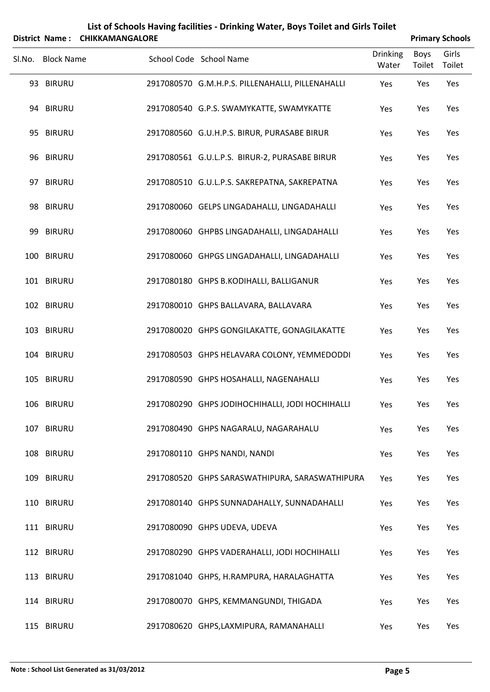|        | <b>District Name:</b> | <b>CHIKKAMANGALORE</b> | List of Schools Having facilities - Drinking Water, Boys Toilet and Girls Toilet |                          |                       | <b>Primary Schools</b> |
|--------|-----------------------|------------------------|----------------------------------------------------------------------------------|--------------------------|-----------------------|------------------------|
| SI.No. | <b>Block Name</b>     |                        | School Code School Name                                                          | <b>Drinking</b><br>Water | <b>Boys</b><br>Toilet | Girls<br>Toilet        |
|        | 93 BIRURU             |                        | 2917080570 G.M.H.P.S. PILLENAHALLI, PILLENAHALLI                                 | Yes                      | Yes                   | Yes                    |
|        | 94 BIRURU             |                        | 2917080540 G.P.S. SWAMYKATTE, SWAMYKATTE                                         | Yes                      | Yes                   | Yes                    |
|        | 95 BIRURU             |                        | 2917080560 G.U.H.P.S. BIRUR, PURASABE BIRUR                                      | Yes                      | Yes                   | Yes                    |
|        | 96 BIRURU             |                        | 2917080561 G.U.L.P.S. BIRUR-2, PURASABE BIRUR                                    | Yes                      | Yes                   | Yes                    |
|        | 97 BIRURU             |                        | 2917080510 G.U.L.P.S. SAKREPATNA, SAKREPATNA                                     | Yes                      | Yes                   | Yes                    |
|        | 98 BIRURU             |                        | 2917080060 GELPS LINGADAHALLI, LINGADAHALLI                                      | Yes                      | Yes                   | Yes                    |
|        | 99 BIRURU             |                        | 2917080060 GHPBS LINGADAHALLI, LINGADAHALLI                                      | Yes                      | Yes                   | Yes                    |
|        | 100 BIRURU            |                        | 2917080060 GHPGS LINGADAHALLI, LINGADAHALLI                                      | Yes                      | Yes                   | Yes                    |
|        | 101 BIRURU            |                        | 2917080180 GHPS B.KODIHALLI, BALLIGANUR                                          | Yes                      | Yes                   | Yes                    |
|        | 102 BIRURU            |                        | 2917080010 GHPS BALLAVARA, BALLAVARA                                             | Yes                      | Yes                   | Yes                    |
|        | 103 BIRURU            |                        | 2917080020 GHPS GONGILAKATTE, GONAGILAKATTE                                      | Yes                      | Yes                   | Yes                    |
|        | 104 BIRURU            |                        | 2917080503 GHPS HELAVARA COLONY, YEMMEDODDI                                      | Yes                      | Yes                   | Yes                    |
|        | 105 BIRURU            |                        | 2917080590 GHPS HOSAHALLI, NAGENAHALLI                                           | Yes                      | Yes                   | Yes                    |
|        | 106 BIRURU            |                        | 2917080290 GHPS JODIHOCHIHALLI, JODI HOCHIHALLI                                  | Yes                      | Yes                   | Yes                    |
|        | 107 BIRURU            |                        | 2917080490 GHPS NAGARALU, NAGARAHALU                                             | Yes                      | Yes                   | Yes                    |
|        | 108 BIRURU            |                        | 2917080110 GHPS NANDI, NANDI                                                     | Yes                      | Yes                   | Yes                    |
|        | 109 BIRURU            |                        | 2917080520 GHPS SARASWATHIPURA, SARASWATHIPURA                                   | Yes                      | Yes                   | Yes                    |
|        | 110 BIRURU            |                        | 2917080140 GHPS SUNNADAHALLY, SUNNADAHALLI                                       | Yes                      | Yes                   | Yes                    |
|        | 111 BIRURU            |                        | 2917080090 GHPS UDEVA, UDEVA                                                     | Yes                      | Yes                   | Yes                    |
|        | 112 BIRURU            |                        | 2917080290 GHPS VADERAHALLI, JODI HOCHIHALLI                                     | Yes                      | Yes                   | Yes                    |
|        | 113 BIRURU            |                        | 2917081040 GHPS, H.RAMPURA, HARALAGHATTA                                         | Yes                      | Yes                   | Yes                    |
|        | 114 BIRURU            |                        | 2917080070 GHPS, KEMMANGUNDI, THIGADA                                            | Yes                      | Yes                   | Yes                    |
|        | 115 BIRURU            |                        | 2917080620 GHPS,LAXMIPURA, RAMANAHALLI                                           | Yes                      | Yes                   | Yes                    |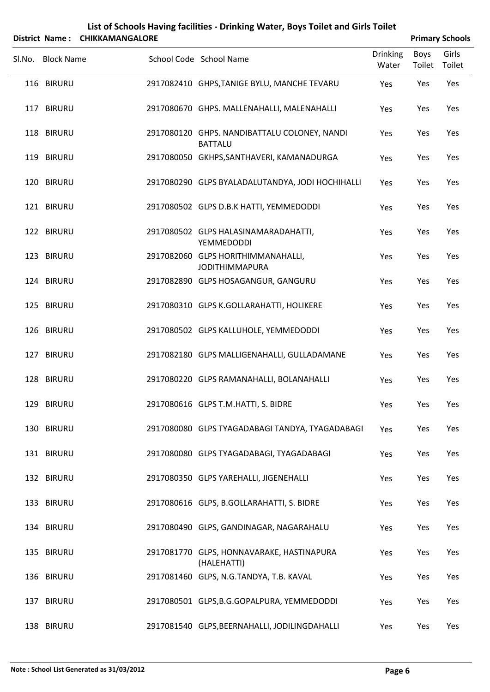|        |                          | District Name: CHIKKAMANGALORE |                                                                                      |                          |                | <b>Primary Schools</b> |
|--------|--------------------------|--------------------------------|--------------------------------------------------------------------------------------|--------------------------|----------------|------------------------|
| Sl.No. | <b>Block Name</b>        |                                | School Code School Name                                                              | <b>Drinking</b><br>Water | Boys<br>Toilet | Girls<br>Toilet        |
|        | 116 BIRURU               |                                | 2917082410 GHPS, TANIGE BYLU, MANCHE TEVARU                                          | Yes                      | Yes            | Yes                    |
|        | 117 BIRURU               |                                | 2917080670 GHPS. MALLENAHALLI, MALENAHALLI                                           | Yes                      | Yes            | Yes                    |
|        | 118 BIRURU               |                                | 2917080120 GHPS. NANDIBATTALU COLONEY, NANDI<br><b>BATTALU</b>                       | Yes                      | Yes            | Yes                    |
|        | 119 BIRURU               |                                | 2917080050 GKHPS, SANTHAVERI, KAMANADURGA                                            | Yes                      | Yes            | Yes                    |
|        | 120 BIRURU               |                                | 2917080290 GLPS BYALADALUTANDYA, JODI HOCHIHALLI                                     | Yes                      | Yes            | Yes                    |
|        | 121 BIRURU               |                                | 2917080502 GLPS D.B.K HATTI, YEMMEDODDI                                              | Yes                      | Yes            | Yes                    |
|        | 122 BIRURU               |                                | 2917080502 GLPS HALASINAMARADAHATTI,<br><b>YEMMEDODDI</b>                            | Yes                      | Yes            | Yes                    |
|        | 123 BIRURU               |                                | 2917082060 GLPS HORITHIMMANAHALLI,<br><b>JODITHIMMAPURA</b>                          | Yes                      | Yes            | Yes                    |
|        | 124 BIRURU               |                                | 2917082890 GLPS HOSAGANGUR, GANGURU                                                  | Yes                      | Yes            | Yes                    |
|        | 125 BIRURU               |                                | 2917080310 GLPS K.GOLLARAHATTI, HOLIKERE                                             | Yes                      | Yes            | Yes                    |
|        | 126 BIRURU               |                                | 2917080502 GLPS KALLUHOLE, YEMMEDODDI                                                | Yes                      | Yes            | Yes                    |
|        | 127 BIRURU               |                                | 2917082180 GLPS MALLIGENAHALLI, GULLADAMANE                                          | Yes                      | Yes            | Yes                    |
|        | 128 BIRURU               |                                | 2917080220 GLPS RAMANAHALLI, BOLANAHALLI                                             | Yes                      | Yes            | Yes                    |
|        | 129 BIRURU               |                                | 2917080616 GLPS T.M.HATTI, S. BIDRE                                                  | Yes                      | Yes            | Yes                    |
|        | 130 BIRURU               |                                | 2917080080 GLPS TYAGADABAGI TANDYA, TYAGADABAGI                                      | Yes                      | Yes            | Yes                    |
|        | 131 BIRURU               |                                | 2917080080 GLPS TYAGADABAGI, TYAGADABAGI                                             | Yes                      | Yes            | Yes                    |
|        | 132 BIRURU               |                                | 2917080350 GLPS YAREHALLI, JIGENEHALLI                                               | Yes                      | Yes            | Yes                    |
|        | 133 BIRURU<br>134 BIRURU |                                | 2917080616 GLPS, B.GOLLARAHATTI, S. BIDRE<br>2917080490 GLPS, GANDINAGAR, NAGARAHALU | Yes                      | Yes<br>Yes     | Yes<br>Yes             |
|        | 135 BIRURU               |                                | 2917081770 GLPS, HONNAVARAKE, HASTINAPURA                                            | Yes                      | Yes            | Yes                    |
|        | 136 BIRURU               |                                | (HALEHATTI)<br>2917081460 GLPS, N.G.TANDYA, T.B. KAVAL                               | Yes<br>Yes               | Yes            | Yes                    |
|        | 137 BIRURU               |                                | 2917080501 GLPS, B.G.GOPALPURA, YEMMEDODDI                                           | Yes                      | Yes            | Yes                    |
|        |                          |                                |                                                                                      |                          |                |                        |

138 BIRURU 2917081540 GLPS,BEERNAHALLI, JODILINGDAHALLI Yes Yes Yes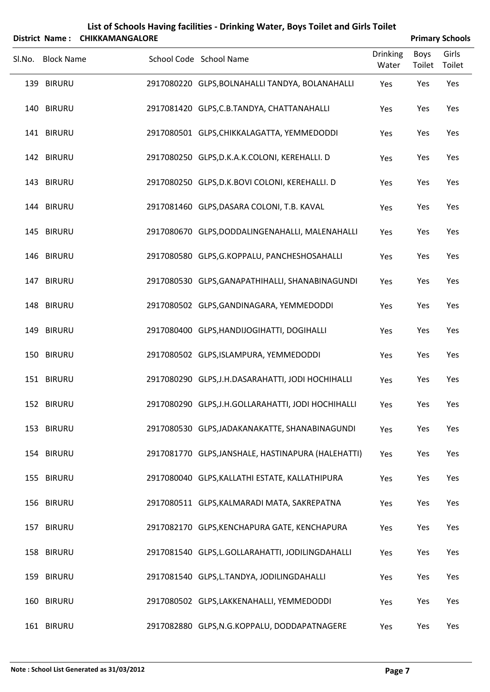|        | <b>District Name:</b> | <b>CHIKKAMANGALORE</b> | List of Schools Having facilities - Drinking Water, Boys Toilet and Girls Toilet |                          |                       | <b>Primary Schools</b> |
|--------|-----------------------|------------------------|----------------------------------------------------------------------------------|--------------------------|-----------------------|------------------------|
| Sl.No. | <b>Block Name</b>     |                        | School Code School Name                                                          | <b>Drinking</b><br>Water | <b>Boys</b><br>Toilet | Girls<br>Toilet        |
|        | 139 BIRURU            |                        | 2917080220 GLPS, BOLNAHALLI TANDYA, BOLANAHALLI                                  | Yes                      | Yes                   | Yes                    |
|        | 140 BIRURU            |                        | 2917081420 GLPS, C.B. TANDYA, CHATTANAHALLI                                      | Yes                      | Yes                   | Yes                    |
|        | 141 BIRURU            |                        | 2917080501 GLPS, CHIKKALAGATTA, YEMMEDODDI                                       | Yes                      | Yes                   | Yes                    |
|        | 142 BIRURU            |                        | 2917080250 GLPS, D.K.A.K.COLONI, KEREHALLI. D                                    | Yes                      | Yes                   | Yes                    |
|        | 143 BIRURU            |                        | 2917080250 GLPS, D.K.BOVI COLONI, KEREHALLI. D                                   | Yes                      | Yes                   | Yes                    |
|        | 144 BIRURU            |                        | 2917081460 GLPS, DASARA COLONI, T.B. KAVAL                                       | Yes                      | Yes                   | Yes                    |
|        | 145 BIRURU            |                        | 2917080670 GLPS,DODDALINGENAHALLI, MALENAHALLI                                   | Yes                      | Yes                   | Yes                    |
|        | 146 BIRURU            |                        | 2917080580 GLPS, G.KOPPALU, PANCHESHOSAHALLI                                     | Yes                      | Yes                   | Yes                    |
|        | 147 BIRURU            |                        | 2917080530 GLPS, GANAPATHIHALLI, SHANABINAGUNDI                                  | Yes                      | Yes                   | Yes                    |
|        | 148 BIRURU            |                        | 2917080502 GLPS, GANDINAGARA, YEMMEDODDI                                         | Yes                      | Yes                   | Yes                    |
|        | 149 BIRURU            |                        | 2917080400 GLPS, HANDIJOGIHATTI, DOGIHALLI                                       | Yes                      | Yes                   | Yes                    |
|        | 150 BIRURU            |                        | 2917080502 GLPS, ISLAMPURA, YEMMEDODDI                                           | Yes                      | Yes                   | Yes                    |
|        | 151 BIRURU            |                        | 2917080290 GLPS, J.H.DASARAHATTI, JODI HOCHIHALLI                                | Yes                      | Yes                   | Yes                    |
|        | 152 BIRURU            |                        | 2917080290 GLPS, J.H.GOLLARAHATTI, JODI HOCHIHALLI                               | Yes                      | Yes                   | Yes                    |
|        | 153 BIRURU            |                        | 2917080530 GLPS, JADAKANAKATTE, SHANABINAGUNDI                                   | Yes                      | Yes                   | Yes                    |
|        | 154 BIRURU            |                        | 2917081770 GLPS, JANSHALE, HASTINAPURA (HALEHATTI)                               | Yes                      | Yes                   | Yes                    |
|        | 155 BIRURU            |                        | 2917080040 GLPS, KALLATHI ESTATE, KALLATHIPURA                                   | Yes                      | Yes                   | Yes                    |
|        | 156 BIRURU            |                        | 2917080511 GLPS, KALMARADI MATA, SAKREPATNA                                      | Yes                      | Yes                   | Yes                    |
|        | 157 BIRURU            |                        | 2917082170 GLPS, KENCHAPURA GATE, KENCHAPURA                                     | Yes                      | Yes                   | Yes                    |
|        | 158 BIRURU            |                        | 2917081540 GLPS,L.GOLLARAHATTI, JODILINGDAHALLI                                  | Yes                      | Yes                   | Yes                    |
|        | 159 BIRURU            |                        | 2917081540 GLPS, L.TANDYA, JODILINGDAHALLI                                       | Yes                      | Yes                   | Yes                    |
|        | 160 BIRURU            |                        | 2917080502 GLPS,LAKKENAHALLI, YEMMEDODDI                                         | Yes                      | Yes                   | Yes                    |
|        | 161 BIRURU            |                        | 2917082880 GLPS, N.G.KOPPALU, DODDAPATNAGERE                                     | Yes                      | Yes                   | Yes                    |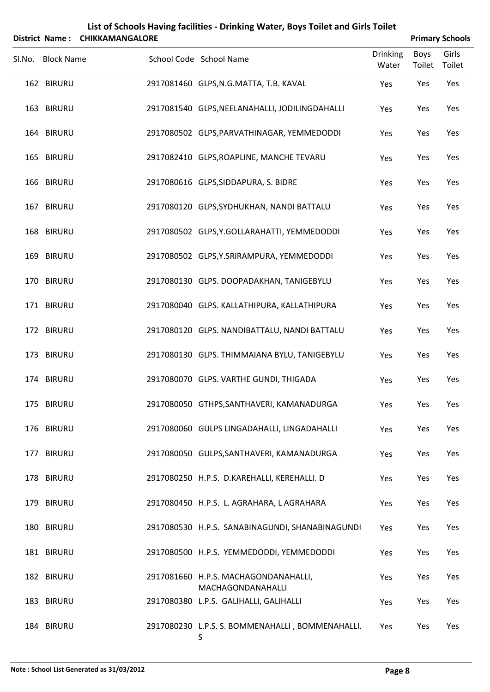|        | District Name:    | <b>CHIKKAMANGALORE</b> | List of Schools Having facilities - Drinking Water, Boys Toilet and Girls Toilet |                          |                       | <b>Primary Schools</b> |
|--------|-------------------|------------------------|----------------------------------------------------------------------------------|--------------------------|-----------------------|------------------------|
| Sl.No. | <b>Block Name</b> |                        | School Code School Name                                                          | <b>Drinking</b><br>Water | <b>Boys</b><br>Toilet | Girls<br>Toilet        |
|        | 162 BIRURU        |                        | 2917081460 GLPS, N.G. MATTA, T.B. KAVAL                                          | Yes                      | Yes                   | Yes                    |
|        | 163 BIRURU        |                        | 2917081540 GLPS, NEELANAHALLI, JODILINGDAHALLI                                   | Yes                      | Yes                   | Yes                    |
|        | 164 BIRURU        |                        | 2917080502 GLPS, PARVATHINAGAR, YEMMEDODDI                                       | Yes                      | Yes                   | Yes                    |
|        | 165 BIRURU        |                        | 2917082410 GLPS, ROAPLINE, MANCHE TEVARU                                         | Yes                      | Yes                   | Yes                    |
|        | 166 BIRURU        |                        | 2917080616 GLPS, SIDDAPURA, S. BIDRE                                             | Yes                      | Yes                   | Yes                    |
|        | 167 BIRURU        |                        | 2917080120 GLPS, SYDHUKHAN, NANDI BATTALU                                        | Yes                      | Yes                   | Yes                    |
|        | 168 BIRURU        |                        | 2917080502 GLPS, Y.GOLLARAHATTI, YEMMEDODDI                                      | Yes                      | Yes                   | Yes                    |
|        | 169 BIRURU        |                        | 2917080502 GLPS, Y.SRIRAMPURA, YEMMEDODDI                                        | Yes                      | Yes                   | Yes                    |
|        | 170 BIRURU        |                        | 2917080130 GLPS. DOOPADAKHAN, TANIGEBYLU                                         | Yes                      | Yes                   | Yes                    |
|        | 171 BIRURU        |                        | 2917080040 GLPS. KALLATHIPURA, KALLATHIPURA                                      | Yes                      | Yes                   | Yes                    |
|        | 172 BIRURU        |                        | 2917080120 GLPS. NANDIBATTALU, NANDI BATTALU                                     | Yes                      | Yes                   | Yes                    |
|        | 173 BIRURU        |                        | 2917080130 GLPS. THIMMAIANA BYLU, TANIGEBYLU                                     | Yes                      | Yes                   | Yes                    |
|        | 174 BIRURU        |                        | 2917080070 GLPS. VARTHE GUNDI, THIGADA                                           | Yes                      | Yes                   | Yes                    |
|        | 175 BIRURU        |                        | 2917080050 GTHPS, SANTHAVERI, KAMANADURGA                                        | Yes                      | Yes                   | Yes                    |
|        | 176 BIRURU        |                        | 2917080060 GULPS LINGADAHALLI, LINGADAHALLI                                      | Yes                      | Yes                   | Yes                    |
|        | 177 BIRURU        |                        | 2917080050 GULPS, SANTHAVERI, KAMANADURGA                                        | Yes                      | Yes                   | Yes                    |
|        | 178 BIRURU        |                        | 2917080250 H.P.S. D.KAREHALLI, KEREHALLI. D                                      | Yes                      | Yes                   | Yes                    |
|        | 179 BIRURU        |                        | 2917080450 H.P.S. L. AGRAHARA, L AGRAHARA                                        | Yes                      | Yes                   | Yes                    |
|        | 180 BIRURU        |                        | 2917080530 H.P.S. SANABINAGUNDI, SHANABINAGUNDI                                  | Yes                      | Yes                   | Yes                    |
|        | 181 BIRURU        |                        | 2917080500 H.P.S. YEMMEDODDI, YEMMEDODDI                                         | Yes                      | Yes                   | Yes                    |
|        | 182 BIRURU        |                        | 2917081660 H.P.S. MACHAGONDANAHALLI,<br>MACHAGONDANAHALLI                        | Yes                      | Yes                   | Yes                    |
|        | 183 BIRURU        |                        | 2917080380 L.P.S. GALIHALLI, GALIHALLI                                           | Yes                      | Yes                   | Yes                    |
|        | 184 BIRURU        |                        | 2917080230 L.P.S. S. BOMMENAHALLI, BOMMENAHALLI.<br>S                            | Yes                      | Yes                   | Yes                    |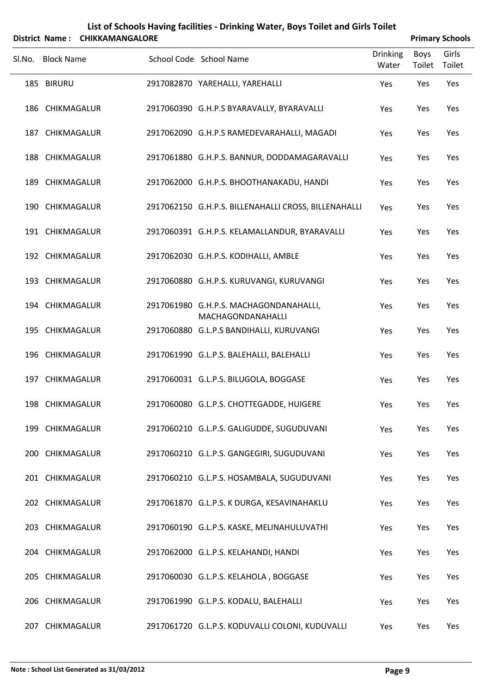|            |                                                                                                                                                                                                                                                                                                                                                                                                                                  |                                |                                                                                                                                                                                                                                                                                                                                                                                                                                                                                                                                                                                                                                                                                                                                                                                                                                                                                                                                                                                                                                    |                | <b>Primary Schools</b> |
|------------|----------------------------------------------------------------------------------------------------------------------------------------------------------------------------------------------------------------------------------------------------------------------------------------------------------------------------------------------------------------------------------------------------------------------------------|--------------------------------|------------------------------------------------------------------------------------------------------------------------------------------------------------------------------------------------------------------------------------------------------------------------------------------------------------------------------------------------------------------------------------------------------------------------------------------------------------------------------------------------------------------------------------------------------------------------------------------------------------------------------------------------------------------------------------------------------------------------------------------------------------------------------------------------------------------------------------------------------------------------------------------------------------------------------------------------------------------------------------------------------------------------------------|----------------|------------------------|
|            |                                                                                                                                                                                                                                                                                                                                                                                                                                  |                                | <b>Drinking</b><br>Water                                                                                                                                                                                                                                                                                                                                                                                                                                                                                                                                                                                                                                                                                                                                                                                                                                                                                                                                                                                                           | Boys<br>Toilet | Girls<br>Toilet        |
| 185 BIRURU |                                                                                                                                                                                                                                                                                                                                                                                                                                  |                                | Yes                                                                                                                                                                                                                                                                                                                                                                                                                                                                                                                                                                                                                                                                                                                                                                                                                                                                                                                                                                                                                                | Yes            | Yes                    |
|            |                                                                                                                                                                                                                                                                                                                                                                                                                                  |                                | Yes                                                                                                                                                                                                                                                                                                                                                                                                                                                                                                                                                                                                                                                                                                                                                                                                                                                                                                                                                                                                                                | Yes            | Yes                    |
|            |                                                                                                                                                                                                                                                                                                                                                                                                                                  |                                | Yes                                                                                                                                                                                                                                                                                                                                                                                                                                                                                                                                                                                                                                                                                                                                                                                                                                                                                                                                                                                                                                | Yes            | Yes                    |
|            |                                                                                                                                                                                                                                                                                                                                                                                                                                  |                                | Yes                                                                                                                                                                                                                                                                                                                                                                                                                                                                                                                                                                                                                                                                                                                                                                                                                                                                                                                                                                                                                                | Yes            | Yes                    |
|            |                                                                                                                                                                                                                                                                                                                                                                                                                                  |                                | Yes                                                                                                                                                                                                                                                                                                                                                                                                                                                                                                                                                                                                                                                                                                                                                                                                                                                                                                                                                                                                                                | Yes            | Yes                    |
|            |                                                                                                                                                                                                                                                                                                                                                                                                                                  |                                | Yes                                                                                                                                                                                                                                                                                                                                                                                                                                                                                                                                                                                                                                                                                                                                                                                                                                                                                                                                                                                                                                | Yes            | Yes                    |
|            |                                                                                                                                                                                                                                                                                                                                                                                                                                  |                                | Yes                                                                                                                                                                                                                                                                                                                                                                                                                                                                                                                                                                                                                                                                                                                                                                                                                                                                                                                                                                                                                                | Yes            | Yes                    |
|            |                                                                                                                                                                                                                                                                                                                                                                                                                                  |                                | Yes                                                                                                                                                                                                                                                                                                                                                                                                                                                                                                                                                                                                                                                                                                                                                                                                                                                                                                                                                                                                                                | Yes            | Yes                    |
|            |                                                                                                                                                                                                                                                                                                                                                                                                                                  |                                | Yes                                                                                                                                                                                                                                                                                                                                                                                                                                                                                                                                                                                                                                                                                                                                                                                                                                                                                                                                                                                                                                | Yes            | Yes                    |
|            |                                                                                                                                                                                                                                                                                                                                                                                                                                  | MACHAGONDANAHALLI              | Yes                                                                                                                                                                                                                                                                                                                                                                                                                                                                                                                                                                                                                                                                                                                                                                                                                                                                                                                                                                                                                                | Yes            | Yes                    |
|            |                                                                                                                                                                                                                                                                                                                                                                                                                                  |                                | Yes                                                                                                                                                                                                                                                                                                                                                                                                                                                                                                                                                                                                                                                                                                                                                                                                                                                                                                                                                                                                                                | Yes            | Yes                    |
|            |                                                                                                                                                                                                                                                                                                                                                                                                                                  |                                | Yes                                                                                                                                                                                                                                                                                                                                                                                                                                                                                                                                                                                                                                                                                                                                                                                                                                                                                                                                                                                                                                | Yes            | Yes                    |
|            |                                                                                                                                                                                                                                                                                                                                                                                                                                  |                                | Yes                                                                                                                                                                                                                                                                                                                                                                                                                                                                                                                                                                                                                                                                                                                                                                                                                                                                                                                                                                                                                                | Yes            | Yes                    |
|            |                                                                                                                                                                                                                                                                                                                                                                                                                                  |                                | Yes                                                                                                                                                                                                                                                                                                                                                                                                                                                                                                                                                                                                                                                                                                                                                                                                                                                                                                                                                                                                                                | Yes            | Yes                    |
|            |                                                                                                                                                                                                                                                                                                                                                                                                                                  |                                | Yes                                                                                                                                                                                                                                                                                                                                                                                                                                                                                                                                                                                                                                                                                                                                                                                                                                                                                                                                                                                                                                | Yes            | Yes                    |
|            |                                                                                                                                                                                                                                                                                                                                                                                                                                  |                                | Yes                                                                                                                                                                                                                                                                                                                                                                                                                                                                                                                                                                                                                                                                                                                                                                                                                                                                                                                                                                                                                                | Yes            | Yes                    |
|            |                                                                                                                                                                                                                                                                                                                                                                                                                                  |                                | Yes                                                                                                                                                                                                                                                                                                                                                                                                                                                                                                                                                                                                                                                                                                                                                                                                                                                                                                                                                                                                                                | Yes            | Yes                    |
|            |                                                                                                                                                                                                                                                                                                                                                                                                                                  |                                | Yes                                                                                                                                                                                                                                                                                                                                                                                                                                                                                                                                                                                                                                                                                                                                                                                                                                                                                                                                                                                                                                | Yes            | Yes                    |
|            |                                                                                                                                                                                                                                                                                                                                                                                                                                  |                                | Yes                                                                                                                                                                                                                                                                                                                                                                                                                                                                                                                                                                                                                                                                                                                                                                                                                                                                                                                                                                                                                                | Yes            | Yes                    |
|            |                                                                                                                                                                                                                                                                                                                                                                                                                                  |                                | Yes                                                                                                                                                                                                                                                                                                                                                                                                                                                                                                                                                                                                                                                                                                                                                                                                                                                                                                                                                                                                                                | Yes            | Yes                    |
|            |                                                                                                                                                                                                                                                                                                                                                                                                                                  |                                | Yes                                                                                                                                                                                                                                                                                                                                                                                                                                                                                                                                                                                                                                                                                                                                                                                                                                                                                                                                                                                                                                | Yes            | Yes                    |
|            |                                                                                                                                                                                                                                                                                                                                                                                                                                  |                                | Yes                                                                                                                                                                                                                                                                                                                                                                                                                                                                                                                                                                                                                                                                                                                                                                                                                                                                                                                                                                                                                                | Yes            | Yes                    |
|            | <b>Block Name</b><br>186 CHIKMAGALUR<br>187 CHIKMAGALUR<br>188 CHIKMAGALUR<br>189 CHIKMAGALUR<br>190 CHIKMAGALUR<br>191 CHIKMAGALUR<br>192 CHIKMAGALUR<br>193 CHIKMAGALUR<br>194 CHIKMAGALUR<br>195 CHIKMAGALUR<br>196 CHIKMAGALUR<br>197 CHIKMAGALUR<br>198 CHIKMAGALUR<br>199 CHIKMAGALUR<br>200 CHIKMAGALUR<br>201 CHIKMAGALUR<br>202 CHIKMAGALUR<br>203 CHIKMAGALUR<br>204 CHIKMAGALUR<br>205 CHIKMAGALUR<br>206 CHIKMAGALUR | District Name: CHIKKAMANGALORE | School Code School Name<br>2917082870 YAREHALLI, YAREHALLI<br>2917060390 G.H.P.S BYARAVALLY, BYARAVALLI<br>2917062090 G.H.P.S RAMEDEVARAHALLI, MAGADI<br>2917061880 G.H.P.S. BANNUR, DODDAMAGARAVALLI<br>2917062000 G.H.P.S. BHOOTHANAKADU, HANDI<br>2917062150 G.H.P.S. BILLENAHALLI CROSS, BILLENAHALLI<br>2917060391 G.H.P.S. KELAMALLANDUR, BYARAVALLI<br>2917062030 G.H.P.S. KODIHALLI, AMBLE<br>2917060880 G.H.P.S. KURUVANGI, KURUVANGI<br>2917061980 G.H.P.S. MACHAGONDANAHALLI,<br>2917060880 G.L.P.S BANDIHALLI, KURUVANGI<br>2917061990 G.L.P.S. BALEHALLI, BALEHALLI<br>2917060031 G.L.P.S. BILUGOLA, BOGGASE<br>2917060080 G.L.P.S. CHOTTEGADDE, HUIGERE<br>2917060210 G.L.P.S. GALIGUDDE, SUGUDUVANI<br>2917060210 G.L.P.S. GANGEGIRI, SUGUDUVANI<br>2917060210 G.L.P.S. HOSAMBALA, SUGUDUVANI<br>2917061870 G.L.P.S. K DURGA, KESAVINAHAKLU<br>2917060190 G.L.P.S. KASKE, MELINAHULUVATHI<br>2917062000 G.L.P.S. KELAHANDI, HANDI<br>2917060030 G.L.P.S. KELAHOLA, BOGGASE<br>2917061990 G.L.P.S. KODALU, BALEHALLI |                |                        |

207 CHIKMAGALUR 2917061720 G.L.P.S. KODUVALLI COLONI, KUDUVALLI Yes Yes Yes

**List of Schools Having facilities ‐ Drinking Water, Boys Toilet and Girls Toilet**

### **Note : School List Generated as 31/03/2012 Page 9**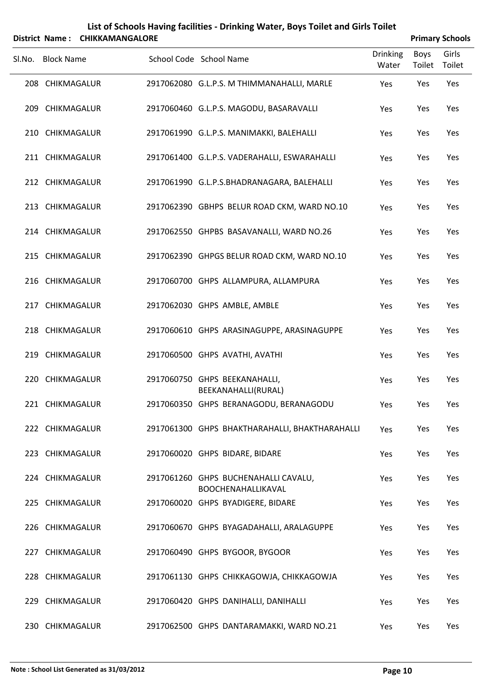| District Name: CHIKKAMANGALORE |                   |  |                                                            |                          |                | <b>Primary Schools</b> |
|--------------------------------|-------------------|--|------------------------------------------------------------|--------------------------|----------------|------------------------|
| Sl.No.                         | <b>Block Name</b> |  | School Code School Name                                    | <b>Drinking</b><br>Water | Boys<br>Toilet | Girls<br>Toilet        |
|                                | 208 CHIKMAGALUR   |  | 2917062080 G.L.P.S. M THIMMANAHALLI, MARLE                 | Yes                      | Yes            | Yes                    |
|                                | 209 CHIKMAGALUR   |  | 2917060460 G.L.P.S. MAGODU, BASARAVALLI                    | Yes                      | Yes            | Yes                    |
|                                | 210 CHIKMAGALUR   |  | 2917061990 G.L.P.S. MANIMAKKI, BALEHALLI                   | Yes                      | Yes            | Yes                    |
|                                | 211 CHIKMAGALUR   |  | 2917061400 G.L.P.S. VADERAHALLI, ESWARAHALLI               | Yes                      | Yes            | Yes                    |
|                                | 212 CHIKMAGALUR   |  | 2917061990 G.L.P.S.BHADRANAGARA, BALEHALLI                 | Yes                      | Yes            | Yes                    |
|                                | 213 CHIKMAGALUR   |  | 2917062390 GBHPS BELUR ROAD CKM, WARD NO.10                | Yes                      | Yes            | Yes                    |
|                                | 214 CHIKMAGALUR   |  | 2917062550 GHPBS BASAVANALLI, WARD NO.26                   | Yes                      | Yes            | Yes                    |
|                                | 215 CHIKMAGALUR   |  | 2917062390 GHPGS BELUR ROAD CKM, WARD NO.10                | Yes                      | Yes            | Yes                    |
|                                | 216 CHIKMAGALUR   |  | 2917060700 GHPS ALLAMPURA, ALLAMPURA                       | Yes                      | Yes            | Yes                    |
|                                | 217 CHIKMAGALUR   |  | 2917062030 GHPS AMBLE, AMBLE                               | Yes                      | Yes            | Yes                    |
|                                | 218 CHIKMAGALUR   |  | 2917060610 GHPS ARASINAGUPPE, ARASINAGUPPE                 | Yes                      | Yes            | Yes                    |
|                                | 219 CHIKMAGALUR   |  | 2917060500 GHPS AVATHI, AVATHI                             | Yes                      | Yes            | Yes                    |
|                                | 220 CHIKMAGALUR   |  | 2917060750 GHPS BEEKANAHALLI,<br>BEEKANAHALLI(RURAL)       | Yes                      | Yes            | Yes                    |
|                                | 221 CHIKMAGALUR   |  | 2917060350 GHPS BERANAGODU, BERANAGODU                     | Yes                      | Yes            | Yes                    |
|                                | 222 CHIKMAGALUR   |  | 2917061300 GHPS BHAKTHARAHALLI, BHAKTHARAHALLI             | Yes                      | Yes            | Yes                    |
|                                | 223 CHIKMAGALUR   |  | 2917060020 GHPS BIDARE, BIDARE                             | Yes                      | Yes            | Yes                    |
|                                | 224 CHIKMAGALUR   |  | 2917061260 GHPS BUCHENAHALLI CAVALU,<br>BOOCHENAHALLIKAVAL | Yes                      | Yes            | Yes                    |
|                                | 225 CHIKMAGALUR   |  | 2917060020 GHPS BYADIGERE, BIDARE                          | Yes                      | Yes            | Yes                    |
|                                | 226 CHIKMAGALUR   |  | 2917060670 GHPS BYAGADAHALLI, ARALAGUPPE                   | Yes                      | Yes            | Yes                    |
|                                | 227 CHIKMAGALUR   |  | 2917060490 GHPS BYGOOR, BYGOOR                             | Yes                      | Yes            | Yes                    |
|                                | 228 CHIKMAGALUR   |  | 2917061130 GHPS CHIKKAGOWJA, CHIKKAGOWJA                   | Yes                      | Yes            | Yes                    |
|                                | 229 CHIKMAGALUR   |  | 2917060420 GHPS DANIHALLI, DANIHALLI                       | Yes                      | Yes            | Yes                    |

230 CHIKMAGALUR 2917062500 GHPS DANTARAMAKKI, WARD NO.21 Yes Yes Yes

| List of Schools Having facilities - Drinking Water, Boys Toilet and Girls Toilet |  |  |
|----------------------------------------------------------------------------------|--|--|
|                                                                                  |  |  |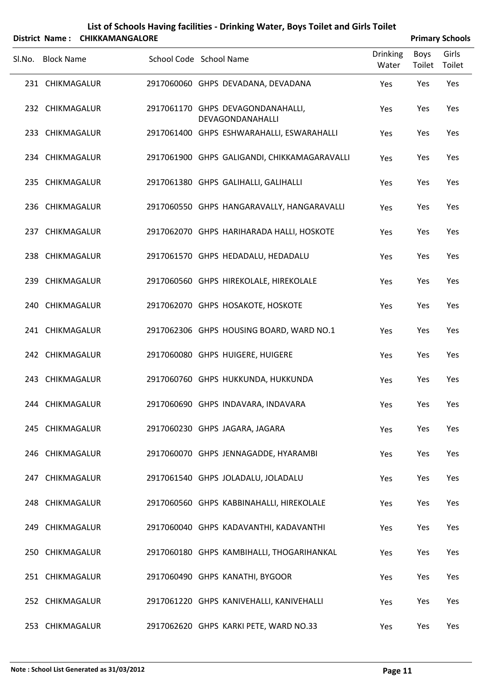| List of Schools Having facilities - Drinking Water, Boys Toilet and Girls Toilet |
|----------------------------------------------------------------------------------|
| $$                                                                               |

| District Name: CHIKKAMANGALORE |                                                       |                          |                | <b>Primary Schools</b> |
|--------------------------------|-------------------------------------------------------|--------------------------|----------------|------------------------|
| Sl.No. Block Name              | School Code School Name                               | <b>Drinking</b><br>Water | Boys<br>Toilet | Girls<br>Toilet        |
| 231 CHIKMAGALUR                | 2917060060 GHPS DEVADANA, DEVADANA                    | Yes                      | Yes            | Yes                    |
| 232 CHIKMAGALUR                | 2917061170 GHPS DEVAGONDANAHALLI,<br>DEVAGONDANAHALLI | Yes                      | Yes            | Yes                    |
| 233 CHIKMAGALUR                | 2917061400 GHPS ESHWARAHALLI, ESWARAHALLI             | Yes                      | Yes            | Yes                    |
| 234 CHIKMAGALUR                | 2917061900 GHPS GALIGANDI, CHIKKAMAGARAVALLI          | Yes                      | Yes            | Yes                    |
| 235 CHIKMAGALUR                | 2917061380 GHPS GALIHALLI, GALIHALLI                  | Yes                      | Yes            | Yes                    |
| 236 CHIKMAGALUR                | 2917060550 GHPS HANGARAVALLY, HANGARAVALLI            | Yes                      | Yes            | Yes                    |
| 237 CHIKMAGALUR                | 2917062070 GHPS HARIHARADA HALLI, HOSKOTE             | Yes                      | Yes            | Yes                    |
| 238 CHIKMAGALUR                | 2917061570 GHPS HEDADALU, HEDADALU                    | Yes                      | Yes            | Yes                    |
| 239 CHIKMAGALUR                | 2917060560 GHPS HIREKOLALE, HIREKOLALE                | Yes                      | Yes            | Yes                    |
| 240 CHIKMAGALUR                | 2917062070 GHPS HOSAKOTE, HOSKOTE                     | Yes                      | Yes            | Yes                    |
| 241 CHIKMAGALUR                | 2917062306 GHPS HOUSING BOARD, WARD NO.1              | Yes                      | Yes            | Yes                    |
| 242 CHIKMAGALUR                | 2917060080 GHPS HUIGERE, HUIGERE                      | Yes                      | Yes            | Yes                    |
| 243 CHIKMAGALUR                | 2917060760 GHPS HUKKUNDA, HUKKUNDA                    | Yes                      | Yes            | Yes                    |
| 244 CHIKMAGALUR                | 2917060690 GHPS INDAVARA, INDAVARA                    | Yes                      | Yes            | Yes                    |
| 245 CHIKMAGALUR                | 2917060230 GHPS JAGARA, JAGARA                        | Yes                      | Yes            | Yes                    |
| 246 CHIKMAGALUR                | 2917060070 GHPS JENNAGADDE, HYARAMBI                  | Yes                      | Yes            | Yes                    |
| 247 CHIKMAGALUR                | 2917061540 GHPS JOLADALU, JOLADALU                    | Yes                      | Yes            | Yes                    |
| 248 CHIKMAGALUR                | 2917060560 GHPS KABBINAHALLI, HIREKOLALE              | Yes                      | Yes            | Yes                    |
| 249 CHIKMAGALUR                | 2917060040 GHPS KADAVANTHI, KADAVANTHI                | Yes                      | Yes            | Yes                    |
| 250 CHIKMAGALUR                | 2917060180 GHPS KAMBIHALLI, THOGARIHANKAL             | Yes                      | Yes            | Yes                    |
| 251 CHIKMAGALUR                | 2917060490 GHPS KANATHI, BYGOOR                       | Yes                      | Yes            | Yes                    |
| 252 CHIKMAGALUR                | 2917061220 GHPS KANIVEHALLI, KANIVEHALLI              | Yes                      | Yes            | Yes                    |
| 253 CHIKMAGALUR                | 2917062620 GHPS KARKI PETE, WARD NO.33                | Yes                      | Yes            | Yes                    |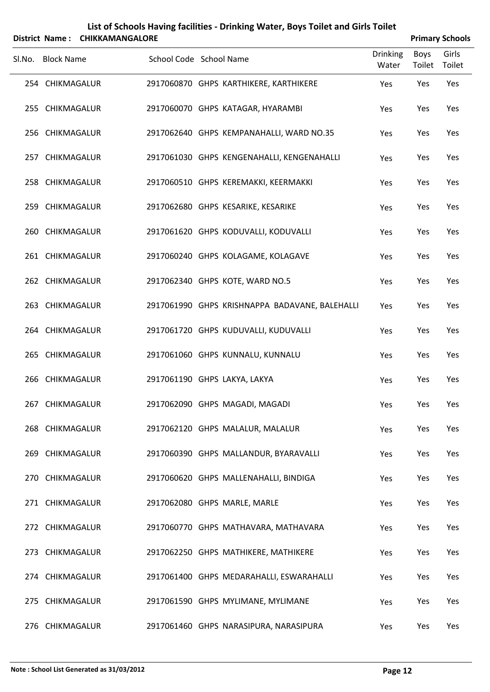|        |                   | District Name: CHIKKAMANGALORE |                         |                                                |                          |                | <b>Primary Schools</b> |
|--------|-------------------|--------------------------------|-------------------------|------------------------------------------------|--------------------------|----------------|------------------------|
| Sl.No. | <b>Block Name</b> |                                | School Code School Name |                                                | <b>Drinking</b><br>Water | Boys<br>Toilet | Girls<br>Toilet        |
|        | 254 CHIKMAGALUR   |                                |                         | 2917060870 GHPS KARTHIKERE, KARTHIKERE         | Yes                      | Yes            | Yes                    |
|        | 255 CHIKMAGALUR   |                                |                         | 2917060070 GHPS KATAGAR, HYARAMBI              | Yes                      | Yes            | Yes                    |
|        | 256 CHIKMAGALUR   |                                |                         | 2917062640 GHPS KEMPANAHALLI, WARD NO.35       | Yes                      | Yes            | Yes                    |
|        | 257 CHIKMAGALUR   |                                |                         | 2917061030 GHPS KENGENAHALLI, KENGENAHALLI     | Yes                      | Yes            | Yes                    |
|        | 258 CHIKMAGALUR   |                                |                         | 2917060510 GHPS KEREMAKKI, KEERMAKKI           | Yes                      | Yes            | Yes                    |
|        | 259 CHIKMAGALUR   |                                |                         | 2917062680 GHPS KESARIKE, KESARIKE             | Yes                      | Yes            | Yes                    |
|        | 260 CHIKMAGALUR   |                                |                         | 2917061620 GHPS KODUVALLI, KODUVALLI           | Yes                      | Yes            | Yes                    |
|        | 261 CHIKMAGALUR   |                                |                         | 2917060240 GHPS KOLAGAME, KOLAGAVE             | Yes                      | Yes            | Yes                    |
|        | 262 CHIKMAGALUR   |                                |                         | 2917062340 GHPS KOTE, WARD NO.5                | Yes                      | Yes            | Yes                    |
|        | 263 CHIKMAGALUR   |                                |                         | 2917061990 GHPS KRISHNAPPA BADAVANE, BALEHALLI | Yes                      | Yes            | Yes                    |
|        | 264 CHIKMAGALUR   |                                |                         | 2917061720 GHPS KUDUVALLI, KUDUVALLI           | Yes                      | Yes            | Yes                    |
|        | 265 CHIKMAGALUR   |                                |                         | 2917061060 GHPS KUNNALU, KUNNALU               | Yes                      | Yes            | Yes                    |
|        | 266 CHIKMAGALUR   |                                |                         | 2917061190 GHPS LAKYA, LAKYA                   | Yes                      | Yes            | Yes                    |
|        | 267 CHIKMAGALUR   |                                |                         | 2917062090 GHPS MAGADI, MAGADI                 | Yes                      | Yes            | Yes                    |
|        | 268 CHIKMAGALUR   |                                |                         | 2917062120 GHPS MALALUR, MALALUR               | Yes                      | Yes            | Yes                    |
|        | 269 CHIKMAGALUR   |                                |                         | 2917060390 GHPS MALLANDUR, BYARAVALLI          | Yes                      | Yes            | Yes                    |
|        | 270 CHIKMAGALUR   |                                |                         | 2917060620 GHPS MALLENAHALLI, BINDIGA          | Yes                      | Yes            | Yes                    |
|        | 271 CHIKMAGALUR   |                                |                         | 2917062080 GHPS MARLE, MARLE                   | Yes                      | Yes            | Yes                    |
|        | 272 CHIKMAGALUR   |                                |                         | 2917060770 GHPS MATHAVARA, MATHAVARA           | Yes                      | Yes            | Yes                    |
|        | 273 CHIKMAGALUR   |                                |                         | 2917062250 GHPS MATHIKERE, MATHIKERE           | Yes                      | Yes            | Yes                    |
|        | 274 CHIKMAGALUR   |                                |                         | 2917061400 GHPS MEDARAHALLI, ESWARAHALLI       | Yes                      | Yes            | Yes                    |
|        | 275 CHIKMAGALUR   |                                |                         | 2917061590 GHPS MYLIMANE, MYLIMANE             | Yes                      | Yes            | Yes                    |
|        | 276 CHIKMAGALUR   |                                |                         | 2917061460 GHPS NARASIPURA, NARASIPURA         | Yes                      | Yes            | Yes                    |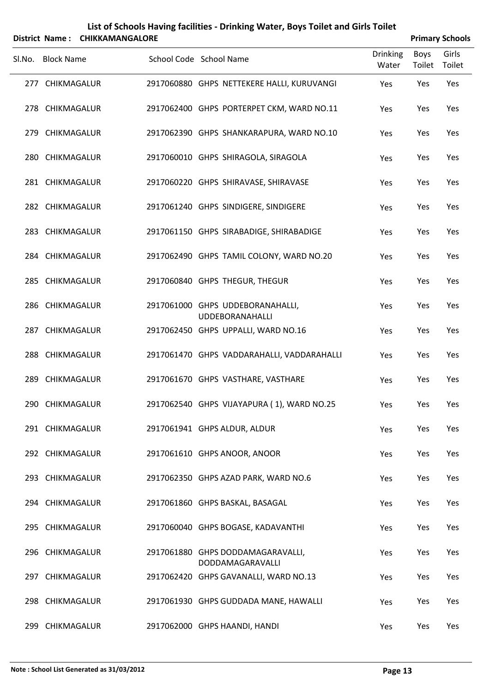|        | <b>District Name:</b> | <b>CHIKKAMANGALORE</b> |                                                            |                          |                | <b>Primary Schools</b> |
|--------|-----------------------|------------------------|------------------------------------------------------------|--------------------------|----------------|------------------------|
| Sl.No. | <b>Block Name</b>     |                        | School Code School Name                                    | <b>Drinking</b><br>Water | Boys<br>Toilet | Girls<br>Toilet        |
|        | 277 CHIKMAGALUR       |                        | 2917060880 GHPS NETTEKERE HALLI, KURUVANGI                 | Yes                      | Yes            | Yes                    |
|        | 278 CHIKMAGALUR       |                        | 2917062400 GHPS PORTERPET CKM, WARD NO.11                  | Yes                      | Yes            | Yes                    |
|        | 279 CHIKMAGALUR       |                        | 2917062390 GHPS SHANKARAPURA, WARD NO.10                   | Yes                      | Yes            | Yes                    |
|        | 280 CHIKMAGALUR       |                        | 2917060010 GHPS SHIRAGOLA, SIRAGOLA                        | Yes                      | Yes            | Yes                    |
|        | 281 CHIKMAGALUR       |                        | 2917060220 GHPS SHIRAVASE, SHIRAVASE                       | Yes                      | Yes            | Yes                    |
|        | 282 CHIKMAGALUR       |                        | 2917061240 GHPS SINDIGERE, SINDIGERE                       | Yes                      | Yes            | Yes                    |
|        | 283 CHIKMAGALUR       |                        | 2917061150 GHPS SIRABADIGE, SHIRABADIGE                    | Yes                      | Yes            | Yes                    |
|        | 284 CHIKMAGALUR       |                        | 2917062490 GHPS TAMIL COLONY, WARD NO.20                   | Yes                      | Yes            | Yes                    |
|        | 285 CHIKMAGALUR       |                        | 2917060840 GHPS THEGUR, THEGUR                             | Yes                      | Yes            | Yes                    |
|        | 286 CHIKMAGALUR       |                        | 2917061000 GHPS UDDEBORANAHALLI,<br><b>UDDEBORANAHALLI</b> | Yes                      | Yes            | Yes                    |
|        | 287 CHIKMAGALUR       |                        | 2917062450 GHPS UPPALLI, WARD NO.16                        | Yes                      | Yes            | Yes                    |
|        | 288 CHIKMAGALUR       |                        | 2917061470 GHPS VADDARAHALLI, VADDARAHALLI                 | Yes                      | Yes            | Yes                    |
| 289    | CHIKMAGALUR           |                        | 2917061670 GHPS VASTHARE, VASTHARE                         | Yes                      | Yes            | Yes                    |
|        | 290 CHIKMAGALUR       |                        | 2917062540 GHPS VIJAYAPURA (1), WARD NO.25                 | Yes                      | Yes            | Yes                    |
|        | 291 CHIKMAGALUR       |                        | 2917061941 GHPS ALDUR, ALDUR                               | Yes                      | Yes            | Yes                    |
|        | 292 CHIKMAGALUR       |                        | 2917061610 GHPS ANOOR, ANOOR                               | Yes                      | Yes            | Yes                    |
|        | 293 CHIKMAGALUR       |                        | 2917062350 GHPS AZAD PARK, WARD NO.6                       | Yes                      | Yes            | Yes                    |
|        | 294 CHIKMAGALUR       |                        | 2917061860 GHPS BASKAL, BASAGAL                            | Yes                      | Yes            | Yes                    |
|        | 295 CHIKMAGALUR       |                        | 2917060040 GHPS BOGASE, KADAVANTHI                         | Yes                      | Yes            | Yes                    |
|        | 296 CHIKMAGALUR       |                        | 2917061880 GHPS DODDAMAGARAVALLI,                          | Yes                      | Yes            | Yes                    |
|        | 297 CHIKMAGALUR       |                        | DODDAMAGARAVALLI<br>2917062420 GHPS GAVANALLI, WARD NO.13  | Yes                      | Yes            | Yes                    |
|        | 298 CHIKMAGALUR       |                        | 2917061930 GHPS GUDDADA MANE, HAWALLI                      | Yes                      | Yes            | Yes                    |
|        | 299 CHIKMAGALUR       |                        | 2917062000 GHPS HAANDI, HANDI                              | Yes                      | Yes            | Yes                    |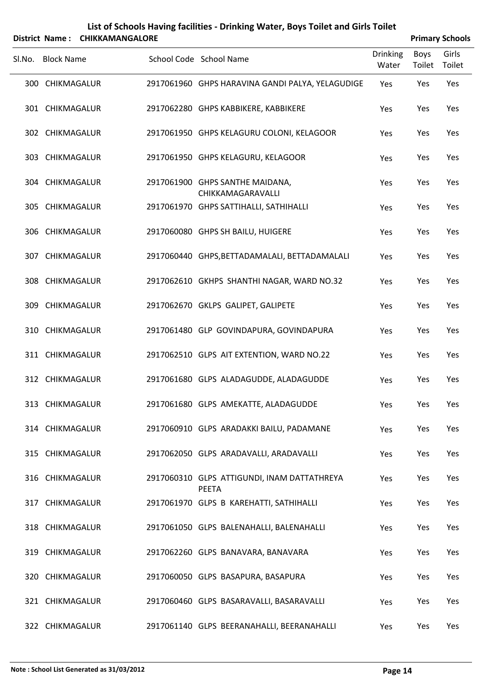| List of Schools Having facilities - Drinking Water, Boys Toilet and Girls Toilet |
|----------------------------------------------------------------------------------|
| District Name: CHIKKAMANGALORE                                                   |

| <b>Primary Schools</b> |  |
|------------------------|--|

|        | . טוווסיו ועוווס<br><b>CHINNAIVIAIVOALUNL</b> |                                                             |                          |                | Fillindiy Juliuuls |
|--------|-----------------------------------------------|-------------------------------------------------------------|--------------------------|----------------|--------------------|
| Sl.No. | <b>Block Name</b>                             | School Code School Name                                     | <b>Drinking</b><br>Water | Boys<br>Toilet | Girls<br>Toilet    |
|        | 300 CHIKMAGALUR                               | 2917061960 GHPS HARAVINA GANDI PALYA, YELAGUDIGE            | Yes                      | Yes            | Yes                |
|        | 301 CHIKMAGALUR                               | 2917062280 GHPS KABBIKERE, KABBIKERE                        | Yes                      | Yes            | Yes                |
|        | 302 CHIKMAGALUR                               | 2917061950 GHPS KELAGURU COLONI, KELAGOOR                   | Yes                      | Yes            | Yes                |
|        | 303 CHIKMAGALUR                               | 2917061950 GHPS KELAGURU, KELAGOOR                          | Yes                      | Yes            | Yes                |
|        | 304 CHIKMAGALUR                               | 2917061900 GHPS SANTHE MAIDANA,<br>CHIKKAMAGARAVALLI        | Yes                      | Yes            | Yes                |
|        | 305 CHIKMAGALUR                               | 2917061970 GHPS SATTIHALLI, SATHIHALLI                      | Yes                      | Yes            | Yes                |
|        | 306 CHIKMAGALUR                               | 2917060080 GHPS SH BAILU, HUIGERE                           | Yes                      | Yes            | Yes                |
|        | 307 CHIKMAGALUR                               | 2917060440 GHPS, BETTADAMALALI, BETTADAMALALI               | Yes                      | Yes            | Yes                |
|        | 308 CHIKMAGALUR                               | 2917062610 GKHPS SHANTHI NAGAR, WARD NO.32                  | Yes                      | Yes            | Yes                |
|        | 309 CHIKMAGALUR                               | 2917062670 GKLPS GALIPET, GALIPETE                          | Yes                      | Yes            | Yes                |
|        | 310 CHIKMAGALUR                               | 2917061480 GLP GOVINDAPURA, GOVINDAPURA                     | Yes                      | Yes            | Yes                |
|        | 311 CHIKMAGALUR                               | 2917062510 GLPS AIT EXTENTION, WARD NO.22                   | Yes                      | Yes            | Yes                |
|        | 312 CHIKMAGALUR                               | 2917061680 GLPS ALADAGUDDE, ALADAGUDDE                      | Yes                      | Yes            | Yes                |
|        | 313 CHIKMAGALUR                               | 2917061680 GLPS AMEKATTE, ALADAGUDDE                        | Yes                      | Yes            | Yes                |
|        | 314 CHIKMAGALUR                               | 2917060910 GLPS ARADAKKI BAILU, PADAMANE                    | Yes                      | Yes            | Yes                |
|        | 315 CHIKMAGALUR                               | 2917062050 GLPS ARADAVALLI, ARADAVALLI                      | Yes                      | Yes            | Yes                |
|        | 316 CHIKMAGALUR                               | 2917060310 GLPS ATTIGUNDI, INAM DATTATHREYA<br><b>PEETA</b> | Yes                      | Yes            | Yes                |
|        | 317 CHIKMAGALUR                               | 2917061970 GLPS B KAREHATTI, SATHIHALLI                     | Yes                      | Yes            | Yes                |
|        | 318 CHIKMAGALUR                               | 2917061050 GLPS BALENAHALLI, BALENAHALLI                    | Yes                      | Yes            | Yes                |
|        | 319 CHIKMAGALUR                               | 2917062260 GLPS BANAVARA, BANAVARA                          | Yes                      | Yes            | Yes                |
|        | 320 CHIKMAGALUR                               | 2917060050 GLPS BASAPURA, BASAPURA                          | Yes                      | Yes            | Yes                |
|        | 321 CHIKMAGALUR                               | 2917060460 GLPS BASARAVALLI, BASARAVALLI                    | Yes                      | Yes            | Yes                |
|        | 322 CHIKMAGALUR                               | 2917061140 GLPS BEERANAHALLI, BEERANAHALLI                  | Yes                      | Yes            | Yes                |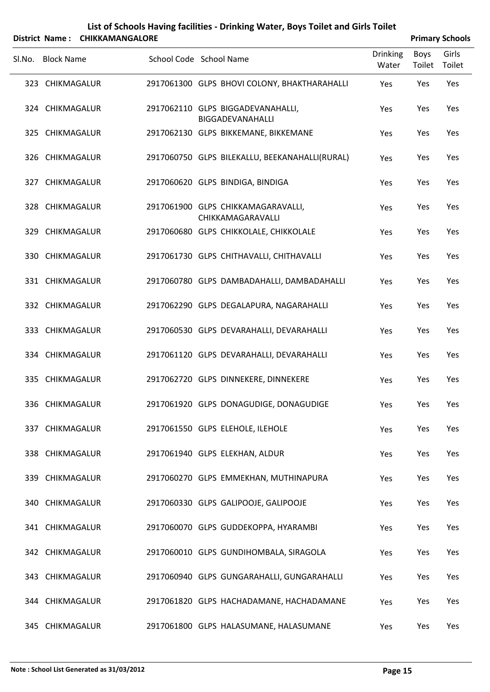|        |                   | District Name: CHIKKAMANGALORE |                                                         |                          |                | <b>Primary Schools</b> |
|--------|-------------------|--------------------------------|---------------------------------------------------------|--------------------------|----------------|------------------------|
| SI.No. | <b>Block Name</b> |                                | School Code School Name                                 | <b>Drinking</b><br>Water | Boys<br>Toilet | Girls<br>Toilet        |
|        | 323 CHIKMAGALUR   |                                | 2917061300 GLPS BHOVI COLONY, BHAKTHARAHALLI            | Yes                      | Yes            | Yes                    |
|        | 324 CHIKMAGALUR   |                                | 2917062110 GLPS BIGGADEVANAHALLI,<br>BIGGADEVANAHALLI   | Yes                      | Yes            | Yes                    |
|        | 325 CHIKMAGALUR   |                                | 2917062130 GLPS BIKKEMANE, BIKKEMANE                    | Yes                      | Yes            | Yes                    |
|        | 326 CHIKMAGALUR   |                                | 2917060750 GLPS BILEKALLU, BEEKANAHALLI(RURAL)          | Yes                      | Yes            | Yes                    |
|        | 327 CHIKMAGALUR   |                                | 2917060620 GLPS BINDIGA, BINDIGA                        | Yes                      | Yes            | Yes                    |
|        | 328 CHIKMAGALUR   |                                | 2917061900 GLPS CHIKKAMAGARAVALLI,<br>CHIKKAMAGARAVALLI | Yes                      | Yes            | Yes                    |
|        | 329 CHIKMAGALUR   |                                | 2917060680 GLPS CHIKKOLALE, CHIKKOLALE                  | Yes                      | Yes            | Yes                    |
|        | 330 CHIKMAGALUR   |                                | 2917061730 GLPS CHITHAVALLI, CHITHAVALLI                | Yes                      | Yes            | Yes                    |
|        | 331 CHIKMAGALUR   |                                | 2917060780 GLPS DAMBADAHALLI, DAMBADAHALLI              | Yes                      | Yes            | Yes                    |
|        | 332 CHIKMAGALUR   |                                | 2917062290 GLPS DEGALAPURA, NAGARAHALLI                 | Yes                      | Yes            | Yes                    |
|        | 333 CHIKMAGALUR   |                                | 2917060530 GLPS DEVARAHALLI, DEVARAHALLI                | Yes                      | Yes            | Yes                    |
|        | 334 CHIKMAGALUR   |                                | 2917061120 GLPS DEVARAHALLI, DEVARAHALLI                | Yes                      | Yes            | Yes                    |
|        | 335 CHIKMAGALUR   |                                | 2917062720 GLPS DINNEKERE, DINNEKERE                    | Yes                      | Yes            | Yes                    |
|        | 336 CHIKMAGALUR   |                                | 2917061920 GLPS DONAGUDIGE, DONAGUDIGE                  | Yes                      | Yes            | Yes                    |
|        | 337 CHIKMAGALUR   |                                | 2917061550 GLPS ELEHOLE, ILEHOLE                        | Yes                      | Yes            | Yes                    |
|        | 338 CHIKMAGALUR   |                                | 2917061940 GLPS ELEKHAN, ALDUR                          | Yes                      | Yes            | Yes                    |
|        | 339 CHIKMAGALUR   |                                | 2917060270 GLPS EMMEKHAN, MUTHINAPURA                   | Yes                      | Yes            | Yes                    |
|        | 340 CHIKMAGALUR   |                                | 2917060330 GLPS GALIPOOJE, GALIPOOJE                    | Yes                      | Yes            | Yes                    |
|        | 341 CHIKMAGALUR   |                                | 2917060070 GLPS GUDDEKOPPA, HYARAMBI                    | Yes                      | Yes            | Yes                    |
|        | 342 CHIKMAGALUR   |                                | 2917060010 GLPS GUNDIHOMBALA, SIRAGOLA                  | Yes                      | Yes            | Yes                    |
|        | 343 CHIKMAGALUR   |                                | 2917060940 GLPS GUNGARAHALLI, GUNGARAHALLI              | Yes                      | Yes            | Yes                    |
|        | 344 CHIKMAGALUR   |                                | 2917061820 GLPS HACHADAMANE, HACHADAMANE                | Yes                      | Yes            | Yes                    |
|        | 345 CHIKMAGALUR   |                                | 2917061800 GLPS HALASUMANE, HALASUMANE                  | Yes                      | Yes            | Yes                    |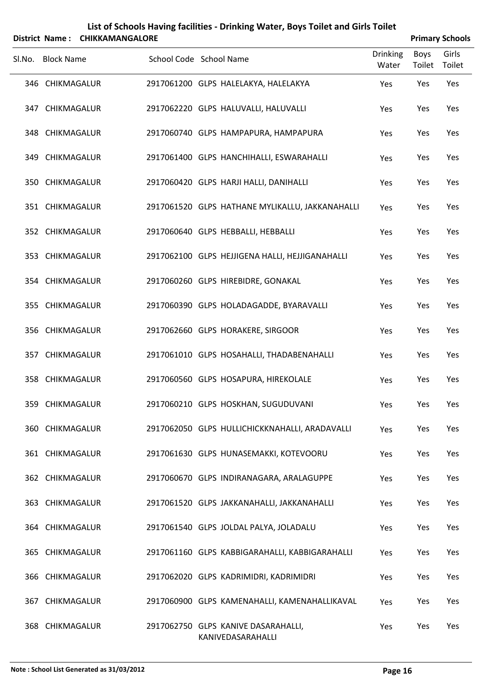|        | List of Schools Having facilities - Drinking Water, Boys Toilet and Girls Toilet<br>District Name: CHIKKAMANGALORE<br><b>Primary Schools</b> |  |                         |  |                                                 |                          |                       |                 |  |
|--------|----------------------------------------------------------------------------------------------------------------------------------------------|--|-------------------------|--|-------------------------------------------------|--------------------------|-----------------------|-----------------|--|
| Sl.No. | <b>Block Name</b>                                                                                                                            |  | School Code School Name |  |                                                 | <b>Drinking</b><br>Water | <b>Boys</b><br>Toilet | Girls<br>Toilet |  |
|        | 346 CHIKMAGALUR                                                                                                                              |  |                         |  | 2917061200 GLPS HALELAKYA, HALELAKYA            | Yes                      | Yes                   | Yes             |  |
|        | 347 CHIKMAGALUR                                                                                                                              |  |                         |  | 2917062220 GLPS HALUVALLI, HALUVALLI            | Yes                      | Yes                   | Yes             |  |
|        | 348 CHIKMAGALUR                                                                                                                              |  |                         |  | 2917060740 GLPS HAMPAPURA, HAMPAPURA            | Yes                      | Yes                   | Yes             |  |
|        | 349 CHIKMAGALUR                                                                                                                              |  |                         |  | 2917061400 GLPS HANCHIHALLI, ESWARAHALLI        | Yes                      | Yes                   | Yes             |  |
|        | 350 CHIKMAGALUR                                                                                                                              |  |                         |  | 2917060420 GLPS HARJI HALLI, DANIHALLI          | Yes                      | Yes                   | Yes             |  |
|        | 351 CHIKMAGALUR                                                                                                                              |  |                         |  | 2917061520 GLPS HATHANE MYLIKALLU, JAKKANAHALLI | Yes                      | Yes                   | Yes             |  |
|        | 352 CHIKMAGALUR                                                                                                                              |  |                         |  | 2917060640 GLPS HEBBALLI, HEBBALLI              | Yes                      | Yes                   | Yes             |  |
|        | 353 CHIKMAGALUR                                                                                                                              |  |                         |  | 2917062100 GLPS HEJJIGENA HALLI, HEJJIGANAHALLI | Yes                      | Yes                   | Yes             |  |
|        | 354 CHIKMAGALUR                                                                                                                              |  |                         |  | 2917060260 GLPS HIREBIDRE, GONAKAL              | Yes                      | Yes                   | Yes             |  |
|        | 355 CHIKMAGALUR                                                                                                                              |  |                         |  | 2917060390 GLPS HOLADAGADDE, BYARAVALLI         | Yes                      | Yes                   | Yes             |  |
|        | 356 CHIKMAGALUR                                                                                                                              |  |                         |  | 2917062660 GLPS HORAKERE, SIRGOOR               | Yes                      | Yes                   | Yes             |  |
|        | 357 CHIKMAGALUR                                                                                                                              |  |                         |  | 2917061010 GLPS HOSAHALLI, THADABENAHALLI       | Yes                      | Yes                   | Yes             |  |
|        | 358 CHIKMAGALUR                                                                                                                              |  |                         |  | 2917060560 GLPS HOSAPURA, HIREKOLALE            | Yes                      | Yes                   | Yes             |  |
|        | 359 CHIKMAGALUR                                                                                                                              |  |                         |  | 2917060210 GLPS HOSKHAN, SUGUDUVANI             | Yes                      | Yes                   | Yes             |  |
|        | 360 CHIKMAGALUR                                                                                                                              |  |                         |  | 2917062050 GLPS HULLICHICKKNAHALLI, ARADAVALLI  | Yes                      | Yes                   | Yes             |  |
|        | 361 CHIKMAGALUR                                                                                                                              |  |                         |  | 2917061630 GLPS HUNASEMAKKI, KOTEVOORU          | Yes                      | Yes                   | Yes             |  |
|        | 362 CHIKMAGALUR                                                                                                                              |  |                         |  | 2917060670 GLPS INDIRANAGARA, ARALAGUPPE        | Yes                      | Yes                   | Yes             |  |
|        | 363 CHIKMAGALUR                                                                                                                              |  |                         |  | 2917061520 GLPS JAKKANAHALLI, JAKKANAHALLI      | Yes                      | Yes                   | Yes             |  |
|        | 364 CHIKMAGALUR                                                                                                                              |  |                         |  | 2917061540 GLPS JOLDAL PALYA, JOLADALU          | Yes                      | Yes                   | Yes             |  |
|        | 365 CHIKMAGALUR                                                                                                                              |  |                         |  | 2917061160 GLPS KABBIGARAHALLI, KABBIGARAHALLI  | Yes                      | Yes                   | Yes             |  |
|        | 366 CHIKMAGALUR                                                                                                                              |  |                         |  | 2917062020 GLPS KADRIMIDRI, KADRIMIDRI          | Yes                      | Yes                   | Yes             |  |
|        | 367 CHIKMAGALUR                                                                                                                              |  |                         |  | 2917060900 GLPS KAMENAHALLI, KAMENAHALLIKAVAL   | Yes                      | Yes                   | Yes             |  |
|        | 368 CHIKMAGALUR                                                                                                                              |  |                         |  | 2917062750 GLPS KANIVE DASARAHALLI,             | Yes                      | Yes                   | Yes             |  |

KANIVEDASARAHALLI

### **Note : School List Generated as 31/03/2012 Page 16**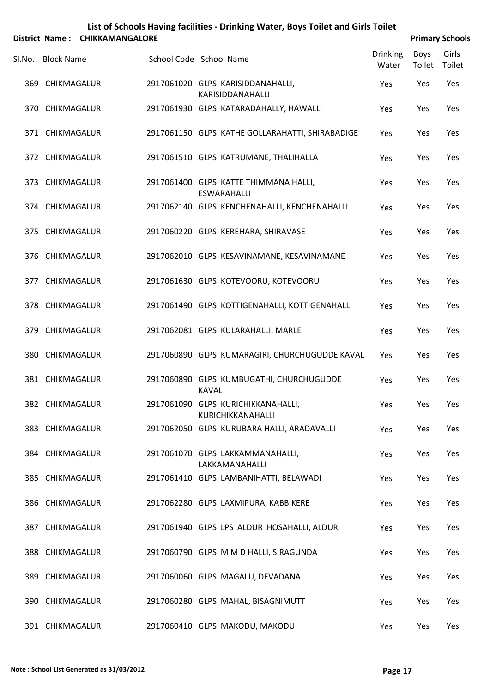|        |                   | District Name: CHIKKAMANGALORE |                                                             |                          |                | <b>Primary Schools</b> |
|--------|-------------------|--------------------------------|-------------------------------------------------------------|--------------------------|----------------|------------------------|
| Sl.No. | <b>Block Name</b> |                                | School Code School Name                                     | <b>Drinking</b><br>Water | Boys<br>Toilet | Girls<br>Toilet        |
|        | 369 CHIKMAGALUR   |                                | 2917061020 GLPS KARISIDDANAHALLI,<br>KARISIDDANAHALLI       | Yes                      | Yes            | Yes                    |
|        | 370 CHIKMAGALUR   |                                | 2917061930 GLPS KATARADAHALLY, HAWALLI                      | Yes                      | Yes            | Yes                    |
|        | 371 CHIKMAGALUR   |                                | 2917061150 GLPS KATHE GOLLARAHATTI, SHIRABADIGE             | Yes                      | Yes            | Yes                    |
|        | 372 CHIKMAGALUR   |                                | 2917061510 GLPS KATRUMANE, THALIHALLA                       | Yes                      | Yes            | Yes                    |
|        | 373 CHIKMAGALUR   |                                | 2917061400 GLPS KATTE THIMMANA HALLI,<br><b>ESWARAHALLI</b> | Yes                      | Yes            | Yes                    |
|        | 374 CHIKMAGALUR   |                                | 2917062140 GLPS KENCHENAHALLI, KENCHENAHALLI                | Yes                      | Yes            | Yes                    |
|        | 375 CHIKMAGALUR   |                                | 2917060220 GLPS KEREHARA, SHIRAVASE                         | Yes                      | Yes            | Yes                    |
|        | 376 CHIKMAGALUR   |                                | 2917062010 GLPS KESAVINAMANE, KESAVINAMANE                  | Yes                      | Yes            | Yes                    |
|        | 377 CHIKMAGALUR   |                                | 2917061630 GLPS KOTEVOORU, KOTEVOORU                        | Yes                      | Yes            | Yes                    |
|        | 378 CHIKMAGALUR   |                                | 2917061490 GLPS KOTTIGENAHALLI, KOTTIGENAHALLI              | Yes                      | Yes            | Yes                    |
|        | 379 CHIKMAGALUR   |                                | 2917062081 GLPS KULARAHALLI, MARLE                          | Yes                      | Yes            | Yes                    |
|        | 380 CHIKMAGALUR   |                                | 2917060890 GLPS KUMARAGIRI, CHURCHUGUDDE KAVAL              | Yes                      | Yes            | Yes                    |
|        | 381 CHIKMAGALUR   |                                | 2917060890 GLPS KUMBUGATHI, CHURCHUGUDDE<br><b>KAVAL</b>    | Yes                      | Yes            | Yes                    |
|        | 382 CHIKMAGALUR   |                                | 2917061090 GLPS KURICHIKKANAHALLI,<br>KURICHIKKANAHALLI     | Yes                      | Yes            | Yes                    |
|        | 383 CHIKMAGALUR   |                                | 2917062050 GLPS KURUBARA HALLI, ARADAVALLI                  | Yes                      | Yes            | Yes                    |
|        | 384 CHIKMAGALUR   |                                | 2917061070 GLPS LAKKAMMANAHALLI,<br>LAKKAMANAHALLI          | Yes                      | Yes            | Yes                    |
|        | 385 CHIKMAGALUR   |                                | 2917061410 GLPS LAMBANIHATTI, BELAWADI                      | Yes                      | Yes            | Yes                    |
|        | 386 CHIKMAGALUR   |                                | 2917062280 GLPS LAXMIPURA, KABBIKERE                        | Yes                      | Yes            | Yes                    |
|        | 387 CHIKMAGALUR   |                                | 2917061940 GLPS LPS ALDUR HOSAHALLI, ALDUR                  | Yes                      | Yes            | Yes                    |
|        | 388 CHIKMAGALUR   |                                | 2917060790 GLPS M M D HALLI, SIRAGUNDA                      | Yes                      | Yes            | Yes                    |
|        | 389 CHIKMAGALUR   |                                | 2917060060 GLPS MAGALU, DEVADANA                            | Yes                      | Yes            | Yes                    |
|        | 390 CHIKMAGALUR   |                                | 2917060280 GLPS MAHAL, BISAGNIMUTT                          | Yes                      | Yes            | Yes                    |
|        | 391 CHIKMAGALUR   |                                | 2917060410 GLPS MAKODU, MAKODU                              | Yes                      | Yes            | Yes                    |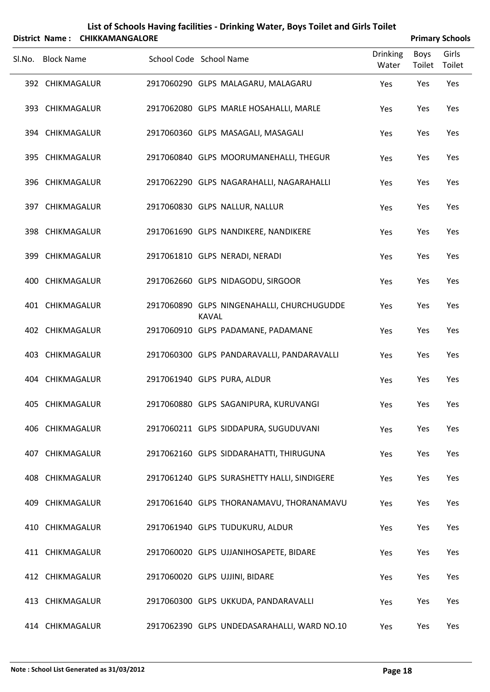|        |                   | District Name: CHIKKAMANGALORE |              | List of Schools Having facilities - Drinking Water, Boys Toilet and Girls Toilet |                          |                       | <b>Primary Schools</b> |
|--------|-------------------|--------------------------------|--------------|----------------------------------------------------------------------------------|--------------------------|-----------------------|------------------------|
| SI.No. | <b>Block Name</b> | School Code School Name        |              |                                                                                  | <b>Drinking</b><br>Water | <b>Boys</b><br>Toilet | Girls<br>Toilet        |
|        | 392 CHIKMAGALUR   |                                |              | 2917060290 GLPS MALAGARU, MALAGARU                                               | Yes                      | Yes                   | Yes                    |
|        | 393 CHIKMAGALUR   |                                |              | 2917062080 GLPS MARLE HOSAHALLI, MARLE                                           | Yes                      | Yes                   | Yes                    |
|        | 394 CHIKMAGALUR   |                                |              | 2917060360 GLPS MASAGALI, MASAGALI                                               | Yes                      | Yes                   | Yes                    |
|        | 395 CHIKMAGALUR   |                                |              | 2917060840 GLPS MOORUMANEHALLI, THEGUR                                           | Yes                      | Yes                   | Yes                    |
|        | 396 CHIKMAGALUR   |                                |              | 2917062290 GLPS NAGARAHALLI, NAGARAHALLI                                         | Yes                      | Yes                   | Yes                    |
|        | 397 CHIKMAGALUR   |                                |              | 2917060830 GLPS NALLUR, NALLUR                                                   | Yes                      | Yes                   | Yes                    |
|        | 398 CHIKMAGALUR   |                                |              | 2917061690 GLPS NANDIKERE, NANDIKERE                                             | Yes                      | Yes                   | Yes                    |
|        | 399 CHIKMAGALUR   |                                |              | 2917061810 GLPS NERADI, NERADI                                                   | Yes                      | Yes                   | Yes                    |
|        | 400 CHIKMAGALUR   |                                |              | 2917062660 GLPS NIDAGODU, SIRGOOR                                                | Yes                      | Yes                   | Yes                    |
|        | 401 CHIKMAGALUR   |                                | <b>KAVAL</b> | 2917060890 GLPS NINGENAHALLI, CHURCHUGUDDE                                       | Yes                      | Yes                   | Yes                    |
|        | 402 CHIKMAGALUR   |                                |              | 2917060910 GLPS PADAMANE, PADAMANE                                               | Yes                      | Yes                   | Yes                    |
|        | 403 CHIKMAGALUR   |                                |              | 2917060300 GLPS PANDARAVALLI, PANDARAVALLI                                       | Yes                      | Yes                   | Yes                    |
|        | 404 CHIKMAGALUR   |                                |              | 2917061940 GLPS PURA, ALDUR                                                      | Yes                      | Yes                   | Yes                    |
|        | 405 CHIKMAGALUR   |                                |              | 2917060880 GLPS SAGANIPURA, KURUVANGI                                            | Yes                      | Yes                   | Yes                    |
|        | 406 CHIKMAGALUR   |                                |              | 2917060211 GLPS SIDDAPURA, SUGUDUVANI                                            | Yes                      | Yes                   | Yes                    |
|        | 407 CHIKMAGALUR   |                                |              | 2917062160 GLPS SIDDARAHATTI, THIRUGUNA                                          | Yes                      | Yes                   | Yes                    |
|        | 408 CHIKMAGALUR   |                                |              | 2917061240 GLPS SURASHETTY HALLI, SINDIGERE                                      | Yes                      | Yes                   | Yes                    |
|        | 409 CHIKMAGALUR   |                                |              | 2917061640 GLPS THORANAMAVU, THORANAMAVU                                         | Yes                      | Yes                   | Yes                    |
|        | 410 CHIKMAGALUR   |                                |              | 2917061940 GLPS TUDUKURU, ALDUR                                                  | Yes                      | Yes                   | Yes                    |
|        | 411 CHIKMAGALUR   |                                |              | 2917060020 GLPS UJJANIHOSAPETE, BIDARE                                           | Yes                      | Yes                   | Yes                    |
|        | 412 CHIKMAGALUR   |                                |              | 2917060020 GLPS UJJINI, BIDARE                                                   | Yes                      | Yes                   | Yes                    |
|        | 413 CHIKMAGALUR   |                                |              | 2917060300 GLPS UKKUDA, PANDARAVALLI                                             | Yes                      | Yes                   | Yes                    |
|        | 414 CHIKMAGALUR   |                                |              | 2917062390 GLPS UNDEDASARAHALLI, WARD NO.10                                      | Yes                      | Yes                   | Yes                    |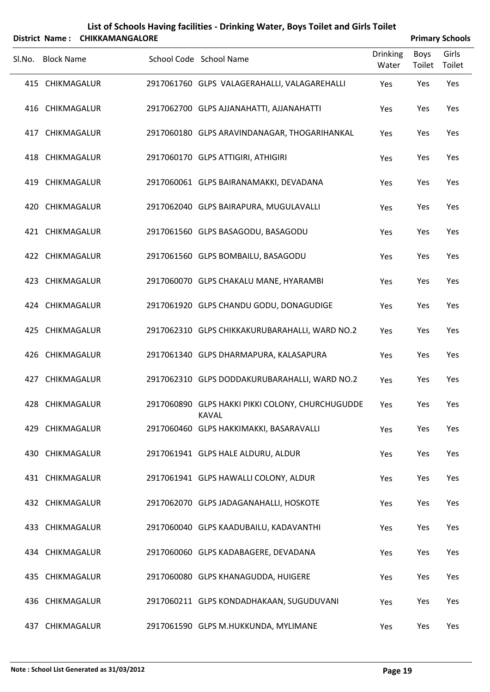| List of Schools Having facilities - Drinking Water, Boys Toilet and Girls Toilet |
|----------------------------------------------------------------------------------|
| $$                                                                               |

|        | District Name: CHIKKAMANGALORE |                                                                  | <b>Primary Schools</b>   |                |                 |  |
|--------|--------------------------------|------------------------------------------------------------------|--------------------------|----------------|-----------------|--|
| Sl.No. | <b>Block Name</b>              | School Code School Name                                          | <b>Drinking</b><br>Water | Boys<br>Toilet | Girls<br>Toilet |  |
|        | 415 CHIKMAGALUR                | 2917061760 GLPS VALAGERAHALLI, VALAGAREHALLI                     | Yes                      | Yes            | Yes             |  |
|        | 416 CHIKMAGALUR                | 2917062700 GLPS AJJANAHATTI, AJJANAHATTI                         | Yes                      | Yes            | Yes             |  |
|        | 417 CHIKMAGALUR                | 2917060180 GLPS ARAVINDANAGAR, THOGARIHANKAL                     | Yes                      | Yes            | Yes             |  |
|        | 418 CHIKMAGALUR                | 2917060170 GLPS ATTIGIRI, ATHIGIRI                               | Yes                      | Yes            | Yes             |  |
|        | 419 CHIKMAGALUR                | 2917060061 GLPS BAIRANAMAKKI, DEVADANA                           | Yes                      | Yes            | Yes             |  |
|        | 420 CHIKMAGALUR                | 2917062040 GLPS BAIRAPURA, MUGULAVALLI                           | Yes                      | Yes            | Yes             |  |
|        | 421 CHIKMAGALUR                | 2917061560 GLPS BASAGODU, BASAGODU                               | Yes                      | Yes            | Yes             |  |
|        | 422 CHIKMAGALUR                | 2917061560 GLPS BOMBAILU, BASAGODU                               | Yes                      | Yes            | Yes             |  |
|        | 423 CHIKMAGALUR                | 2917060070 GLPS CHAKALU MANE, HYARAMBI                           | Yes                      | Yes            | Yes             |  |
|        | 424 CHIKMAGALUR                | 2917061920 GLPS CHANDU GODU, DONAGUDIGE                          | Yes                      | Yes            | Yes             |  |
|        | 425 CHIKMAGALUR                | 2917062310 GLPS CHIKKAKURUBARAHALLI, WARD NO.2                   | Yes                      | Yes            | Yes             |  |
|        | 426 CHIKMAGALUR                | 2917061340 GLPS DHARMAPURA, KALASAPURA                           | Yes                      | Yes            | Yes             |  |
|        | 427 CHIKMAGALUR                | 2917062310 GLPS DODDAKURUBARAHALLI, WARD NO.2                    | Yes                      | Yes            | Yes             |  |
|        | 428 CHIKMAGALUR                | 2917060890 GLPS HAKKI PIKKI COLONY, CHURCHUGUDDE<br><b>KAVAL</b> | Yes                      | Yes            | Yes             |  |
|        | 429 CHIKMAGALUR                | 2917060460 GLPS HAKKIMAKKI, BASARAVALLI                          | Yes                      | Yes            | Yes             |  |
|        | 430 CHIKMAGALUR                | 2917061941 GLPS HALE ALDURU, ALDUR                               | Yes                      | Yes            | Yes             |  |
|        | 431 CHIKMAGALUR                | 2917061941 GLPS HAWALLI COLONY, ALDUR                            | Yes                      | Yes            | Yes             |  |
|        | 432 CHIKMAGALUR                | 2917062070 GLPS JADAGANAHALLI, HOSKOTE                           | Yes                      | Yes            | Yes             |  |
|        | 433 CHIKMAGALUR                | 2917060040 GLPS KAADUBAILU, KADAVANTHI                           | Yes                      | Yes            | Yes             |  |
|        | 434 CHIKMAGALUR                | 2917060060 GLPS KADABAGERE, DEVADANA                             | Yes                      | Yes            | Yes             |  |
|        | 435 CHIKMAGALUR                | 2917060080 GLPS KHANAGUDDA, HUIGERE                              | Yes                      | Yes            | Yes             |  |
|        | 436 CHIKMAGALUR                | 2917060211 GLPS KONDADHAKAAN, SUGUDUVANI                         | Yes                      | Yes            | Yes             |  |
|        | 437 CHIKMAGALUR                | 2917061590 GLPS M.HUKKUNDA, MYLIMANE                             | Yes                      | Yes            | Yes             |  |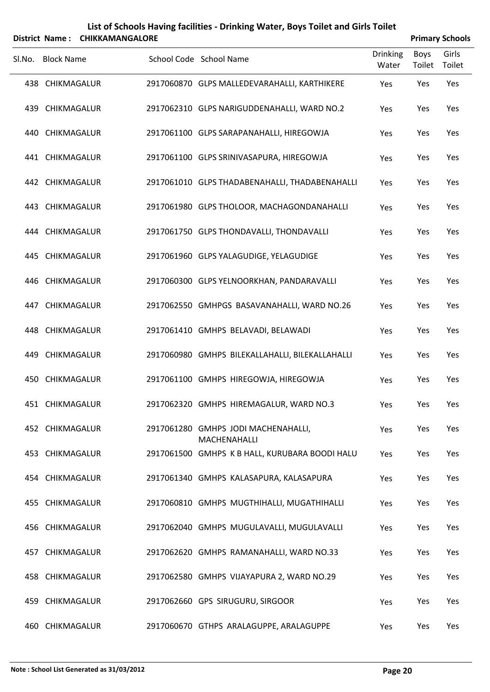|        |                   | District Name: CHIKKAMANGALORE |                                                     |                          | <b>Primary Schools</b> |                 |
|--------|-------------------|--------------------------------|-----------------------------------------------------|--------------------------|------------------------|-----------------|
| Sl.No. | <b>Block Name</b> |                                | School Code School Name                             | <b>Drinking</b><br>Water | <b>Boys</b><br>Toilet  | Girls<br>Toilet |
|        | 438 CHIKMAGALUR   |                                | 2917060870 GLPS MALLEDEVARAHALLI, KARTHIKERE        | Yes                      | Yes                    | Yes             |
|        | 439 CHIKMAGALUR   |                                | 2917062310 GLPS NARIGUDDENAHALLI, WARD NO.2         | Yes                      | Yes                    | Yes             |
| 440    | CHIKMAGALUR       |                                | 2917061100 GLPS SARAPANAHALLI, HIREGOWJA            | Yes                      | Yes                    | Yes             |
|        | 441 CHIKMAGALUR   |                                | 2917061100 GLPS SRINIVASAPURA, HIREGOWJA            | Yes                      | Yes                    | Yes             |
|        | 442 CHIKMAGALUR   |                                | 2917061010 GLPS THADABENAHALLI, THADABENAHALLI      | Yes                      | Yes                    | Yes             |
|        | 443 CHIKMAGALUR   |                                | 2917061980 GLPS THOLOOR, MACHAGONDANAHALLI          | Yes                      | Yes                    | Yes             |
|        | 444 CHIKMAGALUR   |                                | 2917061750 GLPS THONDAVALLI, THONDAVALLI            | Yes                      | Yes                    | Yes             |
|        | 445 CHIKMAGALUR   |                                | 2917061960 GLPS YALAGUDIGE, YELAGUDIGE              | Yes                      | Yes                    | Yes             |
|        | 446 CHIKMAGALUR   |                                | 2917060300 GLPS YELNOORKHAN, PANDARAVALLI           | Yes                      | Yes                    | Yes             |
|        | 447 CHIKMAGALUR   |                                | 2917062550 GMHPGS BASAVANAHALLI, WARD NO.26         | Yes                      | Yes                    | Yes             |
|        | 448 CHIKMAGALUR   |                                | 2917061410 GMHPS BELAVADI, BELAWADI                 | Yes                      | Yes                    | Yes             |
|        | 449 CHIKMAGALUR   |                                | 2917060980 GMHPS BILEKALLAHALLI, BILEKALLAHALLI     | Yes                      | Yes                    | Yes             |
| 450    | CHIKMAGALUR       |                                | 2917061100 GMHPS HIREGOWJA, HIREGOWJA               | Yes                      | Yes                    | Yes             |
|        | 451 CHIKMAGALUR   |                                | 2917062320 GMHPS HIREMAGALUR, WARD NO.3             | Yes                      | Yes                    | Yes             |
|        | 452 CHIKMAGALUR   |                                | 2917061280 GMHPS JODI MACHENAHALLI,<br>MACHENAHALLI | Yes                      | Yes                    | Yes             |
|        | 453 CHIKMAGALUR   |                                | 2917061500 GMHPS K B HALL, KURUBARA BOODI HALU      | Yes                      | Yes                    | Yes             |
|        | 454 CHIKMAGALUR   |                                | 2917061340 GMHPS KALASAPURA, KALASAPURA             | Yes                      | Yes                    | Yes             |
|        | 455 CHIKMAGALUR   |                                | 2917060810 GMHPS MUGTHIHALLI, MUGATHIHALLI          | Yes                      | Yes                    | Yes             |
|        | 456 CHIKMAGALUR   |                                | 2917062040 GMHPS MUGULAVALLI, MUGULAVALLI           | Yes                      | Yes                    | Yes             |
|        | 457 CHIKMAGALUR   |                                | 2917062620 GMHPS RAMANAHALLI, WARD NO.33            | Yes                      | Yes                    | Yes             |
|        | 458 CHIKMAGALUR   |                                | 2917062580 GMHPS VIJAYAPURA 2, WARD NO.29           | Yes                      | Yes                    | Yes             |
|        | 459 CHIKMAGALUR   |                                | 2917062660 GPS SIRUGURU, SIRGOOR                    | Yes                      | Yes                    | Yes             |
|        |                   |                                |                                                     |                          |                        |                 |

460 CHIKMAGALUR 2917060670 GTHPS ARALAGUPPE, ARALAGUPPE Yes Yes Yes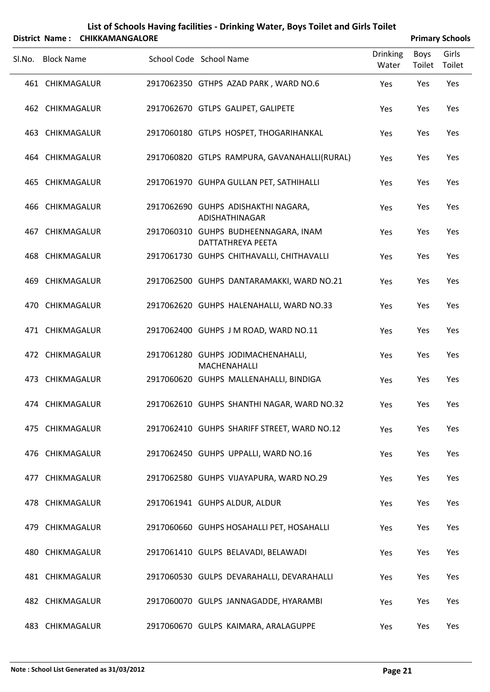| List of Schools Having facilities - Drinking Water, Boys Toilet and Girls Toilet |
|----------------------------------------------------------------------------------|
| _ _ _ .                                                                          |

|        | District Name: CHIKKAMANGALORE |                                                                  |                          |                | <b>Primary Schools</b> |
|--------|--------------------------------|------------------------------------------------------------------|--------------------------|----------------|------------------------|
| Sl.No. | <b>Block Name</b>              | School Code School Name                                          | <b>Drinking</b><br>Water | Boys<br>Toilet | Girls<br>Toilet        |
|        | 461 CHIKMAGALUR                | 2917062350 GTHPS AZAD PARK, WARD NO.6                            | Yes                      | Yes            | Yes                    |
|        | 462 CHIKMAGALUR                | 2917062670 GTLPS GALIPET, GALIPETE                               | Yes                      | Yes            | Yes                    |
|        | 463 CHIKMAGALUR                | 2917060180 GTLPS HOSPET, THOGARIHANKAL                           | Yes                      | Yes            | Yes                    |
|        | 464 CHIKMAGALUR                | 2917060820 GTLPS RAMPURA, GAVANAHALLI(RURAL)                     | Yes                      | Yes            | Yes                    |
|        | 465 CHIKMAGALUR                | 2917061970 GUHPA GULLAN PET, SATHIHALLI                          | Yes                      | Yes            | Yes                    |
|        | 466 CHIKMAGALUR                | 2917062690 GUHPS ADISHAKTHI NAGARA,<br><b>ADISHATHINAGAR</b>     | Yes                      | Yes            | Yes                    |
|        | 467 CHIKMAGALUR                | 2917060310 GUHPS BUDHEENNAGARA, INAM<br><b>DATTATHREYA PEETA</b> | Yes                      | Yes            | Yes                    |
|        | 468 CHIKMAGALUR                | 2917061730 GUHPS CHITHAVALLI, CHITHAVALLI                        | Yes                      | Yes            | Yes                    |
|        | 469 CHIKMAGALUR                | 2917062500 GUHPS DANTARAMAKKI, WARD NO.21                        | Yes                      | Yes            | Yes                    |
|        | 470 CHIKMAGALUR                | 2917062620 GUHPS HALENAHALLI, WARD NO.33                         | Yes                      | Yes            | Yes                    |
|        | 471 CHIKMAGALUR                | 2917062400 GUHPS J M ROAD, WARD NO.11                            | Yes                      | Yes            | Yes                    |
|        | 472 CHIKMAGALUR                | 2917061280 GUHPS JODIMACHENAHALLI,<br>MACHENAHALLI               | Yes                      | Yes            | Yes                    |
|        | 473 CHIKMAGALUR                | 2917060620 GUHPS MALLENAHALLI, BINDIGA                           | Yes                      | Yes            | Yes                    |
|        | 474 CHIKMAGALUR                | 2917062610 GUHPS SHANTHI NAGAR, WARD NO.32                       | Yes                      | Yes            | Yes                    |
|        | 475 CHIKMAGALUR                | 2917062410 GUHPS SHARIFF STREET, WARD NO.12                      | Yes                      | Yes            | Yes                    |
|        | 476 CHIKMAGALUR                | 2917062450 GUHPS UPPALLI, WARD NO.16                             | Yes                      | Yes            | Yes                    |
|        | 477 CHIKMAGALUR                | 2917062580 GUHPS VIJAYAPURA, WARD NO.29                          | Yes                      | Yes            | Yes                    |
|        | 478 CHIKMAGALUR                | 2917061941 GUHPS ALDUR, ALDUR                                    | Yes                      | Yes            | Yes                    |
|        | 479 CHIKMAGALUR                | 2917060660 GUHPS HOSAHALLI PET, HOSAHALLI                        | Yes                      | Yes            | Yes                    |
|        | 480 CHIKMAGALUR                | 2917061410 GULPS BELAVADI, BELAWADI                              | Yes                      | Yes            | Yes                    |
|        | 481 CHIKMAGALUR                | 2917060530 GULPS DEVARAHALLI, DEVARAHALLI                        | Yes                      | Yes            | Yes                    |
|        | 482 CHIKMAGALUR                | 2917060070 GULPS JANNAGADDE, HYARAMBI                            | Yes                      | Yes            | Yes                    |
|        | 483 CHIKMAGALUR                | 2917060670 GULPS KAIMARA, ARALAGUPPE                             | Yes                      | Yes            | Yes                    |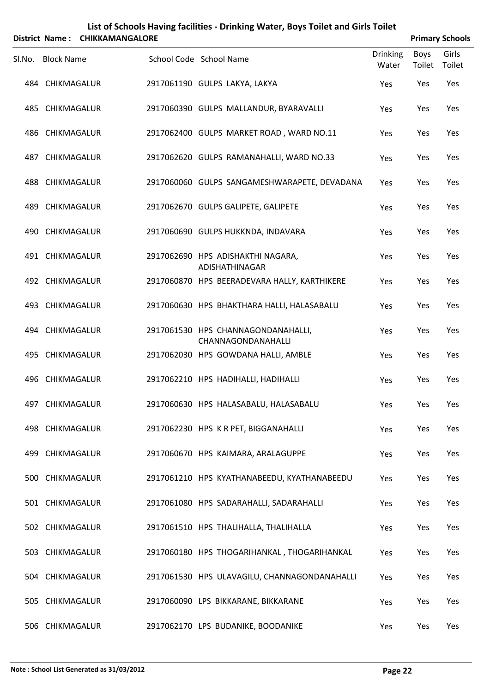| List of Schools Having facilities - Drinking Water, Boys Toilet and Girls Toilet |
|----------------------------------------------------------------------------------|
| --------------------                                                             |

|        |                   | District Name: CHIKKAMANGALORE |                                                          |                          |                | <b>Primary Schools</b> |
|--------|-------------------|--------------------------------|----------------------------------------------------------|--------------------------|----------------|------------------------|
| Sl.No. | <b>Block Name</b> |                                | School Code School Name                                  | <b>Drinking</b><br>Water | Boys<br>Toilet | Girls<br>Toilet        |
|        | 484 CHIKMAGALUR   |                                | 2917061190 GULPS LAKYA, LAKYA                            | Yes                      | Yes            | Yes                    |
|        | 485 CHIKMAGALUR   |                                | 2917060390 GULPS MALLANDUR, BYARAVALLI                   | Yes                      | Yes            | Yes                    |
|        | 486 CHIKMAGALUR   |                                | 2917062400 GULPS MARKET ROAD, WARD NO.11                 | Yes                      | Yes            | Yes                    |
|        | 487 CHIKMAGALUR   |                                | 2917062620 GULPS RAMANAHALLI, WARD NO.33                 | Yes                      | Yes            | Yes                    |
|        | 488 CHIKMAGALUR   |                                | 2917060060 GULPS SANGAMESHWARAPETE, DEVADANA             | Yes                      | Yes            | Yes                    |
|        | 489 CHIKMAGALUR   |                                | 2917062670 GULPS GALIPETE, GALIPETE                      | Yes                      | Yes            | Yes                    |
|        | 490 CHIKMAGALUR   |                                | 2917060690 GULPS HUKKNDA, INDAVARA                       | Yes                      | Yes            | Yes                    |
|        | 491 CHIKMAGALUR   |                                | 2917062690 HPS ADISHAKTHI NAGARA,<br>ADISHATHINAGAR      | Yes                      | Yes            | Yes                    |
|        | 492 CHIKMAGALUR   |                                | 2917060870 HPS BEERADEVARA HALLY, KARTHIKERE             | Yes                      | Yes            | Yes                    |
|        | 493 CHIKMAGALUR   |                                | 2917060630 HPS BHAKTHARA HALLI, HALASABALU               | Yes                      | Yes            | Yes                    |
|        | 494 CHIKMAGALUR   |                                | 2917061530 HPS CHANNAGONDANAHALLI,<br>CHANNAGONDANAHALLI | Yes                      | Yes            | Yes                    |
|        | 495 CHIKMAGALUR   |                                | 2917062030 HPS GOWDANA HALLI, AMBLE                      | Yes                      | Yes            | Yes                    |
|        | 496 CHIKMAGALUR   |                                | 2917062210 HPS HADIHALLI, HADIHALLI                      | Yes                      | Yes            | Yes                    |
|        | 497 CHIKMAGALUR   |                                | 2917060630 HPS HALASABALU, HALASABALU                    | Yes                      | Yes            | Yes                    |
|        | 498 CHIKMAGALUR   |                                | 2917062230 HPS KR PET, BIGGANAHALLI                      | Yes                      | Yes            | Yes                    |
|        | 499 CHIKMAGALUR   |                                | 2917060670 HPS KAIMARA, ARALAGUPPE                       | Yes                      | Yes            | Yes                    |
|        | 500 CHIKMAGALUR   |                                | 2917061210 HPS KYATHANABEEDU, KYATHANABEEDU              | Yes                      | Yes            | Yes                    |
|        | 501 CHIKMAGALUR   |                                | 2917061080 HPS SADARAHALLI, SADARAHALLI                  | Yes                      | Yes            | Yes                    |
|        | 502 CHIKMAGALUR   |                                | 2917061510 HPS THALIHALLA, THALIHALLA                    | Yes                      | Yes            | Yes                    |
|        | 503 CHIKMAGALUR   |                                | 2917060180 HPS THOGARIHANKAL, THOGARIHANKAL              | Yes                      | Yes            | Yes                    |
|        | 504 CHIKMAGALUR   |                                | 2917061530 HPS ULAVAGILU, CHANNAGONDANAHALLI             | Yes                      | Yes            | Yes                    |
|        | 505 CHIKMAGALUR   |                                | 2917060090 LPS BIKKARANE, BIKKARANE                      | Yes                      | Yes            | Yes                    |
|        | 506 CHIKMAGALUR   |                                | 2917062170 LPS BUDANIKE, BOODANIKE                       | Yes                      | Yes            | Yes                    |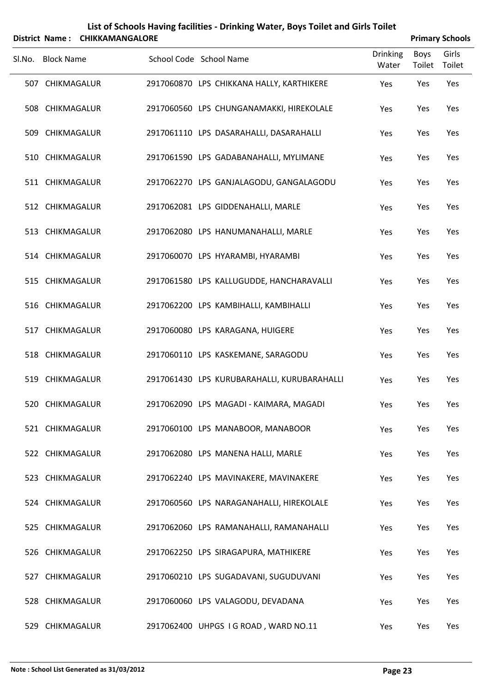|        | <b>District Name:</b> | <b>CHIKKAMANGALORE</b> |                         | List of Schools Having facilities - Drinking Water, Boys Toilet and Girls Toilet |                          |                | <b>Primary Schools</b> |
|--------|-----------------------|------------------------|-------------------------|----------------------------------------------------------------------------------|--------------------------|----------------|------------------------|
| SI.No. | <b>Block Name</b>     |                        | School Code School Name |                                                                                  | <b>Drinking</b><br>Water | Boys<br>Toilet | Girls<br>Toilet        |
|        | 507 CHIKMAGALUR       |                        |                         | 2917060870 LPS CHIKKANA HALLY, KARTHIKERE                                        | Yes                      | Yes            | Yes                    |
|        | 508 CHIKMAGALUR       |                        |                         | 2917060560 LPS CHUNGANAMAKKI, HIREKOLALE                                         | Yes                      | Yes            | Yes                    |
|        | 509 CHIKMAGALUR       |                        |                         | 2917061110 LPS DASARAHALLI, DASARAHALLI                                          | Yes                      | Yes            | Yes                    |
|        | 510 CHIKMAGALUR       |                        |                         | 2917061590 LPS GADABANAHALLI, MYLIMANE                                           | Yes                      | Yes            | Yes                    |
|        | 511 CHIKMAGALUR       |                        |                         | 2917062270 LPS GANJALAGODU, GANGALAGODU                                          | Yes                      | Yes            | Yes                    |
|        | 512 CHIKMAGALUR       |                        |                         | 2917062081 LPS GIDDENAHALLI, MARLE                                               | Yes                      | Yes            | Yes                    |
|        | 513 CHIKMAGALUR       |                        |                         | 2917062080 LPS HANUMANAHALLI, MARLE                                              | Yes                      | Yes            | Yes                    |
|        | 514 CHIKMAGALUR       |                        |                         | 2917060070 LPS HYARAMBI, HYARAMBI                                                | Yes                      | Yes            | Yes                    |
|        | 515 CHIKMAGALUR       |                        |                         | 2917061580 LPS KALLUGUDDE, HANCHARAVALLI                                         | Yes                      | Yes            | Yes                    |
|        | 516 CHIKMAGALUR       |                        |                         | 2917062200 LPS KAMBIHALLI, KAMBIHALLI                                            | Yes                      | Yes            | Yes                    |
|        | 517 CHIKMAGALUR       |                        |                         | 2917060080 LPS KARAGANA, HUIGERE                                                 | Yes                      | Yes            | Yes                    |
|        | 518 CHIKMAGALUR       |                        |                         | 2917060110 LPS KASKEMANE, SARAGODU                                               | Yes                      | Yes            | Yes                    |
|        | 519 CHIKMAGALUR       |                        |                         | 2917061430 LPS KURUBARAHALLI, KURUBARAHALLI                                      | Yes                      | Yes            | Yes                    |
|        | 520 CHIKMAGALUR       |                        |                         | 2917062090 LPS MAGADI - KAIMARA, MAGADI                                          | Yes                      | Yes            | Yes                    |
|        | 521 CHIKMAGALUR       |                        |                         | 2917060100 LPS MANABOOR, MANABOOR                                                | Yes                      | Yes            | Yes                    |
|        | 522 CHIKMAGALUR       |                        |                         | 2917062080 LPS MANENA HALLI, MARLE                                               | Yes                      | Yes            | Yes                    |
|        | 523 CHIKMAGALUR       |                        |                         | 2917062240 LPS MAVINAKERE, MAVINAKERE                                            | Yes                      | Yes            | Yes                    |
|        | 524 CHIKMAGALUR       |                        |                         | 2917060560 LPS NARAGANAHALLI, HIREKOLALE                                         | Yes                      | Yes            | Yes                    |
|        | 525 CHIKMAGALUR       |                        |                         | 2917062060 LPS RAMANAHALLI, RAMANAHALLI                                          | Yes                      | Yes            | Yes                    |
|        | 526 CHIKMAGALUR       |                        |                         | 2917062250 LPS SIRAGAPURA, MATHIKERE                                             | Yes                      | Yes            | Yes                    |
|        | 527 CHIKMAGALUR       |                        |                         | 2917060210 LPS SUGADAVANI, SUGUDUVANI                                            | Yes                      | Yes            | Yes                    |
|        | 528 CHIKMAGALUR       |                        |                         | 2917060060 LPS VALAGODU, DEVADANA                                                | Yes                      | Yes            | Yes                    |
|        | 529 CHIKMAGALUR       |                        |                         | 2917062400 UHPGS IG ROAD, WARD NO.11                                             | Yes                      | Yes            | Yes                    |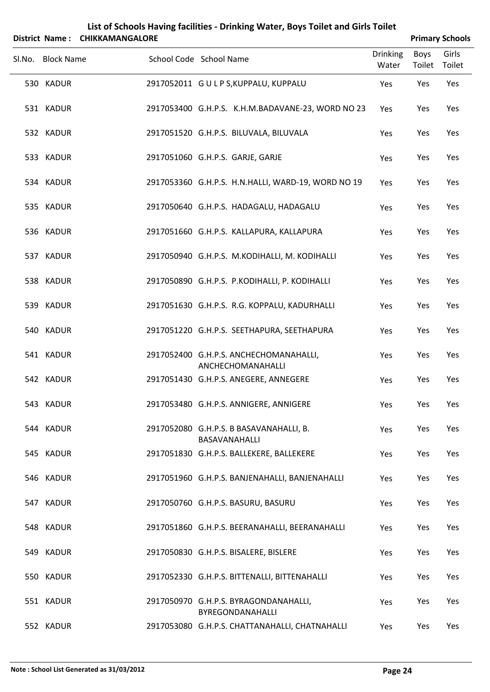|        |                   | District Name: CHIKKAMANGALORE | List of Schools Having facilities - Drinking Water, Boys Toilet and Girls Toilet |                          |                | <b>Primary Schools</b> |
|--------|-------------------|--------------------------------|----------------------------------------------------------------------------------|--------------------------|----------------|------------------------|
| Sl.No. | <b>Block Name</b> |                                | School Code School Name                                                          | <b>Drinking</b><br>Water | Boys<br>Toilet | Girls<br>Toilet        |
|        | 530 KADUR         |                                | 2917052011 GULP S, KUPPALU, KUPPALU                                              | Yes                      | Yes            | Yes                    |
|        | 531 KADUR         |                                | 2917053400 G.H.P.S. K.H.M.BADAVANE-23, WORD NO 23                                | Yes                      | Yes            | Yes                    |
|        | 532 KADUR         |                                | 2917051520 G.H.P.S. BILUVALA, BILUVALA                                           | Yes                      | Yes            | Yes                    |
|        | 533 KADUR         |                                | 2917051060 G.H.P.S. GARJE, GARJE                                                 | Yes                      | Yes            | Yes                    |
|        | 534 KADUR         |                                | 2917053360 G.H.P.S. H.N.HALLI, WARD-19, WORD NO 19                               | Yes                      | Yes            | Yes                    |
|        | 535 KADUR         |                                | 2917050640 G.H.P.S. HADAGALU, HADAGALU                                           | Yes                      | Yes            | Yes                    |
|        | 536 KADUR         |                                | 2917051660 G.H.P.S. KALLAPURA, KALLAPURA                                         | Yes                      | Yes            | Yes                    |
|        | 537 KADUR         |                                | 2917050940 G.H.P.S. M.KODIHALLI, M. KODIHALLI                                    | Yes                      | Yes            | Yes                    |
|        | 538 KADUR         |                                | 2917050890 G.H.P.S. P.KODIHALLI, P. KODIHALLI                                    | Yes                      | Yes            | Yes                    |
|        | 539 KADUR         |                                | 2917051630 G.H.P.S. R.G. KOPPALU, KADURHALLI                                     | Yes                      | Yes            | Yes                    |
|        | 540 KADUR         |                                | 2917051220 G.H.P.S. SEETHAPURA, SEETHAPURA                                       | Yes                      | Yes            | Yes                    |
|        | 541 KADUR         |                                | 2917052400 G.H.P.S. ANCHECHOMANAHALLI,<br>ANCHECHOMANAHALLI                      | Yes                      | Yes            | Yes                    |
|        | 542 KADUR         |                                | 2917051430 G.H.P.S. ANEGERE, ANNEGERE                                            | Yes                      | Yes            | Yes                    |
|        | 543 KADUR         |                                | 2917053480 G.H.P.S. ANNIGERE, ANNIGERE                                           | Yes                      | Yes            | Yes                    |
|        | 544 KADUR         |                                | 2917052080 G.H.P.S. B BASAVANAHALLI, B.<br>BASAVANAHALLI                         | Yes                      | Yes            | Yes                    |
|        | 545 KADUR         |                                | 2917051830 G.H.P.S. BALLEKERE, BALLEKERE                                         | Yes                      | Yes            | Yes                    |
|        | 546 KADUR         |                                | 2917051960 G.H.P.S. BANJENAHALLI, BANJENAHALLI                                   | Yes                      | Yes            | Yes                    |
|        | 547 KADUR         |                                | 2917050760 G.H.P.S. BASURU, BASURU                                               | Yes                      | Yes            | Yes                    |
|        | 548 KADUR         |                                | 2917051860 G.H.P.S. BEERANAHALLI, BEERANAHALLI                                   | Yes                      | Yes            | Yes                    |
|        | 549 KADUR         |                                | 2917050830 G.H.P.S. BISALERE, BISLERE                                            | Yes                      | Yes            | Yes                    |
|        | 550 KADUR         |                                | 2917052330 G.H.P.S. BITTENALLI, BITTENAHALLI                                     | Yes                      | Yes            | Yes                    |
|        | 551 KADUR         |                                | 2917050970 G.H.P.S. BYRAGONDANAHALLI,<br>BYREGONDANAHALLI                        | Yes                      | Yes            | Yes                    |
|        | 552 KADUR         |                                | 2917053080 G.H.P.S. CHATTANAHALLI, CHATNAHALLI                                   | Yes                      | Yes            | Yes                    |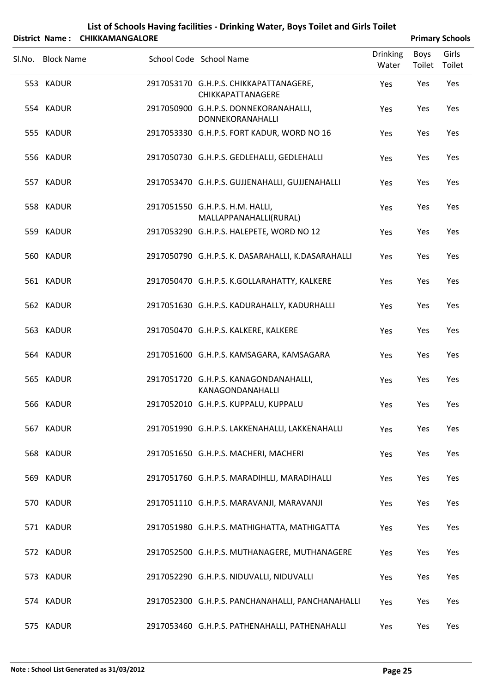| List of Schools Having facilities - Drinking Water, Boys Toilet and Girls Toilet |
|----------------------------------------------------------------------------------|
| --------------------                                                             |

| District Name: CHIKKAMANGALORE |                                                             |                          |                | <b>Primary Schools</b> |
|--------------------------------|-------------------------------------------------------------|--------------------------|----------------|------------------------|
| Sl.No. Block Name              | School Code School Name                                     | <b>Drinking</b><br>Water | Boys<br>Toilet | Girls<br>Toilet        |
| 553 KADUR                      | 2917053170 G.H.P.S. CHIKKAPATTANAGERE,<br>CHIKKAPATTANAGERE | Yes                      | Yes            | Yes                    |
| 554 KADUR                      | 2917050900 G.H.P.S. DONNEKORANAHALLI,<br>DONNEKORANAHALLI   | Yes                      | Yes            | Yes                    |
| 555 KADUR                      | 2917053330 G.H.P.S. FORT KADUR, WORD NO 16                  | Yes                      | Yes            | Yes                    |
| 556 KADUR                      | 2917050730 G.H.P.S. GEDLEHALLI, GEDLEHALLI                  | Yes                      | Yes            | Yes                    |
| 557 KADUR                      | 2917053470 G.H.P.S. GUJJENAHALLI, GUJJENAHALLI              | Yes                      | Yes            | Yes                    |
| 558 KADUR                      | 2917051550 G.H.P.S. H.M. HALLI,<br>MALLAPPANAHALLI(RURAL)   | Yes                      | Yes            | Yes                    |
| 559 KADUR                      | 2917053290 G.H.P.S. HALEPETE, WORD NO 12                    | Yes                      | Yes            | Yes                    |
| 560 KADUR                      | 2917050790 G.H.P.S. K. DASARAHALLI, K.DASARAHALLI           | Yes                      | Yes            | Yes                    |
| 561 KADUR                      | 2917050470 G.H.P.S. K.GOLLARAHATTY, KALKERE                 | Yes                      | Yes            | Yes                    |
| 562 KADUR                      | 2917051630 G.H.P.S. KADURAHALLY, KADURHALLI                 | Yes                      | Yes            | Yes                    |
| 563 KADUR                      | 2917050470 G.H.P.S. KALKERE, KALKERE                        | Yes                      | Yes            | Yes                    |
| 564 KADUR                      | 2917051600 G.H.P.S. KAMSAGARA, KAMSAGARA                    | Yes                      | Yes            | Yes                    |
| 565 KADUR                      | 2917051720 G.H.P.S. KANAGONDANAHALLI,<br>KANAGONDANAHALLI   | Yes                      | Yes            | Yes                    |
| 566 KADUR                      | 2917052010 G.H.P.S. KUPPALU, KUPPALU                        | Yes                      | Yes            | Yes                    |
| 567 KADUR                      | 2917051990 G.H.P.S. LAKKENAHALLI, LAKKENAHALLI              | Yes                      | Yes            | Yes                    |
| 568 KADUR                      | 2917051650 G.H.P.S. MACHERI, MACHERI                        | Yes                      | Yes            | Yes                    |
| 569 KADUR                      | 2917051760 G.H.P.S. MARADIHLLI, MARADIHALLI                 | Yes                      | Yes            | Yes                    |
| 570 KADUR                      | 2917051110 G.H.P.S. MARAVANJI, MARAVANJI                    | Yes                      | Yes            | Yes                    |
| 571 KADUR                      | 2917051980 G.H.P.S. MATHIGHATTA, MATHIGATTA                 | Yes                      | Yes            | Yes                    |
| 572 KADUR                      | 2917052500 G.H.P.S. MUTHANAGERE, MUTHANAGERE                | Yes                      | Yes            | Yes                    |
| 573 KADUR                      | 2917052290 G.H.P.S. NIDUVALLI, NIDUVALLI                    | Yes                      | Yes            | Yes                    |
| 574 KADUR                      | 2917052300 G.H.P.S. PANCHANAHALLI, PANCHANAHALLI            | Yes                      | Yes            | Yes                    |
| 575 KADUR                      | 2917053460 G.H.P.S. PATHENAHALLI, PATHENAHALLI              | Yes                      | Yes            | Yes                    |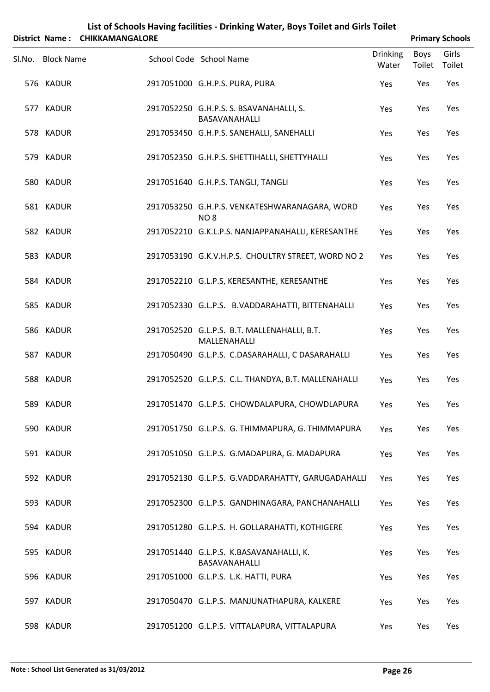| List of Schools Having facilities - Drinking Water, Boys Toilet and Girls Toilet |                   |                                |  |                                                                 |                          |                        |                 |  |
|----------------------------------------------------------------------------------|-------------------|--------------------------------|--|-----------------------------------------------------------------|--------------------------|------------------------|-----------------|--|
|                                                                                  |                   | District Name: CHIKKAMANGALORE |  |                                                                 |                          | <b>Primary Schools</b> |                 |  |
| SI.No.                                                                           | <b>Block Name</b> |                                |  | School Code School Name                                         | <b>Drinking</b><br>Water | <b>Boys</b><br>Toilet  | Girls<br>Toilet |  |
|                                                                                  | 576 KADUR         |                                |  | 2917051000 G.H.P.S. PURA, PURA                                  | Yes                      | Yes                    | <b>Yes</b>      |  |
|                                                                                  | 577 KADUR         |                                |  | 2917052250 G.H.P.S. S. BSAVANAHALLI, S.<br><b>BASAVANAHALLI</b> | Yes                      | Yes                    | Yes             |  |
| 578.                                                                             | KADUR             |                                |  | 2917053450 G.H.P.S. SANEHALLI, SANEHALLI                        | Yes                      | Yes                    | Yes             |  |
|                                                                                  |                   |                                |  |                                                                 |                          |                        |                 |  |

| 576 KADUR | 2917051000 G.H.P.S. PURA, PURA                                   | Yes | Yes | Yes |
|-----------|------------------------------------------------------------------|-----|-----|-----|
| 577 KADUR | 2917052250 G.H.P.S. S. BSAVANAHALLI, S.<br>BASAVANAHALLI         | Yes | Yes | Yes |
| 578 KADUR | 2917053450 G.H.P.S. SANEHALLI, SANEHALLI                         | Yes | Yes | Yes |
| 579 KADUR | 2917052350 G.H.P.S. SHETTIHALLI, SHETTYHALLI                     | Yes | Yes | Yes |
| 580 KADUR | 2917051640 G.H.P.S. TANGLI, TANGLI                               | Yes | Yes | Yes |
| 581 KADUR | 2917053250 G.H.P.S. VENKATESHWARANAGARA, WORD<br>NO <sub>8</sub> | Yes | Yes | Yes |
| 582 KADUR | 2917052210 G.K.L.P.S. NANJAPPANAHALLI, KERESANTHE                | Yes | Yes | Yes |
| 583 KADUR | 2917053190 G.K.V.H.P.S. CHOULTRY STREET, WORD NO 2               | Yes | Yes | Yes |
| 584 KADUR | 2917052210 G.L.P.S, KERESANTHE, KERESANTHE                       | Yes | Yes | Yes |
| 585 KADUR | 2917052330 G.L.P.S. B.VADDARAHATTI, BITTENAHALLI                 | Yes | Yes | Yes |
| 586 KADUR | 2917052520 G.L.P.S. B.T. MALLENAHALLI, B.T.<br>MALLENAHALLI      | Yes | Yes | Yes |
| 587 KADUR | 2917050490 G.L.P.S. C.DASARAHALLI, C DASARAHALLI                 | Yes | Yes | Yes |
| 588 KADUR | 2917052520 G.L.P.S. C.L. THANDYA, B.T. MALLENAHALLI              | Yes | Yes | Yes |
| 589 KADUR | 2917051470 G.L.P.S. CHOWDALAPURA, CHOWDLAPURA                    | Yes | Yes | Yes |
| 590 KADUR | 2917051750 G.L.P.S. G. THIMMAPURA, G. THIMMAPURA                 | Yes | Yes | Yes |
| 591 KADUR | 2917051050 G.L.P.S. G.MADAPURA, G. MADAPURA                      | Yes | Yes | Yes |
| 592 KADUR | 2917052130 G.L.P.S. G.VADDARAHATTY, GARUGADAHALLI                | Yes | Yes | Yes |
| 593 KADUR | 2917052300 G.L.P.S. GANDHINAGARA, PANCHANAHALLI                  | Yes | Yes | Yes |
| 594 KADUR | 2917051280 G.L.P.S. H. GOLLARAHATTI, KOTHIGERE                   | Yes | Yes | Yes |
| 595 KADUR | 2917051440 G.L.P.S. K.BASAVANAHALLI, K.<br>BASAVANAHALLI         | Yes | Yes | Yes |
| 596 KADUR | 2917051000 G.L.P.S. L.K. HATTI, PURA                             | Yes | Yes | Yes |
| 597 KADUR | 2917050470 G.L.P.S. MANJUNATHAPURA, KALKERE                      | Yes | Yes | Yes |
| 598 KADUR | 2917051200 G.L.P.S. VITTALAPURA, VITTALAPURA                     | Yes | Yes | Yes |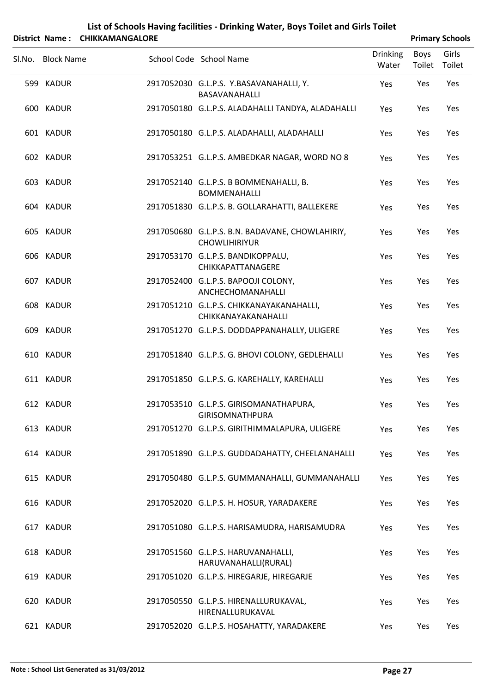|        |                   | District Name: CHIKKAMANGALORE |                                                                         |                          |                | <b>Primary Schools</b> |
|--------|-------------------|--------------------------------|-------------------------------------------------------------------------|--------------------------|----------------|------------------------|
| Sl.No. | <b>Block Name</b> |                                | School Code School Name                                                 | <b>Drinking</b><br>Water | Boys<br>Toilet | Girls<br>Toilet        |
|        | 599 KADUR         |                                | 2917052030 G.L.P.S. Y.BASAVANAHALLI, Y.<br>BASAVANAHALLI                | Yes                      | Yes            | Yes                    |
|        | 600 KADUR         |                                | 2917050180 G.L.P.S. ALADAHALLI TANDYA, ALADAHALLI                       | Yes                      | Yes            | Yes                    |
|        | 601 KADUR         |                                | 2917050180 G.L.P.S. ALADAHALLI, ALADAHALLI                              | Yes                      | Yes            | Yes                    |
|        | 602 KADUR         |                                | 2917053251 G.L.P.S. AMBEDKAR NAGAR, WORD NO 8                           | Yes                      | Yes            | Yes                    |
|        | 603 KADUR         |                                | 2917052140 G.L.P.S. B BOMMENAHALLI, B.<br><b>BOMMENAHALLI</b>           | Yes                      | Yes            | Yes                    |
|        | 604 KADUR         |                                | 2917051830 G.L.P.S. B. GOLLARAHATTI, BALLEKERE                          | Yes                      | Yes            | Yes                    |
|        | 605 KADUR         |                                | 2917050680 G.L.P.S. B.N. BADAVANE, CHOWLAHIRIY,<br><b>CHOWLIHIRIYUR</b> | Yes                      | Yes            | Yes                    |
|        | 606 KADUR         |                                | 2917053170 G.L.P.S. BANDIKOPPALU,<br>CHIKKAPATTANAGERE                  | Yes                      | Yes            | Yes                    |
|        | 607 KADUR         |                                | 2917052400 G.L.P.S. BAPOOJI COLONY,<br>ANCHECHOMANAHALLI                | Yes                      | Yes            | Yes                    |
|        | 608 KADUR         |                                | 2917051210 G.L.P.S. CHIKKANAYAKANAHALLI,<br>CHIKKANAYAKANAHALLI         | Yes                      | Yes            | Yes                    |
|        | 609 KADUR         |                                | 2917051270 G.L.P.S. DODDAPPANAHALLY, ULIGERE                            | Yes                      | Yes            | Yes                    |
|        | 610 KADUR         |                                | 2917051840 G.L.P.S. G. BHOVI COLONY, GEDLEHALLI                         | Yes                      | Yes            | Yes                    |
|        | 611 KADUR         |                                | 2917051850 G.L.P.S. G. KAREHALLY, KAREHALLI                             | Yes                      | Yes            | Yes                    |
|        | 612 KADUR         |                                | 2917053510 G.L.P.S. GIRISOMANATHAPURA,<br><b>GIRISOMNATHPURA</b>        | Yes                      | Yes            | Yes                    |
|        | 613 KADUR         |                                | 2917051270 G.L.P.S. GIRITHIMMALAPURA, ULIGERE                           | Yes                      | Yes            | Yes                    |
|        | 614 KADUR         |                                | 2917051890 G.L.P.S. GUDDADAHATTY, CHEELANAHALLI                         | Yes                      | Yes            | Yes                    |
|        | 615 KADUR         |                                | 2917050480 G.L.P.S. GUMMANAHALLI, GUMMANAHALLI                          | Yes                      | Yes            | Yes                    |
|        | 616 KADUR         |                                | 2917052020 G.L.P.S. H. HOSUR, YARADAKERE                                | Yes                      | Yes            | Yes                    |
|        | 617 KADUR         |                                | 2917051080 G.L.P.S. HARISAMUDRA, HARISAMUDRA                            | Yes                      | Yes            | Yes                    |
|        | 618 KADUR         |                                | 2917051560 G.L.P.S. HARUVANAHALLI,<br>HARUVANAHALLI(RURAL)              | Yes                      | Yes            | Yes                    |
|        | 619 KADUR         |                                | 2917051020 G.L.P.S. HIREGARJE, HIREGARJE                                | Yes                      | Yes            | Yes                    |
|        | 620 KADUR         |                                | 2917050550 G.L.P.S. HIRENALLURUKAVAL,<br>HIRENALLURUKAVAL               | Yes                      | Yes            | Yes                    |
|        | 621 KADUR         |                                | 2917052020 G.L.P.S. HOSAHATTY, YARADAKERE                               | Yes                      | Yes            | Yes                    |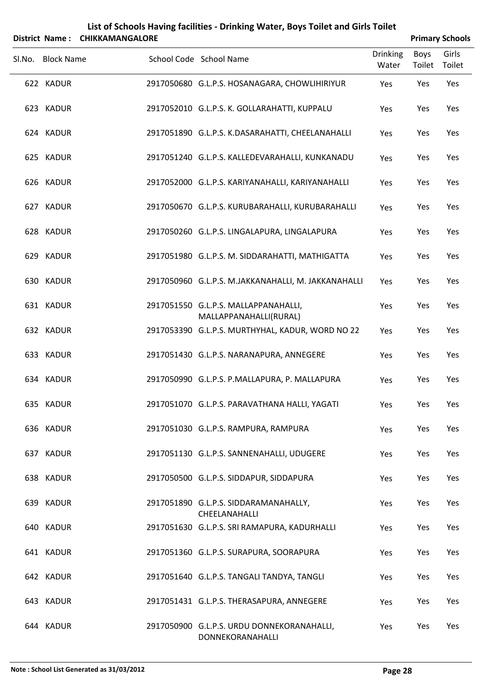| List of Schools Having facilities - Drinking Water, Boys Toilet and Girls Toilet<br><b>Primary Schools</b><br>District Name:<br><b>CHIKKAMANGALORE</b> |                   |  |                                                                |                          |                       |                 |
|--------------------------------------------------------------------------------------------------------------------------------------------------------|-------------------|--|----------------------------------------------------------------|--------------------------|-----------------------|-----------------|
| Sl.No.                                                                                                                                                 | <b>Block Name</b> |  | School Code School Name                                        | <b>Drinking</b><br>Water | <b>Boys</b><br>Toilet | Girls<br>Toilet |
|                                                                                                                                                        | 622 KADUR         |  | 2917050680 G.L.P.S. HOSANAGARA, CHOWLIHIRIYUR                  | Yes                      | Yes                   | Yes             |
|                                                                                                                                                        | 623 KADUR         |  | 2917052010 G.L.P.S. K. GOLLARAHATTI, KUPPALU                   | Yes                      | Yes                   | Yes             |
|                                                                                                                                                        | 624 KADUR         |  | 2917051890 G.L.P.S. K.DASARAHATTI, CHEELANAHALLI               | Yes                      | Yes                   | Yes             |
|                                                                                                                                                        | 625 KADUR         |  | 2917051240 G.L.P.S. KALLEDEVARAHALLI, KUNKANADU                | Yes                      | Yes                   | Yes             |
|                                                                                                                                                        | 626 KADUR         |  | 2917052000 G.L.P.S. KARIYANAHALLI, KARIYANAHALLI               | Yes                      | Yes                   | Yes             |
|                                                                                                                                                        | 627 KADUR         |  | 2917050670 G.L.P.S. KURUBARAHALLI, KURUBARAHALLI               | Yes                      | Yes                   | Yes             |
|                                                                                                                                                        | 628 KADUR         |  | 2917050260 G.L.P.S. LINGALAPURA, LINGALAPURA                   | Yes                      | Yes                   | Yes             |
|                                                                                                                                                        | 629 KADUR         |  | 2917051980 G.L.P.S. M. SIDDARAHATTI, MATHIGATTA                | Yes                      | Yes                   | Yes             |
|                                                                                                                                                        | 630 KADUR         |  | 2917050960 G.L.P.S. M.JAKKANAHALLI, M. JAKKANAHALLI            | Yes                      | Yes                   | Yes             |
|                                                                                                                                                        | 631 KADUR         |  | 2917051550 G.L.P.S. MALLAPPANAHALLI,<br>MALLAPPANAHALLI(RURAL) | Yes                      | Yes                   | Yes             |
|                                                                                                                                                        | 632 KADUR         |  | 2917053390 G.L.P.S. MURTHYHAL, KADUR, WORD NO 22               | Yes                      | Yes                   | Yes             |
|                                                                                                                                                        | 633 KADUR         |  | 2917051430 G.L.P.S. NARANAPURA, ANNEGERE                       | Yes                      | Yes                   | Yes             |
|                                                                                                                                                        | 634 KADUR         |  | 2917050990 G.L.P.S. P.MALLAPURA, P. MALLAPURA                  | Yes                      | Yes                   | Yes             |
|                                                                                                                                                        | 635 KADUR         |  | 2917051070 G.L.P.S. PARAVATHANA HALLI, YAGATI                  | Yes                      | Yes                   | Yes             |
|                                                                                                                                                        | 636 KADUR         |  | 2917051030 G.L.P.S. RAMPURA, RAMPURA                           | Yes                      | Yes                   | Yes             |
|                                                                                                                                                        | 637 KADUR         |  | 2917051130 G.L.P.S. SANNENAHALLI, UDUGERE                      | Yes                      | Yes                   | Yes             |
|                                                                                                                                                        | 638 KADUR         |  | 2917050500 G.L.P.S. SIDDAPUR, SIDDAPURA                        | Yes                      | Yes                   | Yes             |
|                                                                                                                                                        | 639 KADUR         |  | 2917051890 G.L.P.S. SIDDARAMANAHALLY,<br>CHEELANAHALLI         | Yes                      | Yes                   | Yes             |
|                                                                                                                                                        | 640 KADUR         |  | 2917051630 G.L.P.S. SRI RAMAPURA, KADURHALLI                   | Yes                      | Yes                   | Yes             |
|                                                                                                                                                        | 641 KADUR         |  | 2917051360 G.L.P.S. SURAPURA, SOORAPURA                        | Yes                      | Yes                   | Yes             |
|                                                                                                                                                        | 642 KADUR         |  | 2917051640 G.L.P.S. TANGALI TANDYA, TANGLI                     | Yes                      | Yes                   | Yes             |
|                                                                                                                                                        | 643 KADUR         |  | 2917051431 G.L.P.S. THERASAPURA, ANNEGERE                      | Yes                      | Yes                   | Yes             |
|                                                                                                                                                        | 644 KADUR         |  | 2917050900 G.L.P.S. URDU DONNEKORANAHALLI,<br>DONNEKORANAHALLI | Yes                      | Yes                   | Yes             |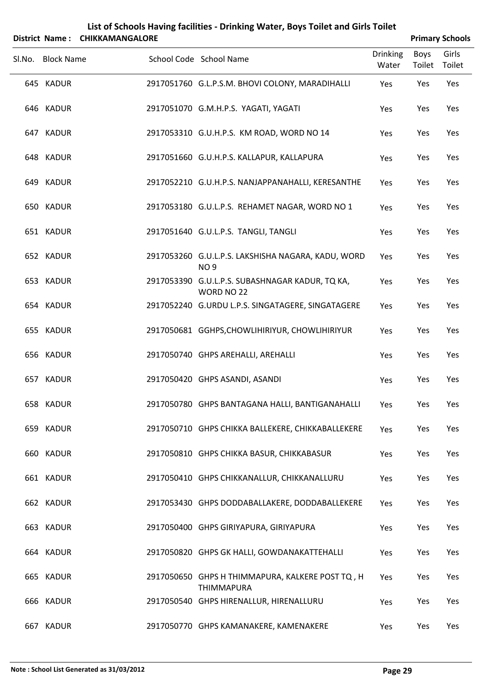|        |                   | District Name: CHIKKAMANGALORE |                                                                       |                          | <b>Primary Schools</b> |                 |  |
|--------|-------------------|--------------------------------|-----------------------------------------------------------------------|--------------------------|------------------------|-----------------|--|
| Sl.No. | <b>Block Name</b> |                                | School Code School Name                                               | <b>Drinking</b><br>Water | Boys<br>Toilet         | Girls<br>Toilet |  |
|        | 645 KADUR         |                                | 2917051760 G.L.P.S.M. BHOVI COLONY, MARADIHALLI                       | Yes                      | Yes                    | Yes             |  |
|        | 646 KADUR         |                                | 2917051070 G.M.H.P.S. YAGATI, YAGATI                                  | Yes                      | Yes                    | Yes             |  |
|        | 647 KADUR         |                                | 2917053310 G.U.H.P.S. KM ROAD, WORD NO 14                             | Yes                      | Yes                    | Yes             |  |
|        | 648 KADUR         |                                | 2917051660 G.U.H.P.S. KALLAPUR, KALLAPURA                             | Yes                      | Yes                    | Yes             |  |
|        | 649 KADUR         |                                | 2917052210 G.U.H.P.S. NANJAPPANAHALLI, KERESANTHE                     | Yes                      | Yes                    | Yes             |  |
|        | 650 KADUR         |                                | 2917053180 G.U.L.P.S. REHAMET NAGAR, WORD NO 1                        | Yes                      | Yes                    | Yes             |  |
|        | 651 KADUR         |                                | 2917051640 G.U.L.P.S. TANGLI, TANGLI                                  | Yes                      | Yes                    | Yes             |  |
|        | 652 KADUR         |                                | 2917053260 G.U.L.P.S. LAKSHISHA NAGARA, KADU, WORD<br><b>NO9</b>      | Yes                      | Yes                    | Yes             |  |
|        | 653 KADUR         |                                | 2917053390 G.U.L.P.S. SUBASHNAGAR KADUR, TQ KA,<br>WORD NO 22         | Yes                      | Yes                    | Yes             |  |
|        | 654 KADUR         |                                | 2917052240 G.URDU L.P.S. SINGATAGERE, SINGATAGERE                     | Yes                      | Yes                    | Yes             |  |
|        | 655 KADUR         |                                | 2917050681 GGHPS, CHOWLIHIRIYUR, CHOWLIHIRIYUR                        | Yes                      | Yes                    | Yes             |  |
|        | 656 KADUR         |                                | 2917050740 GHPS AREHALLI, AREHALLI                                    | Yes                      | Yes                    | Yes             |  |
|        | 657 KADUR         |                                | 2917050420 GHPS ASANDI, ASANDI                                        | Yes                      | Yes                    | Yes             |  |
|        | 658 KADUR         |                                | 2917050780 GHPS BANTAGANA HALLI, BANTIGANAHALLI                       | Yes                      | Yes                    | Yes             |  |
|        | 659 KADUR         |                                | 2917050710 GHPS CHIKKA BALLEKERE, CHIKKABALLEKERE                     | Yes                      | Yes                    | Yes             |  |
|        | 660 KADUR         |                                | 2917050810 GHPS CHIKKA BASUR, CHIKKABASUR                             | Yes                      | Yes                    | Yes             |  |
|        | 661 KADUR         |                                | 2917050410 GHPS CHIKKANALLUR, CHIKKANALLURU                           | Yes                      | Yes                    | Yes             |  |
|        | 662 KADUR         |                                | 2917053430 GHPS DODDABALLAKERE, DODDABALLEKERE                        | Yes                      | Yes                    | Yes             |  |
|        | 663 KADUR         |                                | 2917050400 GHPS GIRIYAPURA, GIRIYAPURA                                | Yes                      | Yes                    | Yes             |  |
|        | 664 KADUR         |                                | 2917050820 GHPS GK HALLI, GOWDANAKATTEHALLI                           | Yes                      | Yes                    | Yes             |  |
|        | 665 KADUR         |                                | 2917050650 GHPS H THIMMAPURA, KALKERE POST TQ, H<br><b>THIMMAPURA</b> | Yes                      | Yes                    | Yes             |  |
|        | 666 KADUR         |                                | 2917050540 GHPS HIRENALLUR, HIRENALLURU                               | Yes                      | Yes                    | Yes             |  |

KADUR 2917050770 GHPS KAMANAKERE, KAMENAKERE Yes Yes Yes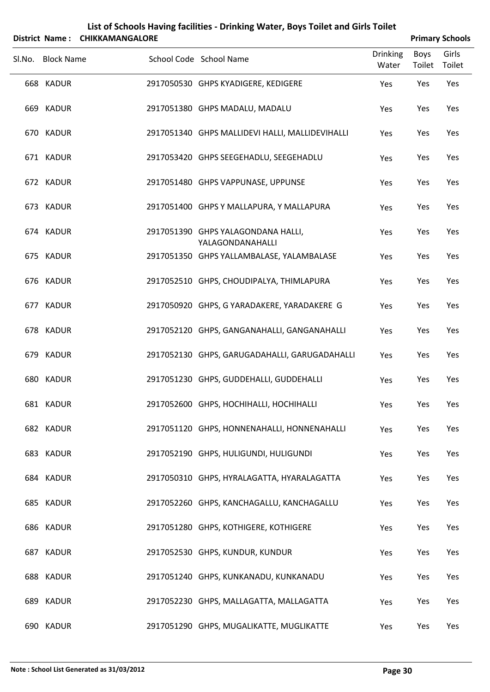|        | List of Schools Having facilities - Drinking Water, Boys Toilet and Girls Toilet<br><b>CHIKKAMANGALORE</b><br><b>Primary Schools</b><br>District Name: |  |                                                        |                 |               |               |  |  |
|--------|--------------------------------------------------------------------------------------------------------------------------------------------------------|--|--------------------------------------------------------|-----------------|---------------|---------------|--|--|
| Sl.No. | <b>Block Name</b>                                                                                                                                      |  | School Code School Name                                | <b>Drinking</b> | Boys          | Girls         |  |  |
|        | 668 KADUR                                                                                                                                              |  | 2917050530 GHPS KYADIGERE, KEDIGERE                    | Water<br>Yes    | Toilet<br>Yes | Toilet<br>Yes |  |  |
|        |                                                                                                                                                        |  |                                                        |                 |               |               |  |  |
|        | 669 KADUR                                                                                                                                              |  | 2917051380 GHPS MADALU, MADALU                         | Yes             | Yes           | Yes           |  |  |
|        | 670 KADUR                                                                                                                                              |  | 2917051340 GHPS MALLIDEVI HALLI, MALLIDEVIHALLI        | Yes             | Yes           | Yes           |  |  |
|        | 671 KADUR                                                                                                                                              |  | 2917053420 GHPS SEEGEHADLU, SEEGEHADLU                 | Yes             | Yes           | Yes           |  |  |
|        | 672 KADUR                                                                                                                                              |  | 2917051480 GHPS VAPPUNASE, UPPUNSE                     | Yes             | Yes           | Yes           |  |  |
|        | 673 KADUR                                                                                                                                              |  | 2917051400 GHPS Y MALLAPURA, Y MALLAPURA               | Yes             | Yes           | Yes           |  |  |
|        | 674 KADUR                                                                                                                                              |  | 2917051390 GHPS YALAGONDANA HALLI,<br>YALAGONDANAHALLI | Yes             | Yes           | Yes           |  |  |
|        | 675 KADUR                                                                                                                                              |  | 2917051350 GHPS YALLAMBALASE, YALAMBALASE              | Yes             | Yes           | Yes           |  |  |
|        | 676 KADUR                                                                                                                                              |  | 2917052510 GHPS, CHOUDIPALYA, THIMLAPURA               | Yes             | Yes           | Yes           |  |  |
|        | 677 KADUR                                                                                                                                              |  | 2917050920 GHPS, G YARADAKERE, YARADAKERE G            | Yes             | Yes           | Yes           |  |  |
|        | 678 KADUR                                                                                                                                              |  | 2917052120 GHPS, GANGANAHALLI, GANGANAHALLI            | Yes             | Yes           | Yes           |  |  |
|        | 679 KADUR                                                                                                                                              |  | 2917052130 GHPS, GARUGADAHALLI, GARUGADAHALLI          | Yes             | Yes           | Yes           |  |  |
|        | 680 KADUR                                                                                                                                              |  | 2917051230 GHPS, GUDDEHALLI, GUDDEHALLI                | Yes             | Yes           | Yes           |  |  |
|        | 681 KADUR                                                                                                                                              |  | 2917052600 GHPS, HOCHIHALLI, HOCHIHALLI                | Yes             | Yes           | Yes           |  |  |
|        | 682 KADUR                                                                                                                                              |  | 2917051120 GHPS, HONNENAHALLI, HONNENAHALLI            | Yes             | Yes           | Yes           |  |  |
|        | 683 KADUR                                                                                                                                              |  | 2917052190 GHPS, HULIGUNDI, HULIGUNDI                  | Yes             | Yes           | Yes           |  |  |
|        | 684 KADUR                                                                                                                                              |  | 2917050310 GHPS, HYRALAGATTA, HYARALAGATTA             | Yes             | Yes           | Yes           |  |  |
|        | 685 KADUR                                                                                                                                              |  | 2917052260 GHPS, KANCHAGALLU, KANCHAGALLU              | Yes             | Yes           | Yes           |  |  |
|        | 686 KADUR                                                                                                                                              |  | 2917051280 GHPS, KOTHIGERE, KOTHIGERE                  | Yes             | Yes           | Yes           |  |  |
|        | 687 KADUR                                                                                                                                              |  | 2917052530 GHPS, KUNDUR, KUNDUR                        | Yes             | Yes           | Yes           |  |  |
|        | 688 KADUR                                                                                                                                              |  | 2917051240 GHPS, KUNKANADU, KUNKANADU                  | Yes             | Yes           | Yes           |  |  |
|        | 689 KADUR                                                                                                                                              |  | 2917052230 GHPS, MALLAGATTA, MALLAGATTA                | Yes             | Yes           | Yes           |  |  |
|        | 690 KADUR                                                                                                                                              |  | 2917051290 GHPS, MUGALIKATTE, MUGLIKATTE               | Yes             | Yes           | Yes           |  |  |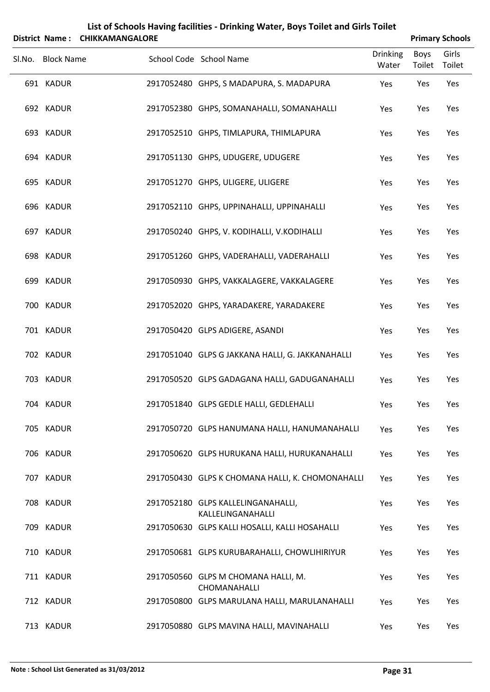|        |                   | District Name: CHIKKAMANGALORE |                                                         |                          | <b>Primary Schools</b> |                 |
|--------|-------------------|--------------------------------|---------------------------------------------------------|--------------------------|------------------------|-----------------|
| Sl.No. | <b>Block Name</b> |                                | School Code School Name                                 | <b>Drinking</b><br>Water | <b>Boys</b><br>Toilet  | Girls<br>Toilet |
|        | 691 KADUR         |                                | 2917052480 GHPS, S MADAPURA, S. MADAPURA                | Yes                      | Yes                    | Yes             |
|        | 692 KADUR         |                                | 2917052380 GHPS, SOMANAHALLI, SOMANAHALLI               | Yes                      | Yes                    | Yes             |
|        | 693 KADUR         |                                | 2917052510 GHPS, TIMLAPURA, THIMLAPURA                  | Yes                      | Yes                    | Yes             |
|        | 694 KADUR         |                                | 2917051130 GHPS, UDUGERE, UDUGERE                       | Yes                      | Yes                    | Yes             |
|        | 695 KADUR         |                                | 2917051270 GHPS, ULIGERE, ULIGERE                       | Yes                      | Yes                    | Yes             |
|        | 696 KADUR         |                                | 2917052110 GHPS, UPPINAHALLI, UPPINAHALLI               | Yes                      | Yes                    | Yes             |
|        | 697 KADUR         |                                | 2917050240 GHPS, V. KODIHALLI, V.KODIHALLI              | Yes                      | Yes                    | Yes             |
|        | 698 KADUR         |                                | 2917051260 GHPS, VADERAHALLI, VADERAHALLI               | Yes                      | Yes                    | Yes             |
|        | 699 KADUR         |                                | 2917050930 GHPS, VAKKALAGERE, VAKKALAGERE               | Yes                      | Yes                    | Yes             |
|        | 700 KADUR         |                                | 2917052020 GHPS, YARADAKERE, YARADAKERE                 | Yes                      | Yes                    | Yes             |
|        | 701 KADUR         |                                | 2917050420 GLPS ADIGERE, ASANDI                         | Yes                      | Yes                    | Yes             |
|        | 702 KADUR         |                                | 2917051040 GLPS G JAKKANA HALLI, G. JAKKANAHALLI        | Yes                      | Yes                    | Yes             |
|        | 703 KADUR         |                                | 2917050520 GLPS GADAGANA HALLI, GADUGANAHALLI           | Yes                      | Yes                    | Yes             |
|        | 704 KADUR         |                                | 2917051840 GLPS GEDLE HALLI, GEDLEHALLI                 | Yes                      | Yes                    | Yes             |
|        | 705 KADUR         |                                | 2917050720 GLPS HANUMANA HALLI, HANUMANAHALLI           | Yes                      | Yes                    | Yes             |
|        | 706 KADUR         |                                | 2917050620 GLPS HURUKANA HALLI, HURUKANAHALLI           | Yes                      | Yes                    | Yes             |
|        | 707 KADUR         |                                | 2917050430 GLPS K CHOMANA HALLI, K. CHOMONAHALLI        | Yes                      | Yes                    | Yes             |
|        | 708 KADUR         |                                | 2917052180 GLPS KALLELINGANAHALLI,<br>KALLELINGANAHALLI | Yes                      | Yes                    | Yes             |
|        | 709 KADUR         |                                | 2917050630 GLPS KALLI HOSALLI, KALLI HOSAHALLI          | Yes                      | Yes                    | Yes             |
|        | 710 KADUR         |                                | 2917050681 GLPS KURUBARAHALLI, CHOWLIHIRIYUR            | Yes                      | Yes                    | Yes             |
|        | 711 KADUR         |                                | 2917050560 GLPS M CHOMANA HALLI, M.<br>CHOMANAHALLI     | Yes                      | Yes                    | Yes             |
|        | 712 KADUR         |                                | 2917050800 GLPS MARULANA HALLI, MARULANAHALLI           | Yes                      | Yes                    | Yes             |
|        | 713 KADUR         |                                | 2917050880 GLPS MAVINA HALLI, MAVINAHALLI               | Yes                      | Yes                    | Yes             |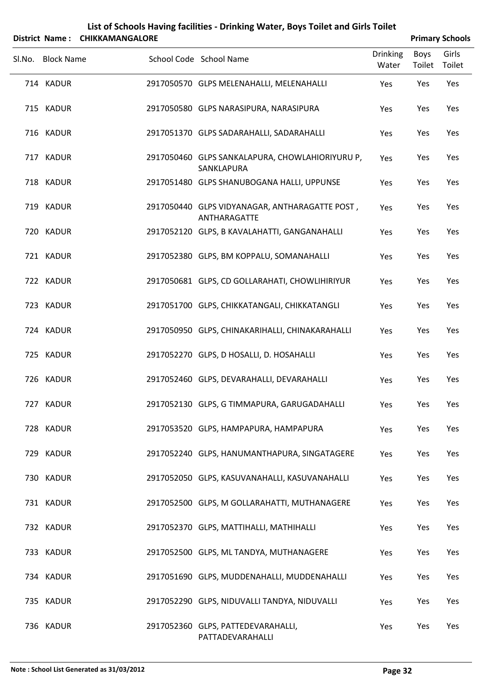|        |                   | District Name: CHIKKAMANGALORE |                                                                |                          |                | <b>Primary Schools</b> |
|--------|-------------------|--------------------------------|----------------------------------------------------------------|--------------------------|----------------|------------------------|
| Sl.No. | <b>Block Name</b> |                                | School Code School Name                                        | <b>Drinking</b><br>Water | Boys<br>Toilet | Girls<br>Toilet        |
|        | 714 KADUR         |                                | 2917050570 GLPS MELENAHALLI, MELENAHALLI                       | Yes                      | Yes            | Yes                    |
|        | 715 KADUR         |                                | 2917050580 GLPS NARASIPURA, NARASIPURA                         | Yes                      | Yes            | Yes                    |
|        | 716 KADUR         |                                | 2917051370 GLPS SADARAHALLI, SADARAHALLI                       | Yes                      | Yes            | Yes                    |
|        | 717 KADUR         |                                | 2917050460 GLPS SANKALAPURA, CHOWLAHIORIYURU P,<br>SANKLAPURA  | Yes                      | Yes            | Yes                    |
|        | 718 KADUR         |                                | 2917051480 GLPS SHANUBOGANA HALLI, UPPUNSE                     | Yes                      | Yes            | Yes                    |
|        | 719 KADUR         |                                | 2917050440 GLPS VIDYANAGAR, ANTHARAGATTE POST,<br>ANTHARAGATTE | Yes                      | Yes            | Yes                    |
|        | 720 KADUR         |                                | 2917052120 GLPS, B KAVALAHATTI, GANGANAHALLI                   | Yes                      | Yes            | Yes                    |
|        | 721 KADUR         |                                | 2917052380 GLPS, BM KOPPALU, SOMANAHALLI                       | Yes                      | Yes            | Yes                    |
|        | 722 KADUR         |                                | 2917050681 GLPS, CD GOLLARAHATI, CHOWLIHIRIYUR                 | Yes                      | Yes            | Yes                    |
|        | 723 KADUR         |                                | 2917051700 GLPS, CHIKKATANGALI, CHIKKATANGLI                   | Yes                      | Yes            | Yes                    |
|        | 724 KADUR         |                                | 2917050950 GLPS, CHINAKARIHALLI, CHINAKARAHALLI                | Yes                      | Yes            | Yes                    |
|        | 725 KADUR         |                                | 2917052270 GLPS, D HOSALLI, D. HOSAHALLI                       | Yes                      | Yes            | Yes                    |
|        | 726 KADUR         |                                | 2917052460 GLPS, DEVARAHALLI, DEVARAHALLI                      | Yes                      | Yes            | Yes                    |
|        | 727 KADUR         |                                | 2917052130 GLPS, G TIMMAPURA, GARUGADAHALLI                    | Yes                      | Yes            | Yes                    |
|        | 728 KADUR         |                                | 2917053520 GLPS, HAMPAPURA, HAMPAPURA                          | Yes                      | Yes            | Yes                    |
|        | 729 KADUR         |                                | 2917052240 GLPS, HANUMANTHAPURA, SINGATAGERE                   | Yes                      | Yes            | Yes                    |
|        | 730 KADUR         |                                | 2917052050 GLPS, KASUVANAHALLI, KASUVANAHALLI                  | Yes                      | Yes            | Yes                    |
|        | 731 KADUR         |                                | 2917052500 GLPS, M GOLLARAHATTI, MUTHANAGERE                   | Yes                      | Yes            | Yes                    |
|        | 732 KADUR         |                                | 2917052370 GLPS, MATTIHALLI, MATHIHALLI                        | Yes                      | Yes            | Yes                    |
|        | 733 KADUR         |                                | 2917052500 GLPS, ML TANDYA, MUTHANAGERE                        | Yes                      | Yes            | Yes                    |
|        | 734 KADUR         |                                | 2917051690 GLPS, MUDDENAHALLI, MUDDENAHALLI                    | Yes                      | Yes            | Yes                    |
|        | 735 KADUR         |                                | 2917052290 GLPS, NIDUVALLI TANDYA, NIDUVALLI                   | Yes                      | Yes            | Yes                    |
|        | 736 KADUR         |                                | 2917052360 GLPS, PATTEDEVARAHALLI,<br>PATTADEVARAHALLI         | Yes                      | Yes            | Yes                    |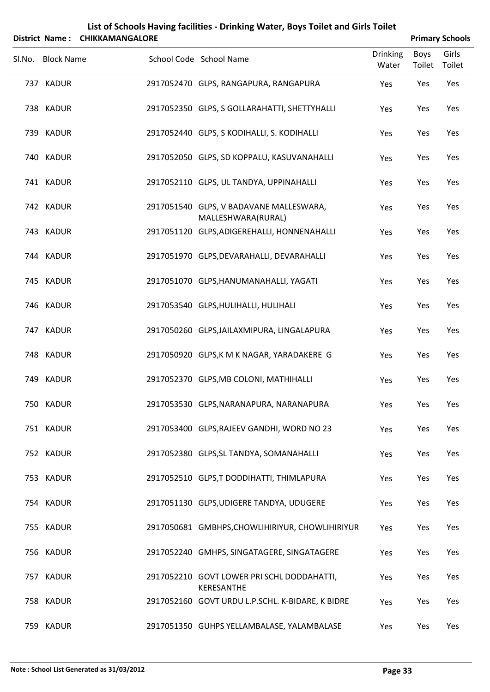|        |                   | District Name: CHIKKAMANGALORE |                                                               |                          |                       | <b>Primary Schools</b> |
|--------|-------------------|--------------------------------|---------------------------------------------------------------|--------------------------|-----------------------|------------------------|
| SI.No. | <b>Block Name</b> |                                | School Code School Name                                       | <b>Drinking</b><br>Water | <b>Boys</b><br>Toilet | Girls<br>Toilet        |
|        | 737 KADUR         |                                | 2917052470 GLPS, RANGAPURA, RANGAPURA                         | Yes                      | Yes                   | Yes                    |
|        | 738 KADUR         |                                | 2917052350 GLPS, S GOLLARAHATTI, SHETTYHALLI                  | Yes                      | Yes                   | Yes                    |
|        | 739 KADUR         |                                | 2917052440 GLPS, S KODIHALLI, S. KODIHALLI                    | Yes                      | Yes                   | Yes                    |
|        | 740 KADUR         |                                | 2917052050 GLPS, SD KOPPALU, KASUVANAHALLI                    | Yes                      | Yes                   | Yes                    |
|        | 741 KADUR         |                                | 2917052110 GLPS, UL TANDYA, UPPINAHALLI                       | Yes                      | Yes                   | Yes                    |
|        | 742 KADUR         |                                | 2917051540 GLPS, V BADAVANE MALLESWARA,<br>MALLESHWARA(RURAL) | Yes                      | Yes                   | Yes                    |
|        | 743 KADUR         |                                | 2917051120 GLPS, ADIGEREHALLI, HONNENAHALLI                   | Yes                      | Yes                   | Yes                    |
|        | 744 KADUR         |                                | 2917051970 GLPS, DEVARAHALLI, DEVARAHALLI                     | Yes                      | Yes                   | Yes                    |
|        | 745 KADUR         |                                | 2917051070 GLPS, HANUMANAHALLI, YAGATI                        | Yes                      | Yes                   | Yes                    |
|        | 746 KADUR         |                                | 2917053540 GLPS, HULIHALLI, HULIHALI                          | Yes                      | Yes                   | Yes                    |
|        | 747 KADUR         |                                | 2917050260 GLPS, JAILAXMIPURA, LINGALAPURA                    | Yes                      | Yes                   | Yes                    |
|        | 748 KADUR         |                                | 2917050920 GLPS, K M K NAGAR, YARADAKERE G                    | Yes                      | Yes                   | Yes                    |
|        | 749 KADUR         |                                | 2917052370 GLPS, MB COLONI, MATHIHALLI                        | Yes                      | Yes                   | Yes                    |
|        | 750 KADUR         |                                | 2917053530 GLPS, NARANAPURA, NARANAPURA                       | Yes                      | Yes                   | Yes                    |
|        | 751 KADUR         |                                | 2917053400 GLPS, RAJEEV GANDHI, WORD NO 23                    | Yes                      | Yes                   | Yes                    |
|        | 752 KADUR         |                                | 2917052380 GLPS, SL TANDYA, SOMANAHALLI                       | Yes                      | Yes                   | Yes                    |
|        | 753 KADUR         |                                | 2917052510 GLPS, T DODDIHATTI, THIMLAPURA                     | Yes                      | Yes                   | Yes                    |
|        | 754 KADUR         |                                | 2917051130 GLPS, UDIGERE TANDYA, UDUGERE                      | Yes                      | Yes                   | Yes                    |
|        | 755 KADUR         |                                | 2917050681 GMBHPS, CHOWLIHIRIYUR, CHOWLIHIRIYUR               | Yes                      | Yes                   | Yes                    |
|        | 756 KADUR         |                                | 2917052240 GMHPS, SINGATAGERE, SINGATAGERE                    | Yes                      | Yes                   | Yes                    |
|        | 757 KADUR         |                                | 2917052210 GOVT LOWER PRI SCHL DODDAHATTI,<br>KERESANTHE      | Yes                      | Yes                   | Yes                    |
|        | 758 KADUR         |                                | 2917052160 GOVT URDU L.P.SCHL. K-BIDARE, K BIDRE              | Yes                      | Yes                   | Yes                    |
|        | 759 KADUR         |                                | 2917051350 GUHPS YELLAMBALASE, YALAMBALASE                    | Yes                      | Yes                   | Yes                    |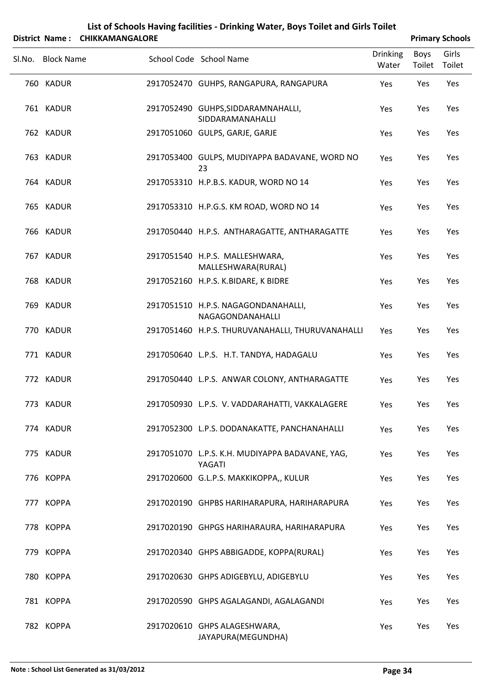|        |                   | District Name: CHIKKAMANGALORE |                                                           |                          |                | <b>Primary Schools</b> |
|--------|-------------------|--------------------------------|-----------------------------------------------------------|--------------------------|----------------|------------------------|
| SI.No. | <b>Block Name</b> |                                | School Code School Name                                   | <b>Drinking</b><br>Water | Boys<br>Toilet | Girls<br>Toilet        |
|        | 760 KADUR         |                                | 2917052470 GUHPS, RANGAPURA, RANGAPURA                    | Yes                      | Yes            | Yes                    |
|        | 761 KADUR         |                                | 2917052490 GUHPS, SIDDARAMNAHALLI,<br>SIDDARAMANAHALLI    | Yes                      | Yes            | Yes                    |
|        | 762 KADUR         |                                | 2917051060 GULPS, GARJE, GARJE                            | Yes                      | Yes            | Yes                    |
|        | 763 KADUR         |                                | 2917053400 GULPS, MUDIYAPPA BADAVANE, WORD NO<br>23       | Yes                      | Yes            | Yes                    |
|        | 764 KADUR         |                                | 2917053310 H.P.B.S. KADUR, WORD NO 14                     | Yes                      | Yes            | Yes                    |
|        | 765 KADUR         |                                | 2917053310 H.P.G.S. KM ROAD, WORD NO 14                   | Yes                      | Yes            | Yes                    |
|        | 766 KADUR         |                                | 2917050440 H.P.S. ANTHARAGATTE, ANTHARAGATTE              | Yes                      | Yes            | Yes                    |
|        | 767 KADUR         |                                | 2917051540 H.P.S. MALLESHWARA,<br>MALLESHWARA(RURAL)      | Yes                      | Yes            | Yes                    |
|        | 768 KADUR         |                                | 2917052160 H.P.S. K.BIDARE, K BIDRE                       | Yes                      | Yes            | Yes                    |
|        | 769 KADUR         |                                | 2917051510 H.P.S. NAGAGONDANAHALLI,<br>NAGAGONDANAHALLI   | Yes                      | Yes            | Yes                    |
|        | 770 KADUR         |                                | 2917051460 H.P.S. THURUVANAHALLI, THURUVANAHALLI          | Yes                      | Yes            | Yes                    |
|        | 771 KADUR         |                                | 2917050640 L.P.S. H.T. TANDYA, HADAGALU                   | Yes                      | Yes            | Yes                    |
|        | 772 KADUR         |                                | 2917050440 L.P.S. ANWAR COLONY, ANTHARAGATTE              | Yes                      | Yes            | Yes                    |
|        | 773 KADUR         |                                | 2917050930 L.P.S. V. VADDARAHATTI, VAKKALAGERE            | Yes                      | Yes            | Yes                    |
|        | 774 KADUR         |                                | 2917052300 L.P.S. DODANAKATTE, PANCHANAHALLI              | Yes                      | Yes            | Yes                    |
|        | 775 KADUR         |                                | 2917051070 L.P.S. K.H. MUDIYAPPA BADAVANE, YAG,<br>YAGATI | Yes                      | Yes            | Yes                    |
|        | 776 KOPPA         |                                | 2917020600 G.L.P.S. MAKKIKOPPA,, KULUR                    | Yes                      | Yes            | Yes                    |
|        | 777 KOPPA         |                                | 2917020190 GHPBS HARIHARAPURA, HARIHARAPURA               | Yes                      | Yes            | Yes                    |
|        | 778 KOPPA         |                                | 2917020190 GHPGS HARIHARAURA, HARIHARAPURA                | Yes                      | Yes            | Yes                    |
|        | 779 KOPPA         |                                | 2917020340 GHPS ABBIGADDE, KOPPA(RURAL)                   | Yes                      | Yes            | Yes                    |
|        | 780 KOPPA         |                                | 2917020630 GHPS ADIGEBYLU, ADIGEBYLU                      | Yes                      | Yes            | Yes                    |
|        | 781 KOPPA         |                                | 2917020590 GHPS AGALAGANDI, AGALAGANDI                    | Yes                      | Yes            | Yes                    |
|        | 782 KOPPA         |                                | 2917020610 GHPS ALAGESHWARA,<br>JAYAPURA(MEGUNDHA)        | Yes                      | Yes            | Yes                    |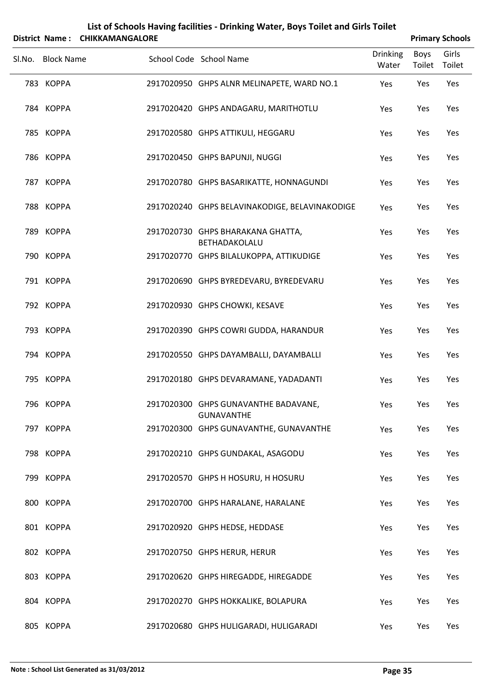|        | District Name:    | <b>CHIKKAMANGALORE</b> | List of Schools Having facilities - Drinking Water, Boys Toilet and Girls Toilet |                          |                | <b>Primary Schools</b> |
|--------|-------------------|------------------------|----------------------------------------------------------------------------------|--------------------------|----------------|------------------------|
| Sl.No. | <b>Block Name</b> |                        | School Code School Name                                                          | <b>Drinking</b><br>Water | Boys<br>Toilet | Girls<br>Toilet        |
|        | 783 KOPPA         |                        | 2917020950 GHPS ALNR MELINAPETE, WARD NO.1                                       | Yes                      | Yes            | Yes                    |
|        | 784 KOPPA         |                        | 2917020420 GHPS ANDAGARU, MARITHOTLU                                             | Yes                      | Yes            | Yes                    |
|        | 785 KOPPA         |                        | 2917020580 GHPS ATTIKULI, HEGGARU                                                | Yes                      | Yes            | Yes                    |
|        | 786 KOPPA         |                        | 2917020450 GHPS BAPUNJI, NUGGI                                                   | Yes                      | Yes            | Yes                    |
|        | 787 KOPPA         |                        | 2917020780 GHPS BASARIKATTE, HONNAGUNDI                                          | Yes                      | Yes            | Yes                    |
|        | 788 KOPPA         |                        | 2917020240 GHPS BELAVINAKODIGE, BELAVINAKODIGE                                   | Yes                      | Yes            | Yes                    |
|        | 789 KOPPA         |                        | 2917020730 GHPS BHARAKANA GHATTA,<br>BETHADAKOLALU                               | Yes                      | Yes            | Yes                    |
|        | 790 KOPPA         |                        | 2917020770 GHPS BILALUKOPPA, ATTIKUDIGE                                          | Yes                      | Yes            | Yes                    |
|        | 791 KOPPA         |                        | 2917020690 GHPS BYREDEVARU, BYREDEVARU                                           | Yes                      | Yes            | Yes                    |
|        | 792 KOPPA         |                        | 2917020930 GHPS CHOWKI, KESAVE                                                   | Yes                      | Yes            | Yes                    |
|        | 793 KOPPA         |                        | 2917020390 GHPS COWRI GUDDA, HARANDUR                                            | Yes                      | Yes            | Yes                    |
|        | 794 KOPPA         |                        | 2917020550 GHPS DAYAMBALLI, DAYAMBALLI                                           | Yes                      | Yes            | Yes                    |
|        | 795 KOPPA         |                        | 2917020180 GHPS DEVARAMANE, YADADANTI                                            | Yes                      | Yes            | Yes                    |
|        | 796 KOPPA         |                        | 2917020300 GHPS GUNAVANTHE BADAVANE,<br><b>GUNAVANTHE</b>                        | Yes                      | Yes            | Yes                    |
|        | 797 KOPPA         |                        | 2917020300 GHPS GUNAVANTHE, GUNAVANTHE                                           | Yes                      | Yes            | Yes                    |
|        | 798 KOPPA         |                        | 2917020210 GHPS GUNDAKAL, ASAGODU                                                | Yes                      | Yes            | Yes                    |
|        | 799 KOPPA         |                        | 2917020570 GHPS H HOSURU, H HOSURU                                               | Yes                      | Yes            | Yes                    |
|        | 800 KOPPA         |                        | 2917020700 GHPS HARALANE, HARALANE                                               | Yes                      | Yes            | Yes                    |
|        | 801 KOPPA         |                        | 2917020920 GHPS HEDSE, HEDDASE                                                   | Yes                      | Yes            | Yes                    |
|        | 802 KOPPA         |                        | 2917020750 GHPS HERUR, HERUR                                                     | Yes                      | Yes            | Yes                    |
|        | 803 KOPPA         |                        | 2917020620 GHPS HIREGADDE, HIREGADDE                                             | Yes                      | Yes            | Yes                    |
|        | 804 KOPPA         |                        | 2917020270 GHPS HOKKALIKE, BOLAPURA                                              | Yes                      | Yes            | Yes                    |
|        | 805 KOPPA         |                        | 2917020680 GHPS HULIGARADI, HULIGARADI                                           | Yes                      | Yes            | Yes                    |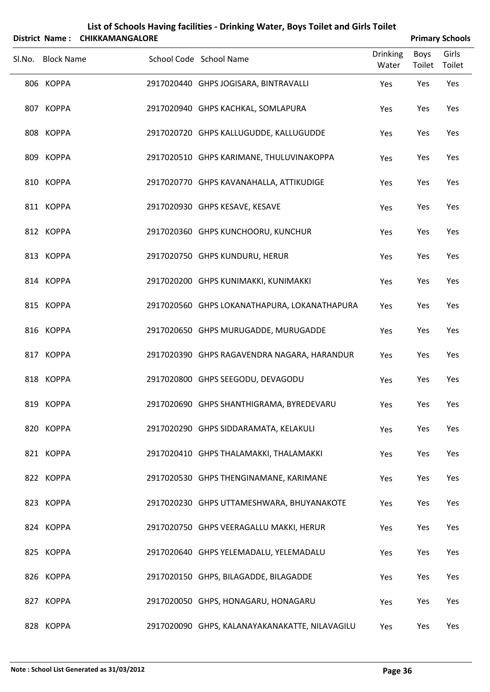|        | District Name:    | List of Schools Having facilities - Drinking Water, Boys Toilet and Girls Toilet<br><b>CHIKKAMANGALORE</b> | <b>Primary Schools</b>                         |                          |                       |                 |
|--------|-------------------|------------------------------------------------------------------------------------------------------------|------------------------------------------------|--------------------------|-----------------------|-----------------|
| SI.No. | <b>Block Name</b> |                                                                                                            | School Code School Name                        | <b>Drinking</b><br>Water | <b>Boys</b><br>Toilet | Girls<br>Toilet |
|        | 806 KOPPA         |                                                                                                            | 2917020440 GHPS JOGISARA, BINTRAVALLI          | Yes                      | Yes                   | Yes             |
|        | 807 KOPPA         |                                                                                                            | 2917020940 GHPS KACHKAL, SOMLAPURA             | Yes                      | Yes                   | Yes             |
|        | 808 KOPPA         |                                                                                                            | 2917020720 GHPS KALLUGUDDE, KALLUGUDDE         | Yes                      | Yes                   | Yes             |
|        | 809 KOPPA         |                                                                                                            | 2917020510 GHPS KARIMANE, THULUVINAKOPPA       | Yes                      | Yes                   | Yes             |
|        | 810 KOPPA         |                                                                                                            | 2917020770 GHPS KAVANAHALLA, ATTIKUDIGE        | Yes                      | Yes                   | Yes             |
|        | 811 KOPPA         |                                                                                                            | 2917020930 GHPS KESAVE, KESAVE                 | Yes                      | Yes                   | Yes             |
|        | 812 KOPPA         |                                                                                                            | 2917020360 GHPS KUNCHOORU, KUNCHUR             | Yes                      | Yes                   | Yes             |
|        | 813 KOPPA         |                                                                                                            | 2917020750 GHPS KUNDURU, HERUR                 | Yes                      | Yes                   | Yes             |
|        | 814 KOPPA         |                                                                                                            | 2917020200 GHPS KUNIMAKKI, KUNIMAKKI           | Yes                      | Yes                   | Yes             |
|        | 815 KOPPA         |                                                                                                            | 2917020560 GHPS LOKANATHAPURA, LOKANATHAPURA   | Yes                      | Yes                   | Yes             |
|        | 816 KOPPA         |                                                                                                            | 2917020650 GHPS MURUGADDE, MURUGADDE           | Yes                      | Yes                   | Yes             |
|        | 817 KOPPA         |                                                                                                            | 2917020390 GHPS RAGAVENDRA NAGARA, HARANDUR    | Yes                      | Yes                   | Yes             |
|        | 818 KOPPA         |                                                                                                            | 2917020800 GHPS SEEGODU, DEVAGODU              | Yes                      | Yes                   | Yes             |
|        | 819 KOPPA         |                                                                                                            | 2917020690 GHPS SHANTHIGRAMA, BYREDEVARU       | Yes                      | Yes                   | Yes             |
|        | 820 KOPPA         |                                                                                                            | 2917020290 GHPS SIDDARAMATA, KELAKULI          | Yes                      | Yes                   | Yes             |
|        | 821 KOPPA         |                                                                                                            | 2917020410 GHPS THALAMAKKI, THALAMAKKI         | Yes                      | Yes                   | Yes             |
|        | 822 KOPPA         |                                                                                                            | 2917020530 GHPS THENGINAMANE, KARIMANE         | Yes                      | Yes                   | Yes             |
|        | 823 KOPPA         |                                                                                                            | 2917020230 GHPS UTTAMESHWARA, BHUYANAKOTE      | Yes                      | Yes                   | Yes             |
|        | 824 KOPPA         |                                                                                                            | 2917020750 GHPS VEERAGALLU MAKKI, HERUR        | Yes                      | Yes                   | Yes             |
|        | 825 KOPPA         |                                                                                                            | 2917020640 GHPS YELEMADALU, YELEMADALU         | Yes                      | Yes                   | Yes             |
|        | 826 KOPPA         |                                                                                                            | 2917020150 GHPS, BILAGADDE, BILAGADDE          | Yes                      | Yes                   | Yes             |
|        | 827 KOPPA         |                                                                                                            | 2917020050 GHPS, HONAGARU, HONAGARU            | Yes                      | Yes                   | Yes             |
|        | 828 KOPPA         |                                                                                                            | 2917020090 GHPS, KALANAYAKANAKATTE, NILAVAGILU | Yes                      | Yes                   | Yes             |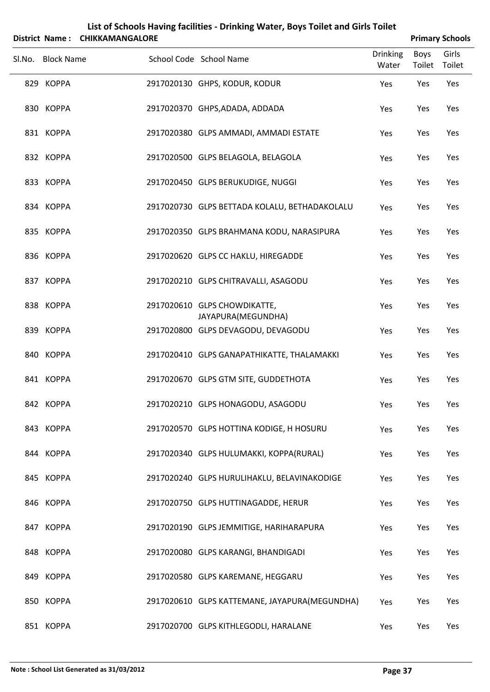|                   | District Name: CHIKKAMANGALORE |                                                    |                          |                       | <b>Primary Schools</b> |
|-------------------|--------------------------------|----------------------------------------------------|--------------------------|-----------------------|------------------------|
| Sl.No. Block Name |                                | School Code School Name                            | <b>Drinking</b><br>Water | <b>Boys</b><br>Toilet | Girls<br>Toilet        |
| 829 KOPPA         |                                | 2917020130 GHPS, KODUR, KODUR                      | Yes                      | Yes                   | Yes                    |
| 830 KOPPA         |                                | 2917020370 GHPS, ADADA, ADDADA                     | Yes                      | Yes                   | Yes                    |
| 831 KOPPA         |                                | 2917020380 GLPS AMMADI, AMMADI ESTATE              | Yes                      | Yes                   | Yes                    |
| 832 KOPPA         |                                | 2917020500 GLPS BELAGOLA, BELAGOLA                 | Yes                      | Yes                   | Yes                    |
| 833 KOPPA         |                                | 2917020450 GLPS BERUKUDIGE, NUGGI                  | Yes                      | Yes                   | Yes                    |
| 834 KOPPA         |                                | 2917020730 GLPS BETTADA KOLALU, BETHADAKOLALU      | Yes                      | Yes                   | Yes                    |
| 835 KOPPA         |                                | 2917020350 GLPS BRAHMANA KODU, NARASIPURA          | Yes                      | Yes                   | Yes                    |
| 836 KOPPA         |                                | 2917020620 GLPS CC HAKLU, HIREGADDE                | Yes                      | Yes                   | Yes                    |
| 837 KOPPA         |                                | 2917020210 GLPS CHITRAVALLI, ASAGODU               | Yes                      | Yes                   | Yes                    |
| 838 KOPPA         |                                | 2917020610 GLPS CHOWDIKATTE,<br>JAYAPURA(MEGUNDHA) | Yes                      | Yes                   | Yes                    |
| 839 KOPPA         |                                | 2917020800 GLPS DEVAGODU, DEVAGODU                 | Yes                      | Yes                   | Yes                    |
| 840 KOPPA         |                                | 2917020410 GLPS GANAPATHIKATTE, THALAMAKKI         | Yes                      | Yes                   | Yes                    |
| 841 KOPPA         |                                | 2917020670 GLPS GTM SITE, GUDDETHOTA               | Yes                      | Yes                   | Yes                    |
| 842 KOPPA         |                                | 2917020210 GLPS HONAGODU, ASAGODU                  | Yes                      | Yes                   | Yes                    |
| 843 KOPPA         |                                | 2917020570 GLPS HOTTINA KODIGE, H HOSURU           | Yes                      | Yes                   | Yes                    |
| 844 KOPPA         |                                | 2917020340 GLPS HULUMAKKI, KOPPA(RURAL)            | Yes                      | Yes                   | Yes                    |
| 845 KOPPA         |                                | 2917020240 GLPS HURULIHAKLU, BELAVINAKODIGE        | Yes                      | Yes                   | Yes                    |
| 846 KOPPA         |                                | 2917020750 GLPS HUTTINAGADDE, HERUR                | Yes                      | Yes                   | Yes                    |
| 847 KOPPA         |                                | 2917020190 GLPS JEMMITIGE, HARIHARAPURA            | Yes                      | Yes                   | Yes                    |
| 848 KOPPA         |                                | 2917020080 GLPS KARANGI, BHANDIGADI                | Yes                      | Yes                   | Yes                    |
| 849 KOPPA         |                                | 2917020580 GLPS KAREMANE, HEGGARU                  | Yes                      | Yes                   | Yes                    |
| 850 KOPPA         |                                | 2917020610 GLPS KATTEMANE, JAYAPURA(MEGUNDHA)      | Yes                      | Yes                   | Yes                    |
| 851 KOPPA         |                                | 2917020700 GLPS KITHLEGODLI, HARALANE              | Yes                      | Yes                   | Yes                    |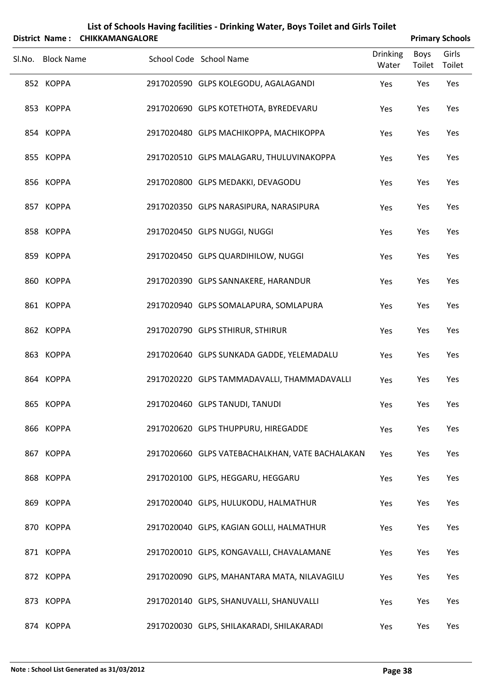|                   | District Name: CHIKKAMANGALORE |                                                 |                          |                       | <b>Primary Schools</b> |
|-------------------|--------------------------------|-------------------------------------------------|--------------------------|-----------------------|------------------------|
| Sl.No. Block Name |                                | School Code School Name                         | <b>Drinking</b><br>Water | <b>Boys</b><br>Toilet | Girls<br>Toilet        |
| 852 KOPPA         |                                | 2917020590 GLPS KOLEGODU, AGALAGANDI            | Yes                      | Yes                   | Yes                    |
| 853 KOPPA         |                                | 2917020690 GLPS KOTETHOTA, BYREDEVARU           | Yes                      | Yes                   | Yes                    |
| 854 KOPPA         |                                | 2917020480 GLPS MACHIKOPPA, MACHIKOPPA          | Yes                      | Yes                   | Yes                    |
| 855 KOPPA         |                                | 2917020510 GLPS MALAGARU, THULUVINAKOPPA        | Yes                      | Yes                   | Yes                    |
| 856 KOPPA         |                                | 2917020800 GLPS MEDAKKI, DEVAGODU               | Yes                      | Yes                   | Yes                    |
| 857 KOPPA         |                                | 2917020350 GLPS NARASIPURA, NARASIPURA          | Yes                      | Yes                   | Yes                    |
| 858 KOPPA         |                                | 2917020450 GLPS NUGGI, NUGGI                    | Yes                      | Yes                   | Yes                    |
| 859 KOPPA         |                                | 2917020450 GLPS QUARDIHILOW, NUGGI              | Yes                      | Yes                   | Yes                    |
| 860 KOPPA         |                                | 2917020390 GLPS SANNAKERE, HARANDUR             | Yes                      | Yes                   | Yes                    |
| 861 KOPPA         |                                | 2917020940 GLPS SOMALAPURA, SOMLAPURA           | Yes                      | Yes                   | Yes                    |
| 862 KOPPA         |                                | 2917020790 GLPS STHIRUR, STHIRUR                | Yes                      | Yes                   | Yes                    |
| 863 KOPPA         |                                | 2917020640 GLPS SUNKADA GADDE, YELEMADALU       | Yes                      | Yes                   | Yes                    |
| 864 KOPPA         |                                | 2917020220 GLPS TAMMADAVALLI, THAMMADAVALLI     | Yes                      | Yes                   | Yes                    |
| 865 KOPPA         |                                | 2917020460 GLPS TANUDI, TANUDI                  | Yes                      | Yes                   | Yes                    |
| 866 KOPPA         |                                | 2917020620 GLPS THUPPURU, HIREGADDE             | Yes                      | Yes                   | Yes                    |
| 867 KOPPA         |                                | 2917020660 GLPS VATEBACHALKHAN, VATE BACHALAKAN | Yes                      | Yes                   | Yes                    |
| 868 KOPPA         |                                | 2917020100 GLPS, HEGGARU, HEGGARU               | Yes                      | Yes                   | Yes                    |
| 869 KOPPA         |                                | 2917020040 GLPS, HULUKODU, HALMATHUR            | Yes                      | Yes                   | Yes                    |
| 870 KOPPA         |                                | 2917020040 GLPS, KAGIAN GOLLI, HALMATHUR        | Yes                      | Yes                   | Yes                    |
| 871 KOPPA         |                                | 2917020010 GLPS, KONGAVALLI, CHAVALAMANE        | Yes                      | Yes                   | Yes                    |
| 872 KOPPA         |                                | 2917020090 GLPS, MAHANTARA MATA, NILAVAGILU     | Yes                      | Yes                   | Yes                    |
| 873 KOPPA         |                                | 2917020140 GLPS, SHANUVALLI, SHANUVALLI         | Yes                      | Yes                   | Yes                    |
| 874 KOPPA         |                                | 2917020030 GLPS, SHILAKARADI, SHILAKARADI       | Yes                      | Yes                   | Yes                    |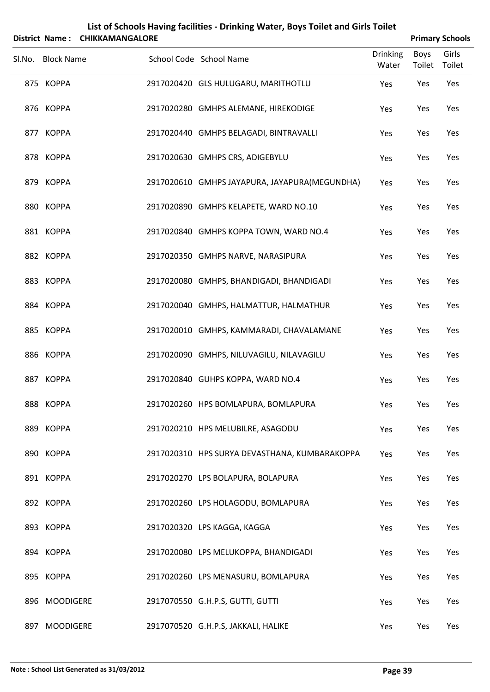|        |                   | District Name: CHIKKAMANGALORE | List of Schools Having facilities - Drinking Water, Boys Toilet and Girls Toilet |                          |                       | <b>Primary Schools</b> |
|--------|-------------------|--------------------------------|----------------------------------------------------------------------------------|--------------------------|-----------------------|------------------------|
| Sl.No. | <b>Block Name</b> |                                | School Code School Name                                                          | <b>Drinking</b><br>Water | <b>Boys</b><br>Toilet | Girls<br>Toilet        |
|        | 875 KOPPA         |                                | 2917020420 GLS HULUGARU, MARITHOTLU                                              | Yes                      | Yes                   | Yes                    |
|        | 876 KOPPA         |                                | 2917020280 GMHPS ALEMANE, HIREKODIGE                                             | Yes                      | Yes                   | Yes                    |
|        | 877 KOPPA         |                                | 2917020440 GMHPS BELAGADI, BINTRAVALLI                                           | Yes                      | Yes                   | Yes                    |
|        | 878 KOPPA         |                                | 2917020630 GMHPS CRS, ADIGEBYLU                                                  | Yes                      | Yes                   | Yes                    |
|        | 879 KOPPA         |                                | 2917020610 GMHPS JAYAPURA, JAYAPURA(MEGUNDHA)                                    | Yes                      | Yes                   | Yes                    |
|        | 880 KOPPA         |                                | 2917020890 GMHPS KELAPETE, WARD NO.10                                            | Yes                      | Yes                   | Yes                    |
|        | 881 KOPPA         |                                | 2917020840 GMHPS KOPPA TOWN, WARD NO.4                                           | Yes                      | Yes                   | Yes                    |
|        | 882 KOPPA         |                                | 2917020350 GMHPS NARVE, NARASIPURA                                               | Yes                      | Yes                   | Yes                    |
|        | 883 KOPPA         |                                | 2917020080 GMHPS, BHANDIGADI, BHANDIGADI                                         | Yes                      | Yes                   | Yes                    |
|        | 884 KOPPA         |                                | 2917020040 GMHPS, HALMATTUR, HALMATHUR                                           | Yes                      | Yes                   | Yes                    |
|        | 885 KOPPA         |                                | 2917020010 GMHPS, KAMMARADI, CHAVALAMANE                                         | Yes                      | Yes                   | Yes                    |
|        | 886 KOPPA         |                                | 2917020090 GMHPS, NILUVAGILU, NILAVAGILU                                         | Yes                      | Yes                   | Yes                    |
|        | 887 KOPPA         |                                | 2917020840 GUHPS KOPPA, WARD NO.4                                                | Yes                      | Yes                   | Yes                    |
|        | 888 KOPPA         |                                | 2917020260 HPS BOMLAPURA, BOMLAPURA                                              | Yes                      | Yes                   | Yes                    |
|        | 889 KOPPA         |                                | 2917020210 HPS MELUBILRE, ASAGODU                                                | Yes                      | Yes                   | Yes                    |
|        | 890 KOPPA         |                                | 2917020310 HPS SURYA DEVASTHANA, KUMBARAKOPPA                                    | Yes                      | Yes                   | Yes                    |
|        | 891 KOPPA         |                                | 2917020270 LPS BOLAPURA, BOLAPURA                                                | Yes                      | Yes                   | Yes                    |
|        | 892 KOPPA         |                                | 2917020260 LPS HOLAGODU, BOMLAPURA                                               | Yes                      | Yes                   | Yes                    |
|        | 893 KOPPA         |                                | 2917020320 LPS KAGGA, KAGGA                                                      | Yes                      | Yes                   | Yes                    |
|        | 894 KOPPA         |                                | 2917020080 LPS MELUKOPPA, BHANDIGADI                                             | Yes                      | Yes                   | Yes                    |
|        | 895 KOPPA         |                                | 2917020260 LPS MENASURU, BOMLAPURA                                               | Yes                      | Yes                   | Yes                    |
|        | 896 MOODIGERE     |                                | 2917070550 G.H.P.S, GUTTI, GUTTI                                                 | Yes                      | Yes                   | Yes                    |
| 897    | <b>MOODIGERE</b>  |                                | 2917070520 G.H.P.S, JAKKALI, HALIKE                                              | Yes                      | Yes                   | Yes                    |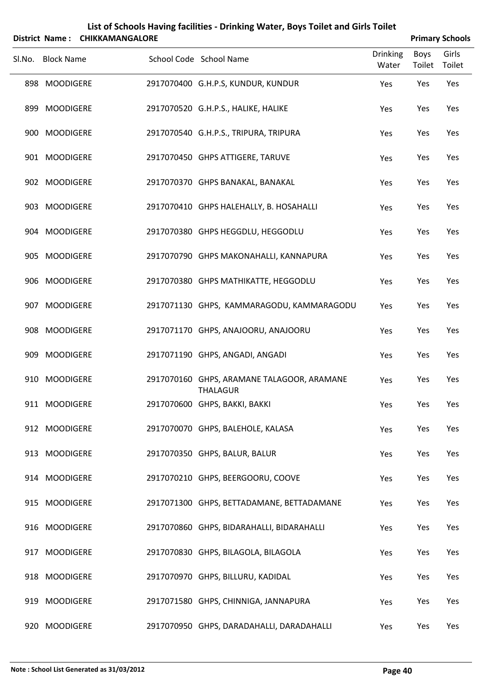|        | List of Schools Having facilities - Drinking Water, Boys Toilet and Girls Toilet<br>District Name: CHIKKAMANGALORE<br><b>Primary Schools</b> |  |  |                                                               |                          |                       |                 |  |  |
|--------|----------------------------------------------------------------------------------------------------------------------------------------------|--|--|---------------------------------------------------------------|--------------------------|-----------------------|-----------------|--|--|
| Sl.No. | <b>Block Name</b>                                                                                                                            |  |  | School Code School Name                                       | <b>Drinking</b><br>Water | <b>Boys</b><br>Toilet | Girls<br>Toilet |  |  |
|        | 898 MOODIGERE                                                                                                                                |  |  | 2917070400 G.H.P.S, KUNDUR, KUNDUR                            | Yes                      | Yes                   | Yes             |  |  |
| 899    | <b>MOODIGERE</b>                                                                                                                             |  |  | 2917070520 G.H.P.S., HALIKE, HALIKE                           | Yes                      | Yes                   | Yes             |  |  |
|        | 900 MOODIGERE                                                                                                                                |  |  | 2917070540 G.H.P.S., TRIPURA, TRIPURA                         | Yes                      | Yes                   | Yes             |  |  |
|        | 901 MOODIGERE                                                                                                                                |  |  | 2917070450 GHPS ATTIGERE, TARUVE                              | Yes                      | Yes                   | Yes             |  |  |
|        | 902 MOODIGERE                                                                                                                                |  |  | 2917070370 GHPS BANAKAL, BANAKAL                              | Yes                      | Yes                   | Yes             |  |  |
|        | 903 MOODIGERE                                                                                                                                |  |  | 2917070410 GHPS HALEHALLY, B. HOSAHALLI                       | Yes                      | Yes                   | Yes             |  |  |
|        | 904 MOODIGERE                                                                                                                                |  |  | 2917070380 GHPS HEGGDLU, HEGGODLU                             | Yes                      | Yes                   | Yes             |  |  |
|        | 905 MOODIGERE                                                                                                                                |  |  | 2917070790 GHPS MAKONAHALLI, KANNAPURA                        | Yes                      | Yes                   | Yes             |  |  |
|        | 906 MOODIGERE                                                                                                                                |  |  | 2917070380 GHPS MATHIKATTE, HEGGODLU                          | Yes                      | Yes                   | Yes             |  |  |
|        | 907 MOODIGERE                                                                                                                                |  |  | 2917071130 GHPS, KAMMARAGODU, KAMMARAGODU                     | Yes                      | Yes                   | Yes             |  |  |
|        | 908 MOODIGERE                                                                                                                                |  |  | 2917071170 GHPS, ANAJOORU, ANAJOORU                           | Yes                      | Yes                   | Yes             |  |  |
| 909    | <b>MOODIGERE</b>                                                                                                                             |  |  | 2917071190 GHPS, ANGADI, ANGADI                               | Yes                      | Yes                   | Yes             |  |  |
|        | 910 MOODIGERE                                                                                                                                |  |  | 2917070160 GHPS, ARAMANE TALAGOOR, ARAMANE<br><b>THALAGUR</b> | Yes                      | Yes                   | Yes             |  |  |
|        | 911 MOODIGERE                                                                                                                                |  |  | 2917070600 GHPS, BAKKI, BAKKI                                 | Yes                      | Yes                   | Yes             |  |  |
|        | 912 MOODIGERE                                                                                                                                |  |  | 2917070070 GHPS, BALEHOLE, KALASA                             | Yes                      | Yes                   | Yes             |  |  |
|        | 913 MOODIGERE                                                                                                                                |  |  | 2917070350 GHPS, BALUR, BALUR                                 | Yes                      | Yes                   | Yes             |  |  |
|        | 914 MOODIGERE                                                                                                                                |  |  | 2917070210 GHPS, BEERGOORU, COOVE                             | Yes                      | Yes                   | Yes             |  |  |
|        | 915 MOODIGERE                                                                                                                                |  |  | 2917071300 GHPS, BETTADAMANE, BETTADAMANE                     | Yes                      | Yes                   | Yes             |  |  |
|        | 916 MOODIGERE                                                                                                                                |  |  | 2917070860 GHPS, BIDARAHALLI, BIDARAHALLI                     | Yes                      | Yes                   | Yes             |  |  |
|        | 917 MOODIGERE                                                                                                                                |  |  | 2917070830 GHPS, BILAGOLA, BILAGOLA                           | Yes                      | Yes                   | Yes             |  |  |
|        | 918 MOODIGERE                                                                                                                                |  |  | 2917070970 GHPS, BILLURU, KADIDAL                             | Yes                      | Yes                   | Yes             |  |  |
| 919    | <b>MOODIGERE</b>                                                                                                                             |  |  | 2917071580 GHPS, CHINNIGA, JANNAPURA                          | Yes                      | Yes                   | Yes             |  |  |
|        | 920 MOODIGERE                                                                                                                                |  |  | 2917070950 GHPS, DARADAHALLI, DARADAHALLI                     | Yes                      | Yes                   | Yes             |  |  |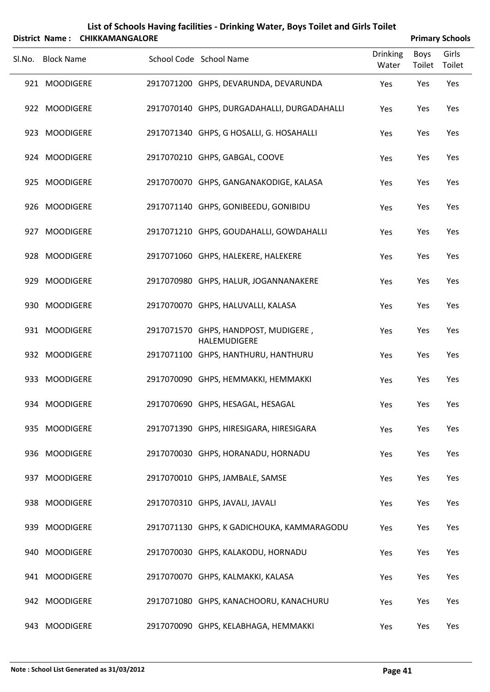|        |                   | District Name: CHIKKAMANGALORE |                                                      |                          | <b>Primary Schools</b> |                 |
|--------|-------------------|--------------------------------|------------------------------------------------------|--------------------------|------------------------|-----------------|
| Sl.No. | <b>Block Name</b> |                                | School Code School Name                              | <b>Drinking</b><br>Water | Boys<br>Toilet         | Girls<br>Toilet |
|        | 921 MOODIGERE     |                                | 2917071200 GHPS, DEVARUNDA, DEVARUNDA                | Yes                      | Yes                    | Yes             |
|        | 922 MOODIGERE     |                                | 2917070140 GHPS, DURGADAHALLI, DURGADAHALLI          | Yes                      | Yes                    | Yes             |
|        | 923 MOODIGERE     |                                | 2917071340 GHPS, G HOSALLI, G. HOSAHALLI             | Yes                      | Yes                    | Yes             |
|        | 924 MOODIGERE     |                                | 2917070210 GHPS, GABGAL, COOVE                       | Yes                      | Yes                    | Yes             |
|        | 925 MOODIGERE     |                                | 2917070070 GHPS, GANGANAKODIGE, KALASA               | Yes                      | Yes                    | Yes             |
|        | 926 MOODIGERE     |                                | 2917071140 GHPS, GONIBEEDU, GONIBIDU                 | Yes                      | Yes                    | Yes             |
|        | 927 MOODIGERE     |                                | 2917071210 GHPS, GOUDAHALLI, GOWDAHALLI              | Yes                      | Yes                    | Yes             |
|        | 928 MOODIGERE     |                                | 2917071060 GHPS, HALEKERE, HALEKERE                  | Yes                      | Yes                    | Yes             |
|        | 929 MOODIGERE     |                                | 2917070980 GHPS, HALUR, JOGANNANAKERE                | Yes                      | Yes                    | Yes             |
|        | 930 MOODIGERE     |                                | 2917070070 GHPS, HALUVALLI, KALASA                   | Yes                      | Yes                    | Yes             |
|        | 931 MOODIGERE     |                                | 2917071570 GHPS, HANDPOST, MUDIGERE,<br>HALEMUDIGERE | Yes                      | Yes                    | Yes             |
|        | 932 MOODIGERE     |                                | 2917071100 GHPS, HANTHURU, HANTHURU                  | Yes                      | Yes                    | Yes             |
| 933    | <b>MOODIGERE</b>  |                                | 2917070090 GHPS, HEMMAKKI, HEMMAKKI                  | Yes                      | Yes                    | Yes             |
|        | 934 MOODIGERE     |                                | 2917070690 GHPS, HESAGAL, HESAGAL                    | Yes                      | Yes                    | Yes             |
| 935    | <b>MOODIGERE</b>  |                                | 2917071390 GHPS, HIRESIGARA, HIRESIGARA              | Yes                      | Yes                    | Yes             |
|        | 936 MOODIGERE     |                                | 2917070030 GHPS, HORANADU, HORNADU                   | Yes                      | Yes                    | Yes             |
| 937    | <b>MOODIGERE</b>  |                                | 2917070010 GHPS, JAMBALE, SAMSE                      | Yes                      | Yes                    | Yes             |
|        | 938 MOODIGERE     |                                | 2917070310 GHPS, JAVALI, JAVALI                      | Yes                      | Yes                    | Yes             |
|        | 939 MOODIGERE     |                                | 2917071130 GHPS, K GADICHOUKA, KAMMARAGODU           | Yes                      | Yes                    | Yes             |
| 940    | <b>MOODIGERE</b>  |                                | 2917070030 GHPS, KALAKODU, HORNADU                   | Yes                      | Yes                    | Yes             |
| 941    | <b>MOODIGERE</b>  |                                | 2917070070 GHPS, KALMAKKI, KALASA                    | Yes                      | Yes                    | Yes             |
| 942    | <b>MOODIGERE</b>  |                                | 2917071080 GHPS, KANACHOORU, KANACHURU               | Yes                      | Yes                    | Yes             |
| 943    | <b>MOODIGERE</b>  |                                | 2917070090 GHPS, KELABHAGA, HEMMAKKI                 | Yes                      | Yes                    | Yes             |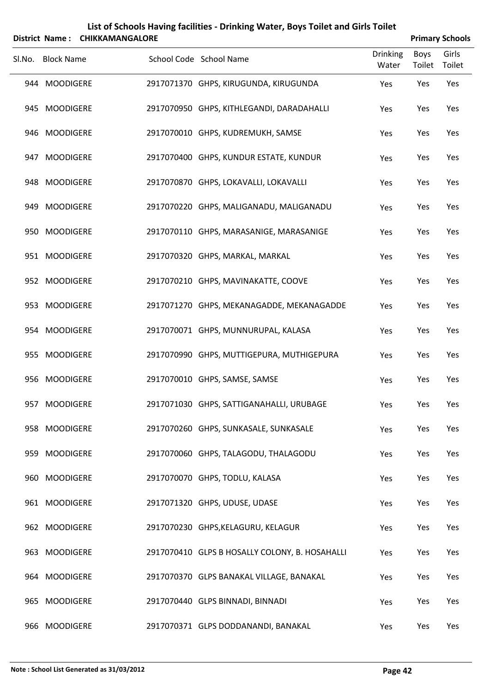|        | <b>District Name:</b> | <b>CHIKKAMANGALORE</b> | List of Schools Having facilities - Drinking Water, Boys Toilet and Girls Toilet |                          |                       | <b>Primary Schools</b> |
|--------|-----------------------|------------------------|----------------------------------------------------------------------------------|--------------------------|-----------------------|------------------------|
| SI.No. | <b>Block Name</b>     |                        | School Code School Name                                                          | <b>Drinking</b><br>Water | <b>Boys</b><br>Toilet | Girls<br>Toilet        |
|        | 944 MOODIGERE         |                        | 2917071370 GHPS, KIRUGUNDA, KIRUGUNDA                                            | Yes                      | Yes                   | Yes                    |
|        | 945 MOODIGERE         |                        | 2917070950 GHPS, KITHLEGANDI, DARADAHALLI                                        | Yes                      | Yes                   | Yes                    |
|        | 946 MOODIGERE         |                        | 2917070010 GHPS, KUDREMUKH, SAMSE                                                | Yes                      | Yes                   | Yes                    |
|        | 947 MOODIGERE         |                        | 2917070400 GHPS, KUNDUR ESTATE, KUNDUR                                           | Yes                      | Yes                   | Yes                    |
|        | 948 MOODIGERE         |                        | 2917070870 GHPS, LOKAVALLI, LOKAVALLI                                            | Yes                      | Yes                   | Yes                    |
|        | 949 MOODIGERE         |                        | 2917070220 GHPS, MALIGANADU, MALIGANADU                                          | Yes                      | Yes                   | Yes                    |
|        | 950 MOODIGERE         |                        | 2917070110 GHPS, MARASANIGE, MARASANIGE                                          | Yes                      | Yes                   | Yes                    |
|        | 951 MOODIGERE         |                        | 2917070320 GHPS, MARKAL, MARKAL                                                  | Yes                      | Yes                   | Yes                    |
|        | 952 MOODIGERE         |                        | 2917070210 GHPS, MAVINAKATTE, COOVE                                              | Yes                      | Yes                   | Yes                    |
|        | 953 MOODIGERE         |                        | 2917071270 GHPS, MEKANAGADDE, MEKANAGADDE                                        | Yes                      | Yes                   | Yes                    |
|        | 954 MOODIGERE         |                        | 2917070071 GHPS, MUNNURUPAL, KALASA                                              | Yes                      | Yes                   | Yes                    |
|        | 955 MOODIGERE         |                        | 2917070990 GHPS, MUTTIGEPURA, MUTHIGEPURA                                        | Yes                      | Yes                   | Yes                    |
|        | 956 MOODIGERE         |                        | 2917070010 GHPS, SAMSE, SAMSE                                                    | Yes                      | Yes                   | Yes                    |
|        | 957 MOODIGERE         |                        | 2917071030 GHPS, SATTIGANAHALLI, URUBAGE                                         | Yes                      | Yes                   | Yes                    |
|        | 958 MOODIGERE         |                        | 2917070260 GHPS, SUNKASALE, SUNKASALE                                            | Yes                      | Yes                   | Yes                    |
|        | 959 MOODIGERE         |                        | 2917070060 GHPS, TALAGODU, THALAGODU                                             | Yes                      | Yes                   | Yes                    |
|        | 960 MOODIGERE         |                        | 2917070070 GHPS, TODLU, KALASA                                                   | Yes                      | Yes                   | Yes                    |
|        | 961 MOODIGERE         |                        | 2917071320 GHPS, UDUSE, UDASE                                                    | Yes                      | Yes                   | Yes                    |
|        | 962 MOODIGERE         |                        | 2917070230 GHPS, KELAGURU, KELAGUR                                               | Yes                      | Yes                   | Yes                    |
|        | 963 MOODIGERE         |                        | 2917070410 GLPS B HOSALLY COLONY, B. HOSAHALLI                                   | Yes                      | Yes                   | Yes                    |
|        | 964 MOODIGERE         |                        | 2917070370 GLPS BANAKAL VILLAGE, BANAKAL                                         | Yes                      | Yes                   | Yes                    |
|        | 965 MOODIGERE         |                        | 2917070440 GLPS BINNADI, BINNADI                                                 | Yes                      | Yes                   | Yes                    |
|        | 966 MOODIGERE         |                        | 2917070371 GLPS DODDANANDI, BANAKAL                                              | Yes                      | Yes                   | Yes                    |

### **Note : School List Generated as 31/03/2012 Page 42**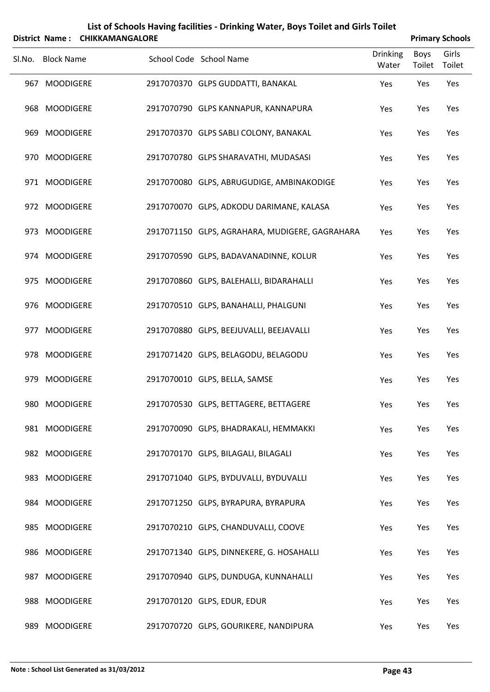| List of Schools Having facilities - Drinking Water, Boys Toilet and Girls Toilet<br><b>Primary Schools</b><br>District Name: |                                                                    |                                                                                                                                                                                                                                                                                                                                                                                                                                                        |                        |                                                                                                                                                                                                                                                                                                                                                                                                                                                                                                                                                                                                                                                                                                                                                                                                                                                                                                                                                                                            |                                                        |                                                                |  |  |  |
|------------------------------------------------------------------------------------------------------------------------------|--------------------------------------------------------------------|--------------------------------------------------------------------------------------------------------------------------------------------------------------------------------------------------------------------------------------------------------------------------------------------------------------------------------------------------------------------------------------------------------------------------------------------------------|------------------------|--------------------------------------------------------------------------------------------------------------------------------------------------------------------------------------------------------------------------------------------------------------------------------------------------------------------------------------------------------------------------------------------------------------------------------------------------------------------------------------------------------------------------------------------------------------------------------------------------------------------------------------------------------------------------------------------------------------------------------------------------------------------------------------------------------------------------------------------------------------------------------------------------------------------------------------------------------------------------------------------|--------------------------------------------------------|----------------------------------------------------------------|--|--|--|
|                                                                                                                              |                                                                    |                                                                                                                                                                                                                                                                                                                                                                                                                                                        |                        | <b>Drinking</b>                                                                                                                                                                                                                                                                                                                                                                                                                                                                                                                                                                                                                                                                                                                                                                                                                                                                                                                                                                            | Boys                                                   | Girls                                                          |  |  |  |
|                                                                                                                              |                                                                    |                                                                                                                                                                                                                                                                                                                                                                                                                                                        |                        |                                                                                                                                                                                                                                                                                                                                                                                                                                                                                                                                                                                                                                                                                                                                                                                                                                                                                                                                                                                            |                                                        | Toilet<br>Yes                                                  |  |  |  |
|                                                                                                                              |                                                                    |                                                                                                                                                                                                                                                                                                                                                                                                                                                        |                        |                                                                                                                                                                                                                                                                                                                                                                                                                                                                                                                                                                                                                                                                                                                                                                                                                                                                                                                                                                                            |                                                        |                                                                |  |  |  |
|                                                                                                                              |                                                                    |                                                                                                                                                                                                                                                                                                                                                                                                                                                        |                        |                                                                                                                                                                                                                                                                                                                                                                                                                                                                                                                                                                                                                                                                                                                                                                                                                                                                                                                                                                                            |                                                        | Yes                                                            |  |  |  |
|                                                                                                                              |                                                                    |                                                                                                                                                                                                                                                                                                                                                                                                                                                        |                        |                                                                                                                                                                                                                                                                                                                                                                                                                                                                                                                                                                                                                                                                                                                                                                                                                                                                                                                                                                                            |                                                        | Yes                                                            |  |  |  |
|                                                                                                                              |                                                                    |                                                                                                                                                                                                                                                                                                                                                                                                                                                        |                        | Yes                                                                                                                                                                                                                                                                                                                                                                                                                                                                                                                                                                                                                                                                                                                                                                                                                                                                                                                                                                                        | Yes                                                    | Yes                                                            |  |  |  |
|                                                                                                                              |                                                                    |                                                                                                                                                                                                                                                                                                                                                                                                                                                        |                        | Yes                                                                                                                                                                                                                                                                                                                                                                                                                                                                                                                                                                                                                                                                                                                                                                                                                                                                                                                                                                                        | Yes                                                    | Yes                                                            |  |  |  |
|                                                                                                                              |                                                                    |                                                                                                                                                                                                                                                                                                                                                                                                                                                        |                        | Yes                                                                                                                                                                                                                                                                                                                                                                                                                                                                                                                                                                                                                                                                                                                                                                                                                                                                                                                                                                                        | Yes                                                    | Yes                                                            |  |  |  |
|                                                                                                                              |                                                                    |                                                                                                                                                                                                                                                                                                                                                                                                                                                        |                        | Yes                                                                                                                                                                                                                                                                                                                                                                                                                                                                                                                                                                                                                                                                                                                                                                                                                                                                                                                                                                                        | Yes                                                    | Yes                                                            |  |  |  |
|                                                                                                                              |                                                                    |                                                                                                                                                                                                                                                                                                                                                                                                                                                        |                        | Yes                                                                                                                                                                                                                                                                                                                                                                                                                                                                                                                                                                                                                                                                                                                                                                                                                                                                                                                                                                                        | Yes                                                    | Yes                                                            |  |  |  |
|                                                                                                                              |                                                                    |                                                                                                                                                                                                                                                                                                                                                                                                                                                        |                        | Yes                                                                                                                                                                                                                                                                                                                                                                                                                                                                                                                                                                                                                                                                                                                                                                                                                                                                                                                                                                                        | Yes                                                    | Yes                                                            |  |  |  |
|                                                                                                                              |                                                                    |                                                                                                                                                                                                                                                                                                                                                                                                                                                        |                        | Yes                                                                                                                                                                                                                                                                                                                                                                                                                                                                                                                                                                                                                                                                                                                                                                                                                                                                                                                                                                                        | Yes                                                    | Yes                                                            |  |  |  |
|                                                                                                                              |                                                                    |                                                                                                                                                                                                                                                                                                                                                                                                                                                        |                        | Yes                                                                                                                                                                                                                                                                                                                                                                                                                                                                                                                                                                                                                                                                                                                                                                                                                                                                                                                                                                                        | Yes                                                    | Yes                                                            |  |  |  |
|                                                                                                                              |                                                                    |                                                                                                                                                                                                                                                                                                                                                                                                                                                        |                        |                                                                                                                                                                                                                                                                                                                                                                                                                                                                                                                                                                                                                                                                                                                                                                                                                                                                                                                                                                                            |                                                        | Yes                                                            |  |  |  |
|                                                                                                                              |                                                                    |                                                                                                                                                                                                                                                                                                                                                                                                                                                        |                        |                                                                                                                                                                                                                                                                                                                                                                                                                                                                                                                                                                                                                                                                                                                                                                                                                                                                                                                                                                                            |                                                        | Yes                                                            |  |  |  |
|                                                                                                                              |                                                                    |                                                                                                                                                                                                                                                                                                                                                                                                                                                        |                        |                                                                                                                                                                                                                                                                                                                                                                                                                                                                                                                                                                                                                                                                                                                                                                                                                                                                                                                                                                                            |                                                        |                                                                |  |  |  |
|                                                                                                                              |                                                                    |                                                                                                                                                                                                                                                                                                                                                                                                                                                        |                        |                                                                                                                                                                                                                                                                                                                                                                                                                                                                                                                                                                                                                                                                                                                                                                                                                                                                                                                                                                                            |                                                        | Yes                                                            |  |  |  |
|                                                                                                                              |                                                                    |                                                                                                                                                                                                                                                                                                                                                                                                                                                        |                        | Yes                                                                                                                                                                                                                                                                                                                                                                                                                                                                                                                                                                                                                                                                                                                                                                                                                                                                                                                                                                                        |                                                        | Yes                                                            |  |  |  |
|                                                                                                                              |                                                                    |                                                                                                                                                                                                                                                                                                                                                                                                                                                        |                        | Yes                                                                                                                                                                                                                                                                                                                                                                                                                                                                                                                                                                                                                                                                                                                                                                                                                                                                                                                                                                                        | Yes                                                    | Yes                                                            |  |  |  |
|                                                                                                                              |                                                                    |                                                                                                                                                                                                                                                                                                                                                                                                                                                        |                        | Yes                                                                                                                                                                                                                                                                                                                                                                                                                                                                                                                                                                                                                                                                                                                                                                                                                                                                                                                                                                                        | Yes                                                    | Yes                                                            |  |  |  |
|                                                                                                                              |                                                                    |                                                                                                                                                                                                                                                                                                                                                                                                                                                        |                        | Yes                                                                                                                                                                                                                                                                                                                                                                                                                                                                                                                                                                                                                                                                                                                                                                                                                                                                                                                                                                                        | Yes                                                    | Yes                                                            |  |  |  |
|                                                                                                                              |                                                                    |                                                                                                                                                                                                                                                                                                                                                                                                                                                        |                        | Yes                                                                                                                                                                                                                                                                                                                                                                                                                                                                                                                                                                                                                                                                                                                                                                                                                                                                                                                                                                                        | Yes                                                    | Yes                                                            |  |  |  |
|                                                                                                                              |                                                                    |                                                                                                                                                                                                                                                                                                                                                                                                                                                        |                        | Yes                                                                                                                                                                                                                                                                                                                                                                                                                                                                                                                                                                                                                                                                                                                                                                                                                                                                                                                                                                                        | Yes                                                    | Yes                                                            |  |  |  |
|                                                                                                                              |                                                                    |                                                                                                                                                                                                                                                                                                                                                                                                                                                        |                        | Yes                                                                                                                                                                                                                                                                                                                                                                                                                                                                                                                                                                                                                                                                                                                                                                                                                                                                                                                                                                                        | Yes                                                    | Yes                                                            |  |  |  |
|                                                                                                                              |                                                                    |                                                                                                                                                                                                                                                                                                                                                                                                                                                        |                        | Yes                                                                                                                                                                                                                                                                                                                                                                                                                                                                                                                                                                                                                                                                                                                                                                                                                                                                                                                                                                                        | Yes                                                    | Yes                                                            |  |  |  |
|                                                                                                                              |                                                                    |                                                                                                                                                                                                                                                                                                                                                                                                                                                        |                        |                                                                                                                                                                                                                                                                                                                                                                                                                                                                                                                                                                                                                                                                                                                                                                                                                                                                                                                                                                                            |                                                        | Yes                                                            |  |  |  |
|                                                                                                                              | 967<br>969<br>973<br>975<br>977<br>979<br>983<br>985<br>987<br>989 | <b>Block Name</b><br><b>MOODIGERE</b><br>968 MOODIGERE<br><b>MOODIGERE</b><br>970 MOODIGERE<br>971 MOODIGERE<br>972 MOODIGERE<br><b>MOODIGERE</b><br>974 MOODIGERE<br><b>MOODIGERE</b><br>976 MOODIGERE<br><b>MOODIGERE</b><br>978 MOODIGERE<br><b>MOODIGERE</b><br>980 MOODIGERE<br>981 MOODIGERE<br>982 MOODIGERE<br><b>MOODIGERE</b><br>984 MOODIGERE<br><b>MOODIGERE</b><br>986 MOODIGERE<br><b>MOODIGERE</b><br>988 MOODIGERE<br><b>MOODIGERE</b> | <b>CHIKKAMANGALORE</b> | School Code School Name<br>2917070370 GLPS GUDDATTI, BANAKAL<br>2917070790 GLPS KANNAPUR, KANNAPURA<br>2917070370 GLPS SABLI COLONY, BANAKAL<br>2917070780 GLPS SHARAVATHI, MUDASASI<br>2917070080 GLPS, ABRUGUDIGE, AMBINAKODIGE<br>2917070070 GLPS, ADKODU DARIMANE, KALASA<br>2917071150 GLPS, AGRAHARA, MUDIGERE, GAGRAHARA<br>2917070590 GLPS, BADAVANADINNE, KOLUR<br>2917070860 GLPS, BALEHALLI, BIDARAHALLI<br>2917070510 GLPS, BANAHALLI, PHALGUNI<br>2917070880 GLPS, BEEJUVALLI, BEEJAVALLI<br>2917071420 GLPS, BELAGODU, BELAGODU<br>2917070010 GLPS, BELLA, SAMSE<br>2917070530 GLPS, BETTAGERE, BETTAGERE<br>2917070090 GLPS, BHADRAKALI, HEMMAKKI<br>2917070170 GLPS, BILAGALI, BILAGALI<br>2917071040 GLPS, BYDUVALLI, BYDUVALLI<br>2917071250 GLPS, BYRAPURA, BYRAPURA<br>2917070210 GLPS, CHANDUVALLI, COOVE<br>2917071340 GLPS, DINNEKERE, G. HOSAHALLI<br>2917070940 GLPS, DUNDUGA, KUNNAHALLI<br>2917070120 GLPS, EDUR, EDUR<br>2917070720 GLPS, GOURIKERE, NANDIPURA | Water<br>Yes<br>Yes<br>Yes<br>Yes<br>Yes<br>Yes<br>Yes | Toilet<br>Yes<br>Yes<br>Yes<br>Yes<br>Yes<br>Yes<br>Yes<br>Yes |  |  |  |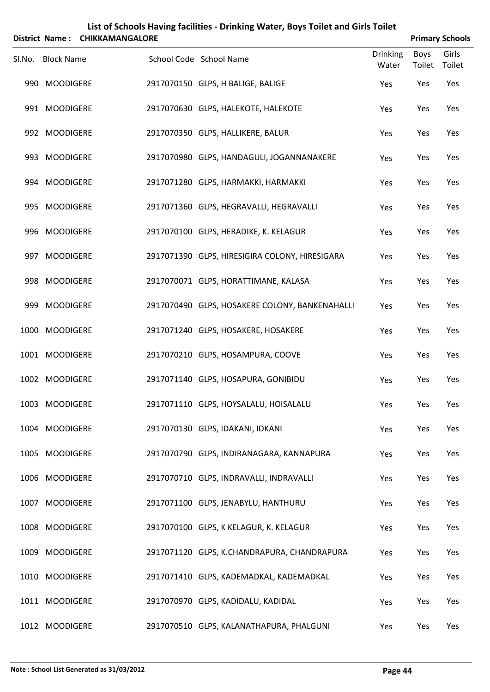|        |                       |                        |                         | List of Schools Having facilities - Drinking Water, Boys Toilet and Girls Toilet |                          |                       |                        |
|--------|-----------------------|------------------------|-------------------------|----------------------------------------------------------------------------------|--------------------------|-----------------------|------------------------|
|        | <b>District Name:</b> | <b>CHIKKAMANGALORE</b> |                         |                                                                                  |                          |                       | <b>Primary Schools</b> |
| SI.No. | <b>Block Name</b>     |                        | School Code School Name |                                                                                  | <b>Drinking</b><br>Water | <b>Boys</b><br>Toilet | Girls<br>Toilet        |
|        | 990 MOODIGERE         |                        |                         | 2917070150 GLPS, H BALIGE, BALIGE                                                | Yes                      | Yes                   | Yes                    |
|        | 991 MOODIGERE         |                        |                         | 2917070630 GLPS, HALEKOTE, HALEKOTE                                              | Yes                      | Yes                   | Yes                    |
|        | 992 MOODIGERE         |                        |                         | 2917070350 GLPS, HALLIKERE, BALUR                                                | Yes                      | Yes                   | Yes                    |
|        | 993 MOODIGERE         |                        |                         | 2917070980 GLPS, HANDAGULI, JOGANNANAKERE                                        | Yes                      | Yes                   | Yes                    |
|        | 994 MOODIGERE         |                        |                         | 2917071280 GLPS, HARMAKKI, HARMAKKI                                              | Yes                      | Yes                   | Yes                    |
|        | 995 MOODIGERE         |                        |                         | 2917071360 GLPS, HEGRAVALLI, HEGRAVALLI                                          | Yes                      | Yes                   | Yes                    |
|        | 996 MOODIGERE         |                        |                         | 2917070100 GLPS, HERADIKE, K. KELAGUR                                            | Yes                      | Yes                   | Yes                    |
|        | 997 MOODIGERE         |                        |                         | 2917071390 GLPS, HIRESIGIRA COLONY, HIRESIGARA                                   | Yes                      | Yes                   | Yes                    |
|        | 998 MOODIGERE         |                        |                         | 2917070071 GLPS, HORATTIMANE, KALASA                                             | Yes                      | Yes                   | Yes                    |
|        | 999 MOODIGERE         |                        |                         | 2917070490 GLPS, HOSAKERE COLONY, BANKENAHALLI                                   | Yes                      | Yes                   | Yes                    |
|        | 1000 MOODIGERE        |                        |                         | 2917071240 GLPS, HOSAKERE, HOSAKERE                                              | Yes                      | Yes                   | Yes                    |
|        | 1001 MOODIGERE        |                        |                         | 2917070210 GLPS, HOSAMPURA, COOVE                                                | Yes                      | Yes                   | Yes                    |
|        | 1002 MOODIGERE        |                        |                         | 2917071140 GLPS, HOSAPURA, GONIBIDU                                              | Yes                      | Yes                   | Yes                    |
|        | 1003 MOODIGERE        |                        |                         | 2917071110 GLPS, HOYSALALU, HOISALALU                                            | Yes                      | Yes                   | Yes                    |
|        | 1004 MOODIGERE        |                        |                         | 2917070130 GLPS, IDAKANI, IDKANI                                                 | Yes                      | Yes                   | Yes                    |
|        | 1005 MOODIGERE        |                        |                         | 2917070790 GLPS, INDIRANAGARA, KANNAPURA                                         | Yes                      | Yes                   | Yes                    |
|        | 1006 MOODIGERE        |                        |                         | 2917070710 GLPS, INDRAVALLI, INDRAVALLI                                          | Yes                      | Yes                   | Yes                    |
| 1007   | <b>MOODIGERE</b>      |                        |                         | 2917071100 GLPS, JENABYLU, HANTHURU                                              | Yes                      | Yes                   | Yes                    |
|        | 1008 MOODIGERE        |                        |                         | 2917070100 GLPS, K KELAGUR, K. KELAGUR                                           | Yes                      | Yes                   | Yes                    |
|        | 1009 MOODIGERE        |                        |                         | 2917071120 GLPS, K.CHANDRAPURA, CHANDRAPURA                                      | Yes                      | Yes                   | Yes                    |
|        | 1010 MOODIGERE        |                        |                         | 2917071410 GLPS, KADEMADKAL, KADEMADKAL                                          | Yes                      | Yes                   | Yes                    |
|        | 1011 MOODIGERE        |                        |                         | 2917070970 GLPS, KADIDALU, KADIDAL                                               | Yes                      | Yes                   | Yes                    |
|        | 1012 MOODIGERE        |                        |                         | 2917070510 GLPS, KALANATHAPURA, PHALGUNI                                         | Yes                      | Yes                   | Yes                    |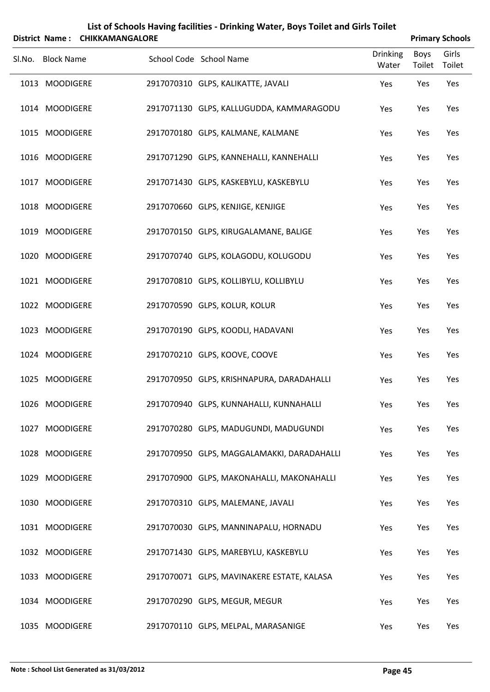|        | District Name:    | <b>CHIKKAMANGALORE</b>        | List of Schools Having facilities - Drinking Water, Boys Toilet and Girls Toilet |                          |                | <b>Primary Schools</b> |
|--------|-------------------|-------------------------------|----------------------------------------------------------------------------------|--------------------------|----------------|------------------------|
| SI.No. | <b>Block Name</b> | School Code School Name       |                                                                                  | <b>Drinking</b><br>Water | Boys<br>Toilet | Girls<br>Toilet        |
|        | 1013 MOODIGERE    |                               | 2917070310 GLPS, KALIKATTE, JAVALI                                               | Yes                      | Yes            | Yes                    |
|        | 1014 MOODIGERE    |                               | 2917071130 GLPS, KALLUGUDDA, KAMMARAGODU                                         | Yes                      | Yes            | Yes                    |
|        | 1015 MOODIGERE    |                               | 2917070180 GLPS, KALMANE, KALMANE                                                | Yes                      | Yes            | Yes                    |
|        | 1016 MOODIGERE    |                               | 2917071290 GLPS, KANNEHALLI, KANNEHALLI                                          | Yes                      | Yes            | Yes                    |
|        | 1017 MOODIGERE    |                               | 2917071430 GLPS, KASKEBYLU, KASKEBYLU                                            | Yes                      | Yes            | Yes                    |
|        | 1018 MOODIGERE    |                               | 2917070660 GLPS, KENJIGE, KENJIGE                                                | Yes                      | Yes            | Yes                    |
|        | 1019 MOODIGERE    |                               | 2917070150 GLPS, KIRUGALAMANE, BALIGE                                            | Yes                      | Yes            | Yes                    |
|        | 1020 MOODIGERE    |                               | 2917070740 GLPS, KOLAGODU, KOLUGODU                                              | Yes                      | Yes            | Yes                    |
|        | 1021 MOODIGERE    |                               | 2917070810 GLPS, KOLLIBYLU, KOLLIBYLU                                            | Yes                      | Yes            | Yes                    |
|        | 1022 MOODIGERE    | 2917070590 GLPS, KOLUR, KOLUR |                                                                                  | Yes                      | Yes            | Yes                    |
|        | 1023 MOODIGERE    |                               | 2917070190 GLPS, KOODLI, HADAVANI                                                | Yes                      | Yes            | Yes                    |
|        | 1024 MOODIGERE    | 2917070210 GLPS, KOOVE, COOVE |                                                                                  | Yes                      | Yes            | Yes                    |
|        | 1025 MOODIGERE    |                               | 2917070950 GLPS, KRISHNAPURA, DARADAHALLI                                        | Yes                      | Yes            | Yes                    |
|        | 1026 MOODIGERE    |                               | 2917070940 GLPS, KUNNAHALLI, KUNNAHALLI                                          | Yes                      | Yes            | Yes                    |
|        | 1027 MOODIGERE    |                               | 2917070280 GLPS, MADUGUNDI, MADUGUNDI                                            | Yes                      | Yes            | Yes                    |
|        | 1028 MOODIGERE    |                               | 2917070950 GLPS, MAGGALAMAKKI, DARADAHALLI                                       | Yes                      | Yes            | Yes                    |
|        | 1029 MOODIGERE    |                               | 2917070900 GLPS, MAKONAHALLI, MAKONAHALLI                                        | Yes                      | Yes            | Yes                    |
|        | 1030 MOODIGERE    |                               | 2917070310 GLPS, MALEMANE, JAVALI                                                | Yes                      | Yes            | Yes                    |
|        | 1031 MOODIGERE    |                               | 2917070030 GLPS, MANNINAPALU, HORNADU                                            | Yes                      | Yes            | Yes                    |
|        | 1032 MOODIGERE    |                               | 2917071430 GLPS, MAREBYLU, KASKEBYLU                                             | Yes                      | Yes            | Yes                    |
|        | 1033 MOODIGERE    |                               | 2917070071 GLPS, MAVINAKERE ESTATE, KALASA                                       | Yes                      | Yes            | Yes                    |
|        | 1034 MOODIGERE    |                               | 2917070290 GLPS, MEGUR, MEGUR                                                    | Yes                      | Yes            | Yes                    |
|        | 1035 MOODIGERE    |                               | 2917070110 GLPS, MELPAL, MARASANIGE                                              | Yes                      | Yes            | Yes                    |

### **Note : School List Generated as 31/03/2012 Page 45**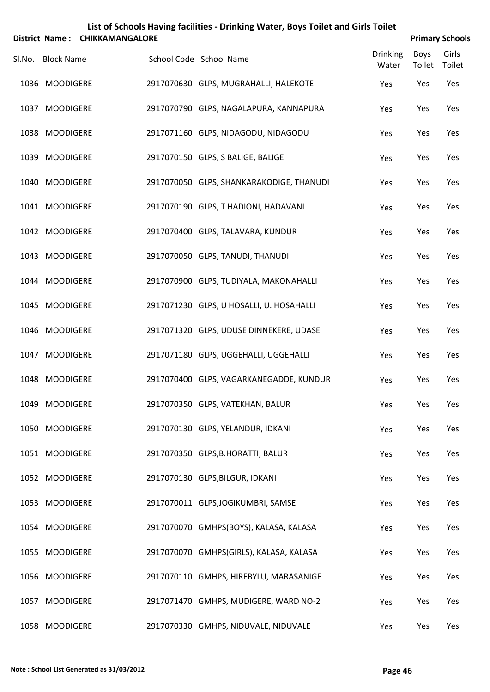|        |                       |                        |                         | List of Schools Having facilities - Drinking Water, Boys Toilet and Girls Toilet |                          |                |                        |
|--------|-----------------------|------------------------|-------------------------|----------------------------------------------------------------------------------|--------------------------|----------------|------------------------|
|        | <b>District Name:</b> | <b>CHIKKAMANGALORE</b> |                         |                                                                                  |                          |                | <b>Primary Schools</b> |
| Sl.No. | <b>Block Name</b>     |                        | School Code School Name |                                                                                  | <b>Drinking</b><br>Water | Boys<br>Toilet | Girls<br>Toilet        |
|        | 1036 MOODIGERE        |                        |                         | 2917070630 GLPS, MUGRAHALLI, HALEKOTE                                            | Yes                      | Yes            | Yes                    |
|        | 1037 MOODIGERE        |                        |                         | 2917070790 GLPS, NAGALAPURA, KANNAPURA                                           | Yes                      | Yes            | Yes                    |
|        | 1038 MOODIGERE        |                        |                         | 2917071160 GLPS, NIDAGODU, NIDAGODU                                              | Yes                      | Yes            | Yes                    |
|        | 1039 MOODIGERE        |                        |                         | 2917070150 GLPS, S BALIGE, BALIGE                                                | Yes                      | Yes            | Yes                    |
|        | 1040 MOODIGERE        |                        |                         | 2917070050 GLPS, SHANKARAKODIGE, THANUDI                                         | Yes                      | Yes            | Yes                    |
|        | 1041 MOODIGERE        |                        |                         | 2917070190 GLPS, T HADIONI, HADAVANI                                             | Yes                      | Yes            | Yes                    |
|        | 1042 MOODIGERE        |                        |                         | 2917070400 GLPS, TALAVARA, KUNDUR                                                | Yes                      | Yes            | Yes                    |
|        | 1043 MOODIGERE        |                        |                         | 2917070050 GLPS, TANUDI, THANUDI                                                 | Yes                      | Yes            | Yes                    |
|        | 1044 MOODIGERE        |                        |                         | 2917070900 GLPS, TUDIYALA, MAKONAHALLI                                           | Yes                      | Yes            | Yes                    |
|        | 1045 MOODIGERE        |                        |                         | 2917071230 GLPS, U HOSALLI, U. HOSAHALLI                                         | Yes                      | Yes            | Yes                    |
|        | 1046 MOODIGERE        |                        |                         | 2917071320 GLPS, UDUSE DINNEKERE, UDASE                                          | Yes                      | Yes            | Yes                    |
|        | 1047 MOODIGERE        |                        |                         | 2917071180 GLPS, UGGEHALLI, UGGEHALLI                                            | Yes                      | Yes            | Yes                    |
|        | 1048 MOODIGERE        |                        |                         | 2917070400 GLPS, VAGARKANEGADDE, KUNDUR                                          | Yes                      | Yes            | Yes                    |
|        | 1049 MOODIGERE        |                        |                         | 2917070350 GLPS, VATEKHAN, BALUR                                                 | Yes                      | Yes            | Yes                    |
|        | 1050 MOODIGERE        |                        |                         | 2917070130 GLPS, YELANDUR, IDKANI                                                | Yes                      | Yes            | Yes                    |
|        | 1051 MOODIGERE        |                        |                         | 2917070350 GLPS, B.HORATTI, BALUR                                                | Yes                      | Yes            | Yes                    |
|        | 1052 MOODIGERE        |                        |                         | 2917070130 GLPS, BILGUR, IDKANI                                                  | Yes                      | Yes            | Yes                    |
|        | 1053 MOODIGERE        |                        |                         | 2917070011 GLPS, JOGIKUMBRI, SAMSE                                               | Yes                      | Yes            | Yes                    |
|        | 1054 MOODIGERE        |                        |                         | 2917070070 GMHPS(BOYS), KALASA, KALASA                                           | Yes                      | Yes            | Yes                    |
|        | 1055 MOODIGERE        |                        |                         | 2917070070 GMHPS(GIRLS), KALASA, KALASA                                          | Yes                      | Yes            | Yes                    |
|        | 1056 MOODIGERE        |                        |                         | 2917070110 GMHPS, HIREBYLU, MARASANIGE                                           | Yes                      | Yes            | Yes                    |
| 1057   | <b>MOODIGERE</b>      |                        |                         | 2917071470 GMHPS, MUDIGERE, WARD NO-2                                            | Yes                      | Yes            | Yes                    |
|        | 1058 MOODIGERE        |                        |                         | 2917070330 GMHPS, NIDUVALE, NIDUVALE                                             | Yes                      | Yes            | Yes                    |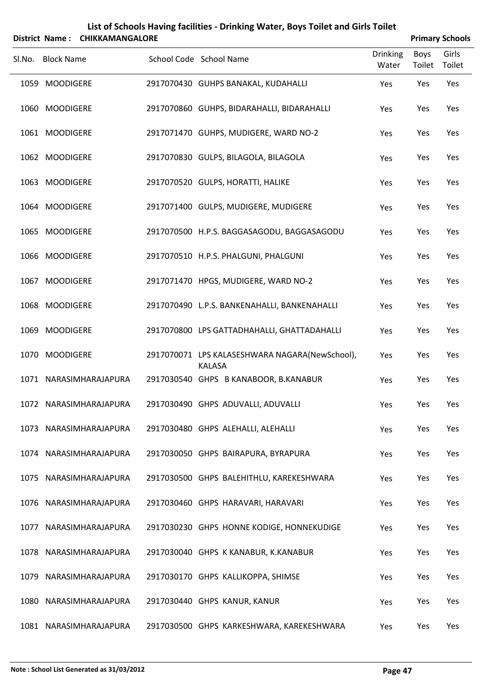| List of Schools Having facilities - Drinking Water, Boys Toilet and Girls Toilet<br><b>CHIKKAMANGALORE</b><br><b>Primary Schools</b><br><b>District Name:</b> |                   |                        |  |                                                                 |                          |                |                 |  |  |
|---------------------------------------------------------------------------------------------------------------------------------------------------------------|-------------------|------------------------|--|-----------------------------------------------------------------|--------------------------|----------------|-----------------|--|--|
| Sl.No.                                                                                                                                                        | <b>Block Name</b> |                        |  | School Code School Name                                         | <b>Drinking</b><br>Water | Boys<br>Toilet | Girls<br>Toilet |  |  |
|                                                                                                                                                               | 1059 MOODIGERE    |                        |  | 2917070430 GUHPS BANAKAL, KUDAHALLI                             | Yes                      | Yes            | Yes             |  |  |
|                                                                                                                                                               | 1060 MOODIGERE    |                        |  | 2917070860 GUHPS, BIDARAHALLI, BIDARAHALLI                      | Yes                      | Yes            | Yes             |  |  |
|                                                                                                                                                               | 1061 MOODIGERE    |                        |  | 2917071470 GUHPS, MUDIGERE, WARD NO-2                           | Yes                      | Yes            | Yes             |  |  |
|                                                                                                                                                               | 1062 MOODIGERE    |                        |  | 2917070830 GULPS, BILAGOLA, BILAGOLA                            | Yes                      | Yes            | Yes             |  |  |
|                                                                                                                                                               | 1063 MOODIGERE    |                        |  | 2917070520 GULPS, HORATTI, HALIKE                               | Yes                      | Yes            | Yes             |  |  |
|                                                                                                                                                               | 1064 MOODIGERE    |                        |  | 2917071400 GULPS, MUDIGERE, MUDIGERE                            | Yes                      | Yes            | Yes             |  |  |
|                                                                                                                                                               | 1065 MOODIGERE    |                        |  | 2917070500 H.P.S. BAGGASAGODU, BAGGASAGODU                      | Yes                      | Yes            | Yes             |  |  |
|                                                                                                                                                               | 1066 MOODIGERE    |                        |  | 2917070510 H.P.S. PHALGUNI, PHALGUNI                            | Yes                      | Yes            | Yes             |  |  |
| 1067                                                                                                                                                          | <b>MOODIGERE</b>  |                        |  | 2917071470 HPGS, MUDIGERE, WARD NO-2                            | Yes                      | Yes            | Yes             |  |  |
|                                                                                                                                                               | 1068 MOODIGERE    |                        |  | 2917070490 L.P.S. BANKENAHALLI, BANKENAHALLI                    | Yes                      | Yes            | Yes             |  |  |
|                                                                                                                                                               | 1069 MOODIGERE    |                        |  | 2917070800 LPS GATTADHAHALLI, GHATTADAHALLI                     | Yes                      | Yes            | Yes             |  |  |
|                                                                                                                                                               | 1070 MOODIGERE    |                        |  | 2917070071 LPS KALASESHWARA NAGARA(NewSchool),<br><b>KALASA</b> | Yes                      | Yes            | Yes             |  |  |
|                                                                                                                                                               |                   | 1071 NARASIMHARAJAPURA |  | 2917030540 GHPS B KANABOOR, B.KANABUR                           | Yes                      | Yes            | Yes             |  |  |
|                                                                                                                                                               |                   | 1072 NARASIMHARAJAPURA |  | 2917030490 GHPS ADUVALLI, ADUVALLI                              | Yes                      | Yes            | Yes             |  |  |
|                                                                                                                                                               |                   | 1073 NARASIMHARAJAPURA |  | 2917030480 GHPS ALEHALLI, ALEHALLI                              | Yes                      | Yes            | Yes             |  |  |
|                                                                                                                                                               |                   | 1074 NARASIMHARAJAPURA |  | 2917030050 GHPS BAIRAPURA, BYRAPURA                             | Yes                      | Yes            | Yes             |  |  |
|                                                                                                                                                               |                   | 1075 NARASIMHARAJAPURA |  | 2917030500 GHPS BALEHITHLU, KAREKESHWARA                        | Yes                      | Yes            | Yes             |  |  |
|                                                                                                                                                               |                   | 1076 NARASIMHARAJAPURA |  | 2917030460 GHPS HARAVARI, HARAVARI                              | Yes                      | Yes            | Yes             |  |  |
|                                                                                                                                                               |                   | 1077 NARASIMHARAJAPURA |  | 2917030230 GHPS HONNE KODIGE, HONNEKUDIGE                       | Yes                      | Yes            | Yes             |  |  |
|                                                                                                                                                               |                   | 1078 NARASIMHARAJAPURA |  | 2917030040 GHPS K KANABUR, K.KANABUR                            | Yes                      | Yes            | Yes             |  |  |
|                                                                                                                                                               |                   | 1079 NARASIMHARAJAPURA |  | 2917030170 GHPS KALLIKOPPA, SHIMSE                              | Yes                      | Yes            | Yes             |  |  |
|                                                                                                                                                               |                   | 1080 NARASIMHARAJAPURA |  | 2917030440 GHPS KANUR, KANUR                                    | Yes                      | Yes            | Yes             |  |  |
|                                                                                                                                                               |                   | 1081 NARASIMHARAJAPURA |  | 2917030500 GHPS KARKESHWARA, KAREKESHWARA                       | Yes                      | Yes            | Yes             |  |  |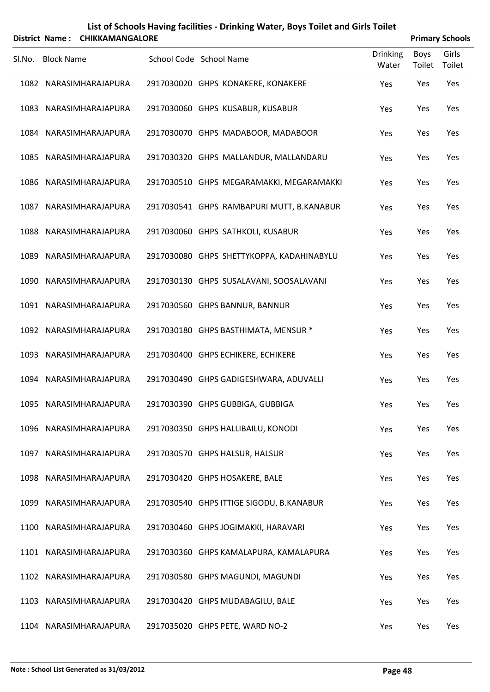|        |                   | District Name: CHIKKAMANGALORE |                                           |                          |                | <b>Primary Schools</b> |
|--------|-------------------|--------------------------------|-------------------------------------------|--------------------------|----------------|------------------------|
| SI.No. | <b>Block Name</b> |                                | School Code School Name                   | <b>Drinking</b><br>Water | Boys<br>Toilet | Girls<br>Toilet        |
|        |                   | 1082 NARASIMHARAJAPURA         | 2917030020 GHPS KONAKERE, KONAKERE        | Yes                      | Yes            | Yes                    |
|        |                   | 1083 NARASIMHARAJAPURA         | 2917030060 GHPS KUSABUR, KUSABUR          | Yes                      | Yes            | Yes                    |
|        |                   | 1084 NARASIMHARAJAPURA         | 2917030070 GHPS MADABOOR, MADABOOR        | Yes                      | Yes            | Yes                    |
|        |                   | 1085 NARASIMHARAJAPURA         | 2917030320 GHPS MALLANDUR, MALLANDARU     | Yes                      | Yes            | Yes                    |
|        |                   | 1086 NARASIMHARAJAPURA         | 2917030510 GHPS MEGARAMAKKI, MEGARAMAKKI  | Yes                      | Yes            | Yes                    |
|        |                   | 1087 NARASIMHARAJAPURA         | 2917030541 GHPS RAMBAPURI MUTT, B.KANABUR | Yes                      | Yes            | Yes                    |
|        |                   | 1088 NARASIMHARAJAPURA         | 2917030060 GHPS SATHKOLI, KUSABUR         | Yes                      | Yes            | Yes                    |
|        |                   | 1089 NARASIMHARAJAPURA         | 2917030080 GHPS SHETTYKOPPA, KADAHINABYLU | Yes                      | Yes            | Yes                    |
|        |                   | 1090 NARASIMHARAJAPURA         | 2917030130 GHPS SUSALAVANI, SOOSALAVANI   | Yes                      | Yes            | Yes                    |
|        |                   | 1091 NARASIMHARAJAPURA         | 2917030560 GHPS BANNUR, BANNUR            | Yes                      | Yes            | Yes                    |
|        |                   | 1092 NARASIMHARAJAPURA         | 2917030180 GHPS BASTHIMATA, MENSUR *      | Yes                      | Yes            | Yes                    |
|        |                   | 1093 NARASIMHARAJAPURA         | 2917030400 GHPS ECHIKERE, ECHIKERE        | Yes                      | Yes            | Yes                    |
|        |                   | 1094 NARASIMHARAJAPURA         | 2917030490 GHPS GADIGESHWARA, ADUVALLI    | Yes                      | Yes            | Yes                    |
|        |                   | 1095 NARASIMHARAJAPURA         | 2917030390 GHPS GUBBIGA, GUBBIGA          | Yes                      | Yes            | Yes                    |
|        |                   | 1096 NARASIMHARAJAPURA         | 2917030350 GHPS HALLIBAILU, KONODI        | Yes                      | Yes            | Yes                    |
|        |                   | 1097 NARASIMHARAJAPURA         | 2917030570 GHPS HALSUR, HALSUR            | Yes                      | Yes            | Yes                    |
|        |                   | 1098 NARASIMHARAJAPURA         | 2917030420 GHPS HOSAKERE, BALE            | Yes                      | Yes            | Yes                    |
|        |                   | 1099 NARASIMHARAJAPURA         | 2917030540 GHPS ITTIGE SIGODU, B.KANABUR  | Yes                      | Yes            | Yes                    |
|        |                   | 1100 NARASIMHARAJAPURA         | 2917030460 GHPS JOGIMAKKI, HARAVARI       | Yes                      | Yes            | Yes                    |
|        |                   | 1101 NARASIMHARAJAPURA         | 2917030360 GHPS KAMALAPURA, KAMALAPURA    | Yes                      | Yes            | Yes                    |
|        |                   | 1102 NARASIMHARAJAPURA         | 2917030580 GHPS MAGUNDI, MAGUNDI          | Yes                      | Yes            | Yes                    |
|        |                   | 1103 NARASIMHARAJAPURA         | 2917030420 GHPS MUDABAGILU, BALE          | Yes                      | Yes            | Yes                    |
|        |                   | 1104 NARASIMHARAJAPURA         | 2917035020 GHPS PETE, WARD NO-2           | Yes                      | Yes            | Yes                    |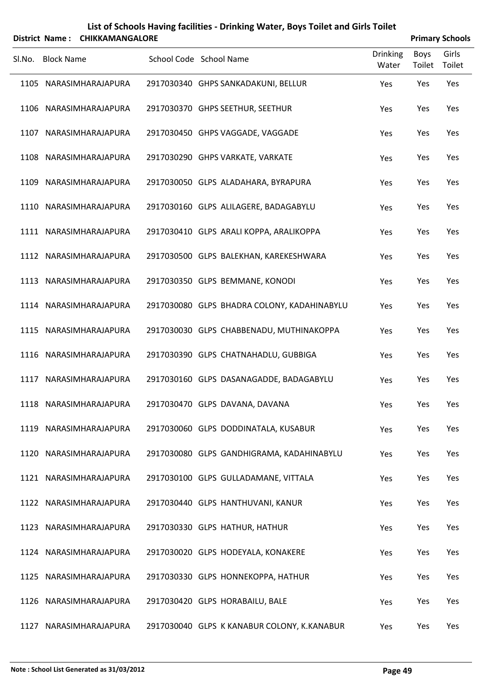| List of Schools Having facilities - Drinking Water, Boys Toilet and Girls Toilet |  |  |
|----------------------------------------------------------------------------------|--|--|
|                                                                                  |  |  |

|        |                   | District Name: CHIKKAMANGALORE |                         |                                             |                          |                | <b>Primary Schools</b> |
|--------|-------------------|--------------------------------|-------------------------|---------------------------------------------|--------------------------|----------------|------------------------|
| Sl.No. | <b>Block Name</b> |                                | School Code School Name |                                             | <b>Drinking</b><br>Water | Boys<br>Toilet | Girls<br>Toilet        |
|        |                   | 1105 NARASIMHARAJAPURA         |                         | 2917030340 GHPS SANKADAKUNI, BELLUR         | Yes                      | Yes            | Yes                    |
|        |                   | 1106 NARASIMHARAJAPURA         |                         | 2917030370 GHPS SEETHUR, SEETHUR            | Yes                      | Yes            | Yes                    |
|        |                   | 1107 NARASIMHARAJAPURA         |                         | 2917030450 GHPS VAGGADE, VAGGADE            | Yes                      | Yes            | Yes                    |
|        |                   | 1108 NARASIMHARAJAPURA         |                         | 2917030290 GHPS VARKATE, VARKATE            | Yes                      | Yes            | Yes                    |
|        |                   | 1109 NARASIMHARAJAPURA         |                         | 2917030050 GLPS ALADAHARA, BYRAPURA         | Yes                      | Yes            | Yes                    |
|        |                   | 1110 NARASIMHARAJAPURA         |                         | 2917030160 GLPS ALILAGERE, BADAGABYLU       | Yes                      | Yes            | Yes                    |
|        |                   | 1111 NARASIMHARAJAPURA         |                         | 2917030410 GLPS ARALI KOPPA, ARALIKOPPA     | Yes                      | Yes            | Yes                    |
|        |                   | 1112 NARASIMHARAJAPURA         |                         | 2917030500 GLPS BALEKHAN, KAREKESHWARA      | Yes                      | Yes            | Yes                    |
|        |                   | 1113 NARASIMHARAJAPURA         |                         | 2917030350 GLPS BEMMANE, KONODI             | Yes                      | Yes            | Yes                    |
|        |                   | 1114 NARASIMHARAJAPURA         |                         | 2917030080 GLPS BHADRA COLONY, KADAHINABYLU | Yes                      | Yes            | Yes                    |
|        |                   | 1115 NARASIMHARAJAPURA         |                         | 2917030030 GLPS CHABBENADU, MUTHINAKOPPA    | Yes                      | Yes            | Yes                    |
|        |                   | 1116 NARASIMHARAJAPURA         |                         | 2917030390 GLPS CHATNAHADLU, GUBBIGA        | Yes                      | Yes            | Yes                    |
|        |                   | 1117 NARASIMHARAJAPURA         |                         | 2917030160 GLPS DASANAGADDE, BADAGABYLU     | Yes                      | Yes            | Yes                    |
|        |                   | 1118 NARASIMHARAJAPURA         |                         | 2917030470 GLPS DAVANA, DAVANA              | Yes                      | Yes            | Yes                    |
|        |                   | 1119 NARASIMHARAJAPURA         |                         | 2917030060 GLPS DODDINATALA, KUSABUR        | Yes                      | Yes            | Yes                    |
|        |                   | 1120 NARASIMHARAJAPURA         |                         | 2917030080 GLPS GANDHIGRAMA, KADAHINABYLU   | Yes                      | Yes            | Yes                    |
|        |                   | 1121 NARASIMHARAJAPURA         |                         | 2917030100 GLPS GULLADAMANE, VITTALA        | Yes                      | Yes            | Yes                    |
|        |                   | 1122 NARASIMHARAJAPURA         |                         | 2917030440 GLPS HANTHUVANI, KANUR           | Yes                      | Yes            | Yes                    |
|        |                   | 1123 NARASIMHARAJAPURA         |                         | 2917030330 GLPS HATHUR, HATHUR              | Yes                      | Yes            | Yes                    |
|        |                   | 1124 NARASIMHARAJAPURA         |                         | 2917030020 GLPS HODEYALA, KONAKERE          | Yes                      | Yes            | Yes                    |
|        |                   | 1125 NARASIMHARAJAPURA         |                         | 2917030330 GLPS HONNEKOPPA, HATHUR          | Yes                      | Yes            | Yes                    |
|        |                   | 1126 NARASIMHARAJAPURA         |                         | 2917030420 GLPS HORABAILU, BALE             | Yes                      | Yes            | Yes                    |
|        |                   | 1127 NARASIMHARAJAPURA         |                         | 2917030040 GLPS K KANABUR COLONY, K.KANABUR | Yes                      | Yes            | Yes                    |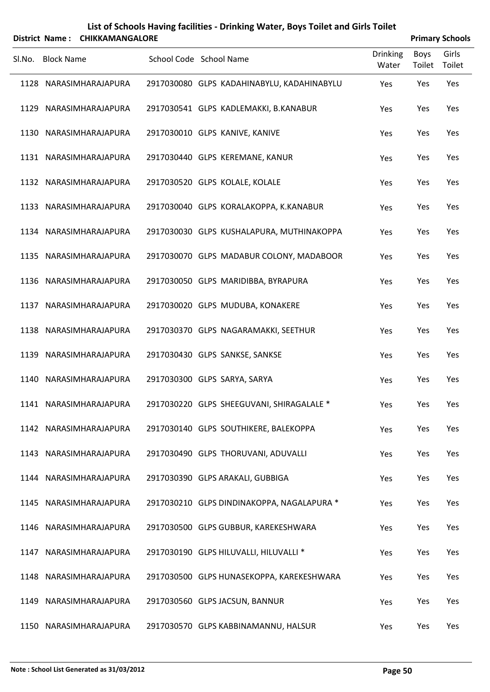|        |                   | District Name: CHIKKAMANGALORE |                         |                                            |                          |                | <b>Primary Schools</b> |
|--------|-------------------|--------------------------------|-------------------------|--------------------------------------------|--------------------------|----------------|------------------------|
| SI.No. | <b>Block Name</b> |                                | School Code School Name |                                            | <b>Drinking</b><br>Water | Boys<br>Toilet | Girls<br>Toilet        |
|        |                   | 1128 NARASIMHARAJAPURA         |                         | 2917030080 GLPS KADAHINABYLU, KADAHINABYLU | Yes                      | Yes            | Yes                    |
|        |                   | 1129 NARASIMHARAJAPURA         |                         | 2917030541 GLPS KADLEMAKKI, B.KANABUR      | Yes                      | Yes            | Yes                    |
|        |                   | 1130 NARASIMHARAJAPURA         |                         | 2917030010 GLPS KANIVE, KANIVE             | Yes                      | Yes            | Yes                    |
|        |                   | 1131 NARASIMHARAJAPURA         |                         | 2917030440 GLPS KEREMANE, KANUR            | Yes                      | Yes            | Yes                    |
|        |                   | 1132 NARASIMHARAJAPURA         |                         | 2917030520 GLPS KOLALE, KOLALE             | Yes                      | Yes            | Yes                    |
|        |                   | 1133 NARASIMHARAJAPURA         |                         | 2917030040 GLPS KORALAKOPPA, K.KANABUR     | Yes                      | Yes            | Yes                    |
|        |                   | 1134 NARASIMHARAJAPURA         |                         | 2917030030 GLPS KUSHALAPURA, MUTHINAKOPPA  | Yes                      | Yes            | Yes                    |
|        |                   | 1135 NARASIMHARAJAPURA         |                         | 2917030070 GLPS MADABUR COLONY, MADABOOR   | Yes                      | Yes            | Yes                    |
|        |                   | 1136 NARASIMHARAJAPURA         |                         | 2917030050 GLPS MARIDIBBA, BYRAPURA        | Yes                      | Yes            | Yes                    |
|        |                   | 1137 NARASIMHARAJAPURA         |                         | 2917030020 GLPS MUDUBA, KONAKERE           | Yes                      | Yes            | Yes                    |
|        |                   | 1138 NARASIMHARAJAPURA         |                         | 2917030370 GLPS NAGARAMAKKI, SEETHUR       | Yes                      | Yes            | Yes                    |
|        |                   | 1139 NARASIMHARAJAPURA         |                         | 2917030430 GLPS SANKSE, SANKSE             | Yes                      | Yes            | Yes                    |
|        |                   | 1140 NARASIMHARAJAPURA         |                         | 2917030300 GLPS SARYA, SARYA               | Yes                      | Yes            | Yes                    |
|        |                   | 1141 NARASIMHARAJAPURA         |                         | 2917030220 GLPS SHEEGUVANI, SHIRAGALALE *  | Yes                      | Yes            | Yes                    |
|        |                   | 1142 NARASIMHARAJAPURA         |                         | 2917030140 GLPS SOUTHIKERE, BALEKOPPA      | Yes                      | Yes            | Yes                    |
|        |                   | 1143 NARASIMHARAJAPURA         |                         | 2917030490 GLPS THORUVANI, ADUVALLI        | Yes                      | Yes            | Yes                    |
|        |                   | 1144 NARASIMHARAJAPURA         |                         | 2917030390 GLPS ARAKALI, GUBBIGA           | Yes                      | Yes            | Yes                    |
|        |                   | 1145 NARASIMHARAJAPURA         |                         | 2917030210 GLPS DINDINAKOPPA, NAGALAPURA * | Yes                      | Yes            | Yes                    |
|        |                   | 1146 NARASIMHARAJAPURA         |                         | 2917030500 GLPS GUBBUR, KAREKESHWARA       | Yes                      | Yes            | Yes                    |
|        |                   | 1147 NARASIMHARAJAPURA         |                         | 2917030190 GLPS HILUVALLI, HILUVALLI *     | Yes                      | Yes            | Yes                    |
|        |                   | 1148 NARASIMHARAJAPURA         |                         | 2917030500 GLPS HUNASEKOPPA, KAREKESHWARA  | Yes                      | Yes            | Yes                    |
|        |                   | 1149 NARASIMHARAJAPURA         |                         | 2917030560 GLPS JACSUN, BANNUR             | Yes                      | Yes            | Yes                    |
|        |                   | 1150 NARASIMHARAJAPURA         |                         | 2917030570 GLPS KABBINAMANNU, HALSUR       | Yes                      | Yes            | Yes                    |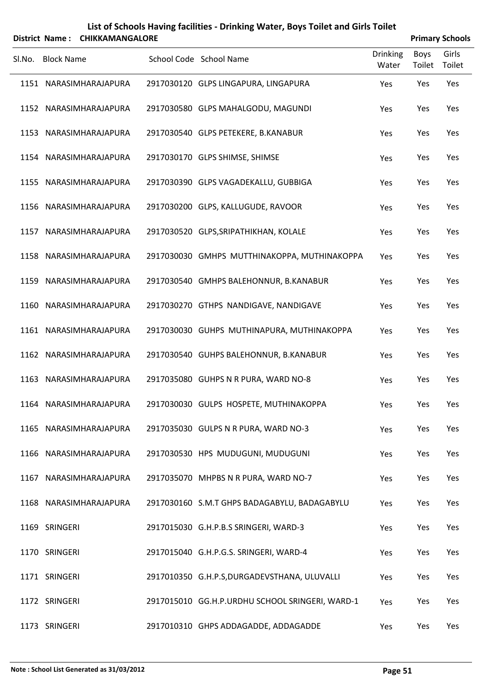| List of Schools Having facilities - Drinking Water, Boys Toilet and Girls Toilet |  |
|----------------------------------------------------------------------------------|--|
|                                                                                  |  |

|        |                   | District Name: CHIKKAMANGALORE |                                                 |                          |                | <b>Primary Schools</b> |
|--------|-------------------|--------------------------------|-------------------------------------------------|--------------------------|----------------|------------------------|
| SI.No. | <b>Block Name</b> |                                | School Code School Name                         | <b>Drinking</b><br>Water | Boys<br>Toilet | Girls<br>Toilet        |
|        |                   | 1151 NARASIMHARAJAPURA         | 2917030120 GLPS LINGAPURA, LINGAPURA            | Yes                      | Yes            | Yes                    |
|        |                   | 1152 NARASIMHARAJAPURA         | 2917030580 GLPS MAHALGODU, MAGUNDI              | Yes                      | Yes            | Yes                    |
|        |                   | 1153 NARASIMHARAJAPURA         | 2917030540 GLPS PETEKERE, B.KANABUR             | Yes                      | Yes            | Yes                    |
|        |                   | 1154 NARASIMHARAJAPURA         | 2917030170 GLPS SHIMSE, SHIMSE                  | Yes                      | Yes            | Yes                    |
|        |                   | 1155 NARASIMHARAJAPURA         | 2917030390 GLPS VAGADEKALLU, GUBBIGA            | Yes                      | Yes            | Yes                    |
|        |                   | 1156 NARASIMHARAJAPURA         | 2917030200 GLPS, KALLUGUDE, RAVOOR              | Yes                      | Yes            | Yes                    |
|        |                   | 1157 NARASIMHARAJAPURA         | 2917030520 GLPS, SRIPATHIKHAN, KOLALE           | Yes                      | Yes            | Yes                    |
|        |                   | 1158 NARASIMHARAJAPURA         | 2917030030 GMHPS MUTTHINAKOPPA, MUTHINAKOPPA    | Yes                      | Yes            | Yes                    |
|        |                   | 1159 NARASIMHARAJAPURA         | 2917030540 GMHPS BALEHONNUR, B.KANABUR          | Yes                      | Yes            | Yes                    |
|        |                   | 1160 NARASIMHARAJAPURA         | 2917030270 GTHPS NANDIGAVE, NANDIGAVE           | Yes                      | Yes            | Yes                    |
|        |                   | 1161 NARASIMHARAJAPURA         | 2917030030 GUHPS MUTHINAPURA, MUTHINAKOPPA      | Yes                      | Yes            | Yes                    |
|        |                   | 1162 NARASIMHARAJAPURA         | 2917030540 GUHPS BALEHONNUR, B.KANABUR          | Yes                      | Yes            | Yes                    |
|        |                   | 1163 NARASIMHARAJAPURA         | 2917035080 GUHPS N R PURA, WARD NO-8            | Yes                      | Yes            | Yes                    |
|        |                   | 1164 NARASIMHARAJAPURA         | 2917030030 GULPS HOSPETE, MUTHINAKOPPA          | Yes                      | Yes            | Yes                    |
|        |                   | 1165 NARASIMHARAJAPURA         | 2917035030 GULPS N R PURA, WARD NO-3            | Yes                      | Yes            | Yes                    |
|        |                   | 1166 NARASIMHARAJAPURA         | 2917030530 HPS MUDUGUNI, MUDUGUNI               | Yes                      | Yes            | Yes                    |
|        |                   | 1167 NARASIMHARAJAPURA         | 2917035070 MHPBS N R PURA, WARD NO-7            | Yes                      | Yes            | Yes                    |
|        |                   | 1168 NARASIMHARAJAPURA         | 2917030160 S.M.T GHPS BADAGABYLU, BADAGABYLU    | Yes                      | Yes            | Yes                    |
|        | 1169 SRINGERI     |                                | 2917015030 G.H.P.B.S SRINGERI, WARD-3           | Yes                      | Yes            | Yes                    |
|        | 1170 SRINGERI     |                                | 2917015040 G.H.P.G.S. SRINGERI, WARD-4          | Yes                      | Yes            | Yes                    |
|        | 1171 SRINGERI     |                                | 2917010350 G.H.P.S, DURGADEVSTHANA, ULUVALLI    | Yes                      | Yes            | Yes                    |
|        | 1172 SRINGERI     |                                | 2917015010 GG.H.P.URDHU SCHOOL SRINGERI, WARD-1 | Yes                      | Yes            | Yes                    |
|        | 1173 SRINGERI     |                                | 2917010310 GHPS ADDAGADDE, ADDAGADDE            | Yes                      | Yes            | Yes                    |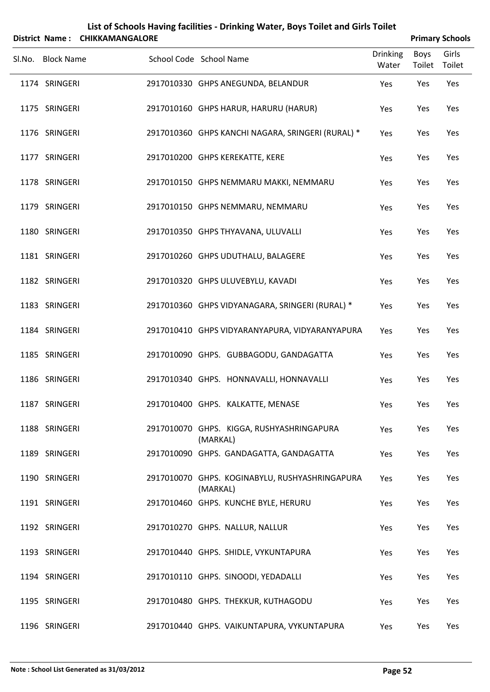|                   | District Name: CHIKKAMANGALORE | List of Schools Having facilities - Drinking Water, Boys Toilet and Girls Toilet |                          |                |                        |
|-------------------|--------------------------------|----------------------------------------------------------------------------------|--------------------------|----------------|------------------------|
|                   |                                |                                                                                  |                          |                | <b>Primary Schools</b> |
| Sl.No. Block Name |                                | School Code School Name                                                          | <b>Drinking</b><br>Water | Boys<br>Toilet | Girls<br>Toilet        |
| 1174 SRINGERI     |                                | 2917010330 GHPS ANEGUNDA, BELANDUR                                               | Yes                      | Yes            | Yes                    |
| 1175 SRINGERI     |                                | 2917010160 GHPS HARUR, HARURU (HARUR)                                            | Yes                      | Yes            | Yes                    |
| 1176 SRINGERI     |                                | 2917010360 GHPS KANCHI NAGARA, SRINGERI (RURAL) *                                | Yes                      | Yes            | Yes                    |
| 1177 SRINGERI     |                                | 2917010200 GHPS KEREKATTE, KERE                                                  | Yes                      | Yes            | Yes                    |
| 1178 SRINGERI     |                                | 2917010150 GHPS NEMMARU MAKKI, NEMMARU                                           | Yes                      | Yes            | Yes                    |
| 1179 SRINGERI     |                                | 2917010150 GHPS NEMMARU, NEMMARU                                                 | Yes                      | Yes            | Yes                    |
| 1180 SRINGERI     |                                | 2917010350 GHPS THYAVANA, ULUVALLI                                               | Yes                      | Yes            | Yes                    |
| 1181 SRINGERI     |                                | 2917010260 GHPS UDUTHALU, BALAGERE                                               | Yes                      | Yes            | Yes                    |
| 1182 SRINGERI     |                                | 2917010320 GHPS ULUVEBYLU, KAVADI                                                | Yes                      | Yes            | Yes                    |
| 1183 SRINGERI     |                                | 2917010360 GHPS VIDYANAGARA, SRINGERI (RURAL) *                                  | Yes                      | Yes            | Yes                    |
| 1184 SRINGERI     |                                | 2917010410 GHPS VIDYARANYAPURA, VIDYARANYAPURA                                   | Yes                      | Yes            | Yes                    |
| 1185 SRINGERI     |                                | 2917010090 GHPS. GUBBAGODU, GANDAGATTA                                           | Yes                      | Yes            | Yes                    |
| 1186 SRINGERI     |                                | 2917010340 GHPS. HONNAVALLI, HONNAVALLI                                          | Yes                      | Yes            | Yes                    |
| 1187 SRINGERI     |                                | 2917010400 GHPS. KALKATTE, MENASE                                                | Yes                      | Yes            | Yes                    |
| 1188 SRINGERI     |                                | 2917010070 GHPS. KIGGA, RUSHYASHRINGAPURA<br>(MARKAL)                            | Yes                      | Yes            | Yes                    |
| 1189 SRINGERI     |                                | 2917010090 GHPS. GANDAGATTA, GANDAGATTA                                          | Yes                      | Yes            | Yes                    |
| 1190 SRINGERI     |                                | 2917010070 GHPS. KOGINABYLU, RUSHYASHRINGAPURA<br>(MARKAL)                       | Yes                      | Yes            | Yes                    |
| 1191 SRINGERI     |                                | 2917010460 GHPS. KUNCHE BYLE, HERURU                                             | Yes                      | Yes            | Yes                    |
| 1192 SRINGERI     |                                | 2917010270 GHPS. NALLUR, NALLUR                                                  | Yes                      | Yes            | Yes                    |
| 1193 SRINGERI     |                                | 2917010440 GHPS. SHIDLE, VYKUNTAPURA                                             | Yes                      | Yes            | Yes                    |
| 1194 SRINGERI     |                                | 2917010110 GHPS. SINOODI, YEDADALLI                                              | Yes                      | Yes            | Yes                    |
| 1195 SRINGERI     |                                | 2917010480 GHPS. THEKKUR, KUTHAGODU                                              | Yes                      | Yes            | Yes                    |
| 1196 SRINGERI     |                                | 2917010440 GHPS. VAIKUNTAPURA, VYKUNTAPURA                                       | Yes                      | Yes            | Yes                    |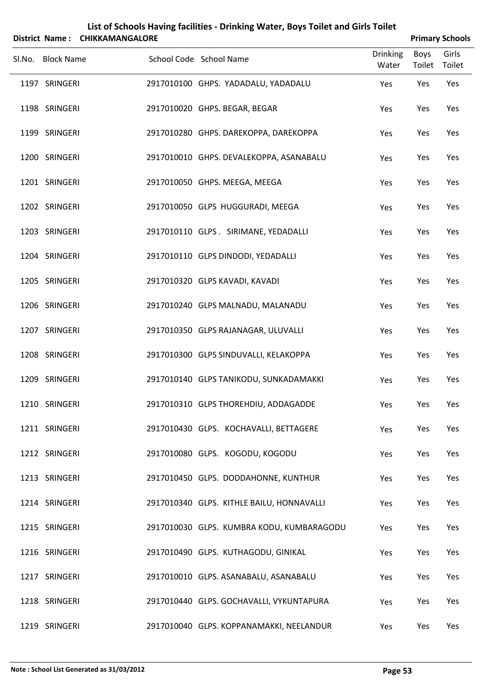|        |                   | District Name: CHIKKAMANGALORE | List of Schools Having facilities - Drinking Water, Boys Toilet and Girls Toilet |       |             | <b>Primary Schools</b> |
|--------|-------------------|--------------------------------|----------------------------------------------------------------------------------|-------|-------------|------------------------|
| Sl.No. | <b>Block Name</b> |                                | <b>Drinking</b><br>School Code School Name                                       |       | <b>Boys</b> | Girls                  |
|        |                   |                                |                                                                                  | Water | Toilet      | Toilet                 |
|        | 1197 SRINGERI     |                                | 2917010100 GHPS. YADADALU, YADADALU<br>Yes                                       |       | Yes         | Yes                    |
|        | 1198 SRINGERI     |                                | 2917010020 GHPS. BEGAR, BEGAR<br>Yes                                             |       | Yes         | Yes                    |
|        | 1199 SRINGERI     |                                | 2917010280 GHPS. DAREKOPPA, DAREKOPPA<br>Yes                                     |       | Yes         | Yes                    |
|        | 1200 SRINGERI     |                                | 2917010010 GHPS. DEVALEKOPPA, ASANABALU<br>Yes                                   |       | Yes         | Yes                    |
|        | 1201 SRINGERI     |                                | 2917010050 GHPS. MEEGA, MEEGA<br>Yes                                             |       | Yes         | Yes                    |
|        | 1202 SRINGERI     |                                | 2917010050 GLPS HUGGURADI, MEEGA<br>Yes                                          |       | Yes         | Yes                    |
|        | 1203 SRINGERI     |                                | 2917010110 GLPS. SIRIMANE, YEDADALLI<br>Yes                                      |       | Yes         | Yes                    |
|        | 1204 SRINGERI     |                                | 2917010110 GLPS DINDODI, YEDADALLI<br>Yes                                        |       | Yes         | Yes                    |
|        | 1205 SRINGERI     |                                | 2917010320 GLPS KAVADI, KAVADI<br>Yes                                            |       | Yes         | Yes                    |
|        | 1206 SRINGERI     |                                | 2917010240 GLPS MALNADU, MALANADU<br>Yes                                         |       | Yes         | Yes                    |
|        | 1207 SRINGERI     |                                | 2917010350 GLPS RAJANAGAR, ULUVALLI<br>Yes                                       |       | Yes         | Yes                    |
|        | 1208 SRINGERI     |                                | 2917010300 GLPS SINDUVALLI, KELAKOPPA<br>Yes                                     |       | Yes         | Yes                    |
|        | 1209 SRINGERI     |                                | 2917010140 GLPS TANIKODU, SUNKADAMAKKI<br>Yes                                    |       | Yes         | Yes                    |
|        | 1210 SRINGERI     |                                | 2917010310 GLPS THOREHDIU, ADDAGADDE<br>Yes                                      |       | Yes         | Yes                    |
|        | 1211 SRINGERI     |                                | 2917010430 GLPS. KOCHAVALLI, BETTAGERE<br>Yes                                    |       | Yes         | Yes                    |
|        | 1212 SRINGERI     |                                | 2917010080 GLPS. KOGODU, KOGODU<br>Yes                                           |       | Yes         | Yes                    |
|        | 1213 SRINGERI     |                                | 2917010450 GLPS. DODDAHONNE, KUNTHUR<br>Yes                                      |       | Yes         | Yes                    |
|        | 1214 SRINGERI     |                                | 2917010340 GLPS. KITHLE BAILU, HONNAVALLI<br>Yes                                 |       | Yes         | Yes                    |
|        | 1215 SRINGERI     |                                | 2917010030 GLPS. KUMBRA KODU, KUMBARAGODU<br>Yes                                 |       | Yes         | Yes                    |
|        | 1216 SRINGERI     |                                | 2917010490 GLPS. KUTHAGODU, GINIKAL<br>Yes                                       |       | Yes         | Yes                    |
|        | 1217 SRINGERI     |                                | 2917010010 GLPS. ASANABALU, ASANABALU<br>Yes                                     |       | Yes         | Yes                    |
|        | 1218 SRINGERI     |                                | 2917010440 GLPS. GOCHAVALLI, VYKUNTAPURA<br>Yes                                  |       | Yes         | Yes                    |
|        | 1219 SRINGERI     |                                | 2917010040 GLPS. KOPPANAMAKKI, NEELANDUR<br>Yes                                  |       | Yes         | Yes                    |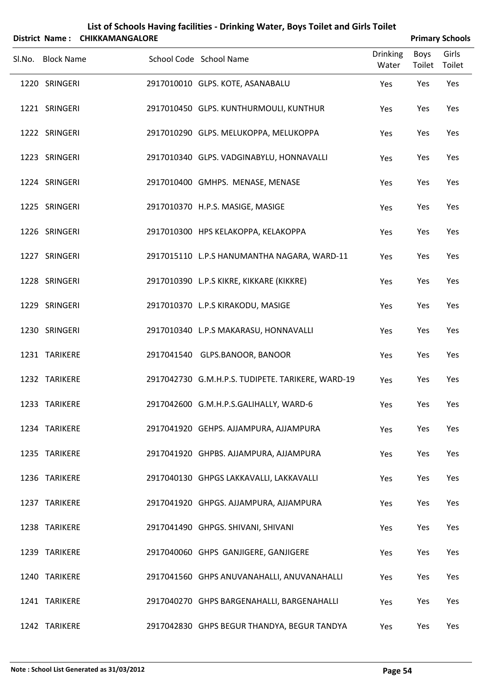| District Name: CHIKKAMANGALORE |                                                   |                          |                       | <b>Primary Schools</b> |
|--------------------------------|---------------------------------------------------|--------------------------|-----------------------|------------------------|
| Sl.No. Block Name              | School Code School Name                           | <b>Drinking</b><br>Water | <b>Boys</b><br>Toilet | Girls<br>Toilet        |
| 1220 SRINGERI                  | 2917010010 GLPS. KOTE, ASANABALU                  | Yes                      | Yes                   | Yes                    |
| 1221 SRINGERI                  | 2917010450 GLPS. KUNTHURMOULI, KUNTHUR            | Yes                      | Yes                   | Yes                    |
| 1222 SRINGERI                  | 2917010290 GLPS. MELUKOPPA, MELUKOPPA             | Yes                      | Yes                   | Yes                    |
| 1223 SRINGERI                  | 2917010340 GLPS. VADGINABYLU, HONNAVALLI          | Yes                      | Yes                   | Yes                    |
| 1224 SRINGERI                  | 2917010400 GMHPS. MENASE, MENASE                  | Yes                      | Yes                   | Yes                    |
| 1225 SRINGERI                  | 2917010370 H.P.S. MASIGE, MASIGE                  | Yes                      | Yes                   | Yes                    |
| 1226 SRINGERI                  | 2917010300 HPS KELAKOPPA, KELAKOPPA               | Yes                      | Yes                   | Yes                    |
| 1227 SRINGERI                  | 2917015110 L.P.S HANUMANTHA NAGARA, WARD-11       | Yes                      | Yes                   | Yes                    |
| 1228 SRINGERI                  | 2917010390 L.P.S KIKRE, KIKKARE (KIKKRE)          | Yes                      | Yes                   | Yes                    |
| 1229 SRINGERI                  | 2917010370 L.P.S KIRAKODU, MASIGE                 | Yes                      | Yes                   | Yes                    |
| 1230 SRINGERI                  | 2917010340 L.P.S MAKARASU, HONNAVALLI             | Yes                      | Yes                   | Yes                    |
| 1231 TARIKERE                  | 2917041540 GLPS.BANOOR, BANOOR                    | Yes                      | Yes                   | Yes                    |
| 1232 TARIKERE                  | 2917042730 G.M.H.P.S. TUDIPETE. TARIKERE, WARD-19 | Yes                      | Yes                   | Yes                    |
| 1233 TARIKERE                  | 2917042600 G.M.H.P.S.GALIHALLY, WARD-6            | Yes                      | Yes                   | Yes                    |
| 1234 TARIKERE                  | 2917041920 GEHPS. AJJAMPURA, AJJAMPURA            | Yes                      | Yes                   | Yes                    |
| 1235 TARIKERE                  | 2917041920 GHPBS. AJJAMPURA, AJJAMPURA            | Yes                      | Yes                   | Yes                    |
| 1236 TARIKERE                  | 2917040130 GHPGS LAKKAVALLI, LAKKAVALLI           | Yes                      | Yes                   | Yes                    |
| 1237 TARIKERE                  | 2917041920 GHPGS. AJJAMPURA, AJJAMPURA            | Yes                      | Yes                   | Yes                    |
| 1238 TARIKERE                  | 2917041490 GHPGS. SHIVANI, SHIVANI                | Yes                      | Yes                   | Yes                    |
| 1239 TARIKERE                  | 2917040060 GHPS GANJIGERE, GANJIGERE              | Yes                      | Yes                   | Yes                    |
| 1240 TARIKERE                  | 2917041560 GHPS ANUVANAHALLI, ANUVANAHALLI        | Yes                      | Yes                   | Yes                    |
| 1241 TARIKERE                  | 2917040270 GHPS BARGENAHALLI, BARGENAHALLI        | Yes                      | Yes                   | Yes                    |
| 1242 TARIKERE                  | 2917042830 GHPS BEGUR THANDYA, BEGUR TANDYA       | Yes                      | Yes                   | Yes                    |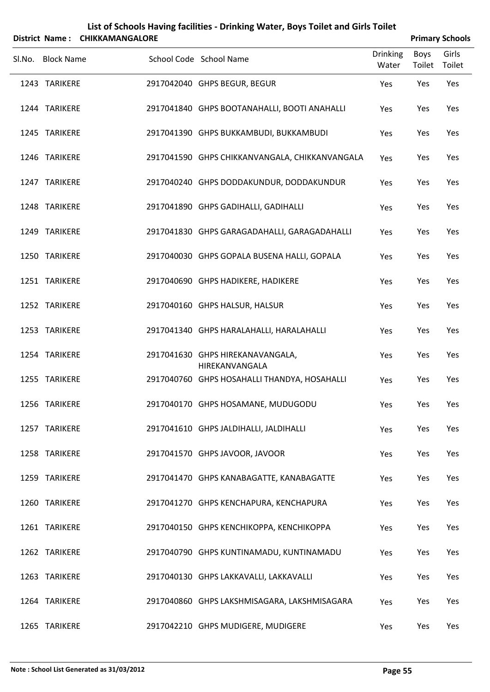|        | District Name:    | <b>CHIKKAMANGALORE</b> |                                                    |                          |                | <b>Primary Schools</b> |
|--------|-------------------|------------------------|----------------------------------------------------|--------------------------|----------------|------------------------|
| SI.No. | <b>Block Name</b> |                        | School Code School Name                            | <b>Drinking</b><br>Water | Boys<br>Toilet | Girls<br>Toilet        |
|        | 1243 TARIKERE     |                        | 2917042040 GHPS BEGUR, BEGUR                       | Yes                      | Yes            | Yes                    |
|        | 1244 TARIKERE     |                        | 2917041840 GHPS BOOTANAHALLI, BOOTI ANAHALLI       | Yes                      | Yes            | Yes                    |
|        | 1245 TARIKERE     |                        | 2917041390 GHPS BUKKAMBUDI, BUKKAMBUDI             | Yes                      | Yes            | Yes                    |
|        | 1246 TARIKERE     |                        | 2917041590 GHPS CHIKKANVANGALA, CHIKKANVANGALA     | Yes                      | Yes            | Yes                    |
|        | 1247 TARIKERE     |                        | 2917040240 GHPS DODDAKUNDUR, DODDAKUNDUR           | Yes                      | Yes            | Yes                    |
|        | 1248 TARIKERE     |                        | 2917041890 GHPS GADIHALLI, GADIHALLI               | Yes                      | Yes            | Yes                    |
|        | 1249 TARIKERE     |                        | 2917041830 GHPS GARAGADAHALLI, GARAGADAHALLI       | Yes                      | Yes            | Yes                    |
|        | 1250 TARIKERE     |                        | 2917040030 GHPS GOPALA BUSENA HALLI, GOPALA        | Yes                      | Yes            | Yes                    |
|        | 1251 TARIKERE     |                        | 2917040690 GHPS HADIKERE, HADIKERE                 | Yes                      | Yes            | Yes                    |
|        | 1252 TARIKERE     |                        | 2917040160 GHPS HALSUR, HALSUR                     | Yes                      | Yes            | Yes                    |
|        | 1253 TARIKERE     |                        | 2917041340 GHPS HARALAHALLI, HARALAHALLI           | Yes                      | Yes            | Yes                    |
|        | 1254 TARIKERE     |                        | 2917041630 GHPS HIREKANAVANGALA,<br>HIREKANVANGALA | Yes                      | Yes            | Yes                    |
|        | 1255 TARIKERE     |                        | 2917040760 GHPS HOSAHALLI THANDYA, HOSAHALLI       | Yes                      | Yes            | Yes                    |
|        | 1256 TARIKERE     |                        | 2917040170 GHPS HOSAMANE, MUDUGODU                 | Yes                      | Yes            | Yes                    |
|        | 1257 TARIKERE     |                        | 2917041610 GHPS JALDIHALLI, JALDIHALLI             | Yes                      | Yes            | Yes                    |
|        | 1258 TARIKERE     |                        | 2917041570 GHPS JAVOOR, JAVOOR                     | Yes                      | Yes            | Yes                    |
|        | 1259 TARIKERE     |                        | 2917041470 GHPS KANABAGATTE, KANABAGATTE           | Yes                      | Yes            | Yes                    |
|        | 1260 TARIKERE     |                        | 2917041270 GHPS KENCHAPURA, KENCHAPURA             | Yes                      | Yes            | Yes                    |
|        | 1261 TARIKERE     |                        | 2917040150 GHPS KENCHIKOPPA, KENCHIKOPPA           | Yes                      | Yes            | Yes                    |
|        | 1262 TARIKERE     |                        | 2917040790 GHPS KUNTINAMADU, KUNTINAMADU           | Yes                      | Yes            | Yes                    |
|        | 1263 TARIKERE     |                        | 2917040130 GHPS LAKKAVALLI, LAKKAVALLI             | Yes                      | Yes            | Yes                    |
|        | 1264 TARIKERE     |                        | 2917040860 GHPS LAKSHMISAGARA, LAKSHMISAGARA       | Yes                      | Yes            | Yes                    |
|        | 1265 TARIKERE     |                        | 2917042210 GHPS MUDIGERE, MUDIGERE                 | Yes                      | Yes            | Yes                    |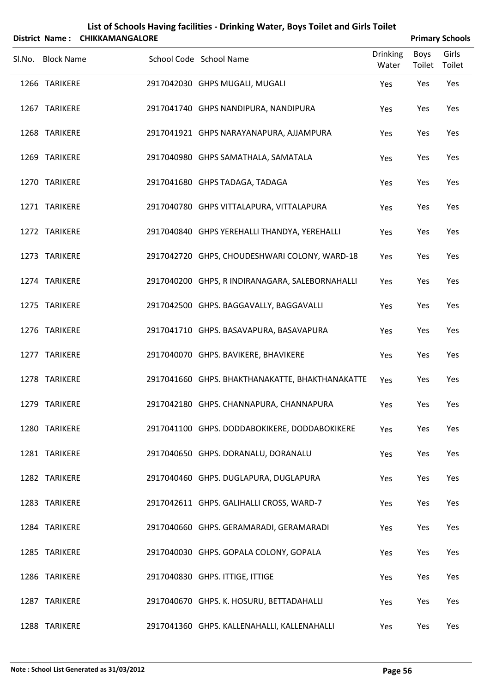|                   | District Name: CHIKKAMANGALORE |                                                 |                          |                       | <b>Primary Schools</b> |
|-------------------|--------------------------------|-------------------------------------------------|--------------------------|-----------------------|------------------------|
| Sl.No. Block Name |                                | School Code School Name                         | <b>Drinking</b><br>Water | <b>Boys</b><br>Toilet | Girls<br>Toilet        |
| 1266 TARIKERE     |                                | 2917042030 GHPS MUGALI, MUGALI                  | Yes                      | Yes                   | Yes                    |
| 1267 TARIKERE     |                                | 2917041740 GHPS NANDIPURA, NANDIPURA            | Yes                      | Yes                   | Yes                    |
| 1268 TARIKERE     |                                | 2917041921 GHPS NARAYANAPURA, AJJAMPURA         | Yes                      | Yes                   | Yes                    |
| 1269 TARIKERE     |                                | 2917040980 GHPS SAMATHALA, SAMATALA             | Yes                      | Yes                   | Yes                    |
| 1270 TARIKERE     |                                | 2917041680 GHPS TADAGA, TADAGA                  | Yes                      | Yes                   | Yes                    |
| 1271 TARIKERE     |                                | 2917040780 GHPS VITTALAPURA, VITTALAPURA        | Yes                      | Yes                   | Yes                    |
| 1272 TARIKERE     |                                | 2917040840 GHPS YEREHALLI THANDYA, YEREHALLI    | Yes                      | Yes                   | Yes                    |
| 1273 TARIKERE     |                                | 2917042720 GHPS, CHOUDESHWARI COLONY, WARD-18   | Yes                      | Yes                   | Yes                    |
| 1274 TARIKERE     |                                | 2917040200 GHPS, R INDIRANAGARA, SALEBORNAHALLI | Yes                      | Yes                   | Yes                    |
| 1275 TARIKERE     |                                | 2917042500 GHPS. BAGGAVALLY, BAGGAVALLI         | Yes                      | Yes                   | Yes                    |
| 1276 TARIKERE     |                                | 2917041710 GHPS. BASAVAPURA, BASAVAPURA         | Yes                      | Yes                   | Yes                    |
| 1277 TARIKERE     |                                | 2917040070 GHPS. BAVIKERE, BHAVIKERE            | Yes                      | Yes                   | Yes                    |
| 1278 TARIKERE     |                                | 2917041660 GHPS. BHAKTHANAKATTE, BHAKTHANAKATTE | Yes                      | Yes                   | Yes                    |
| 1279 TARIKERE     |                                | 2917042180 GHPS. CHANNAPURA, CHANNAPURA         | Yes                      | Yes                   | Yes                    |
| 1280 TARIKERE     |                                | 2917041100 GHPS. DODDABOKIKERE, DODDABOKIKERE   | Yes                      | Yes                   | Yes                    |
| 1281 TARIKERE     |                                | 2917040650 GHPS. DORANALU, DORANALU             | Yes                      | Yes                   | Yes                    |
| 1282 TARIKERE     |                                | 2917040460 GHPS. DUGLAPURA, DUGLAPURA           | Yes                      | Yes                   | Yes                    |
| 1283 TARIKERE     |                                | 2917042611 GHPS. GALIHALLI CROSS, WARD-7        | Yes                      | Yes                   | Yes                    |
| 1284 TARIKERE     |                                | 2917040660 GHPS. GERAMARADI, GERAMARADI         | Yes                      | Yes                   | Yes                    |
| 1285 TARIKERE     |                                | 2917040030 GHPS. GOPALA COLONY, GOPALA          | Yes                      | Yes                   | Yes                    |
| 1286 TARIKERE     |                                | 2917040830 GHPS. ITTIGE, ITTIGE                 | Yes                      | Yes                   | Yes                    |
| 1287 TARIKERE     |                                | 2917040670 GHPS. K. HOSURU, BETTADAHALLI        | Yes                      | Yes                   | Yes                    |
| 1288 TARIKERE     |                                | 2917041360 GHPS. KALLENAHALLI, KALLENAHALLI     | Yes                      | Yes                   | Yes                    |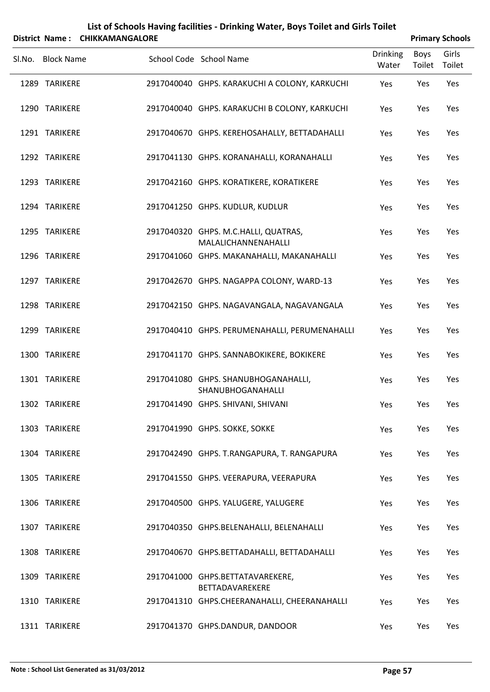|        |                   | District Name: CHIKKAMANGALORE |                                                             |                          |                | <b>Primary Schools</b> |
|--------|-------------------|--------------------------------|-------------------------------------------------------------|--------------------------|----------------|------------------------|
| Sl.No. | <b>Block Name</b> |                                | School Code School Name                                     | <b>Drinking</b><br>Water | Boys<br>Toilet | Girls<br>Toilet        |
|        | 1289 TARIKERE     |                                | 2917040040 GHPS. KARAKUCHI A COLONY, KARKUCHI               | Yes                      | Yes            | Yes                    |
|        | 1290 TARIKERE     |                                | 2917040040 GHPS. KARAKUCHI B COLONY, KARKUCHI               | Yes                      | Yes            | Yes                    |
|        | 1291 TARIKERE     |                                | 2917040670 GHPS. KEREHOSAHALLY, BETTADAHALLI                | Yes                      | Yes            | Yes                    |
|        | 1292 TARIKERE     |                                | 2917041130 GHPS. KORANAHALLI, KORANAHALLI                   | Yes                      | Yes            | Yes                    |
|        | 1293 TARIKERE     |                                | 2917042160 GHPS. KORATIKERE, KORATIKERE                     | Yes                      | Yes            | Yes                    |
|        | 1294 TARIKERE     |                                | 2917041250 GHPS. KUDLUR, KUDLUR                             | Yes                      | Yes            | Yes                    |
|        | 1295 TARIKERE     |                                | 2917040320 GHPS. M.C.HALLI, QUATRAS,<br>MALALICHANNENAHALLI | Yes                      | Yes            | Yes                    |
|        | 1296 TARIKERE     |                                | 2917041060 GHPS. MAKANAHALLI, MAKANAHALLI                   | Yes                      | Yes            | Yes                    |
|        | 1297 TARIKERE     |                                | 2917042670 GHPS. NAGAPPA COLONY, WARD-13                    | Yes                      | Yes            | Yes                    |
|        | 1298 TARIKERE     |                                | 2917042150 GHPS. NAGAVANGALA, NAGAVANGALA                   | Yes                      | Yes            | Yes                    |
|        | 1299 TARIKERE     |                                | 2917040410 GHPS. PERUMENAHALLI, PERUMENAHALLI               | Yes                      | Yes            | Yes                    |
|        | 1300 TARIKERE     |                                | 2917041170 GHPS. SANNABOKIKERE, BOKIKERE                    | Yes                      | Yes            | Yes                    |
|        | 1301 TARIKERE     |                                | 2917041080 GHPS. SHANUBHOGANAHALLI,<br>SHANUBHOGANAHALLI    | Yes                      | Yes            | Yes                    |
|        | 1302 TARIKERE     |                                | 2917041490 GHPS. SHIVANI, SHIVANI                           | Yes                      | Yes            | Yes                    |
|        | 1303 TARIKERE     |                                | 2917041990 GHPS. SOKKE, SOKKE                               | Yes                      | Yes            | Yes                    |
|        | 1304 TARIKERE     |                                | 2917042490 GHPS. T.RANGAPURA, T. RANGAPURA                  | Yes                      | Yes            | Yes                    |
|        | 1305 TARIKERE     |                                | 2917041550 GHPS. VEERAPURA, VEERAPURA                       | Yes                      | Yes            | Yes                    |
|        | 1306 TARIKERE     |                                | 2917040500 GHPS. YALUGERE, YALUGERE                         | Yes                      | Yes            | Yes                    |
|        | 1307 TARIKERE     |                                | 2917040350 GHPS.BELENAHALLI, BELENAHALLI                    | Yes                      | Yes            | Yes                    |
|        | 1308 TARIKERE     |                                | 2917040670 GHPS.BETTADAHALLI, BETTADAHALLI                  | Yes                      | Yes            | Yes                    |
|        | 1309 TARIKERE     |                                | 2917041000 GHPS.BETTATAVAREKERE,<br>BETTADAVAREKERE         | Yes                      | Yes            | Yes                    |
|        | 1310 TARIKERE     |                                | 2917041310 GHPS.CHEERANAHALLI, CHEERANAHALLI                | Yes                      | Yes            | Yes                    |
|        | 1311 TARIKERE     |                                | 2917041370 GHPS.DANDUR, DANDOOR                             | Yes                      | Yes            | Yes                    |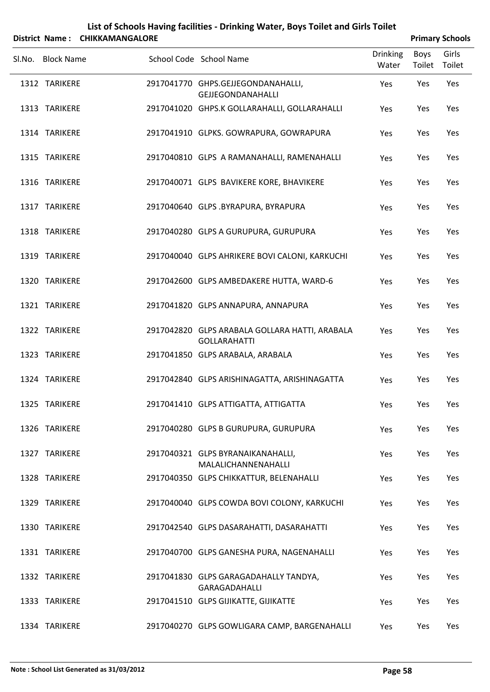|        |                                | District Name: CHIKKAMANGALORE |                                                                                            |                          | <b>Primary Schools</b> |                 |
|--------|--------------------------------|--------------------------------|--------------------------------------------------------------------------------------------|--------------------------|------------------------|-----------------|
| Sl.No. | <b>Block Name</b>              |                                | School Code School Name                                                                    | <b>Drinking</b><br>Water | Boys<br>Toilet         | Girls<br>Toilet |
|        | 1312 TARIKERE                  |                                | 2917041770 GHPS.GEJJEGONDANAHALLI,<br><b>GEJJEGONDANAHALLI</b>                             | Yes                      | Yes                    | Yes             |
|        | 1313 TARIKERE                  |                                | 2917041020 GHPS.K GOLLARAHALLI, GOLLARAHALLI                                               | Yes                      | Yes                    | Yes             |
|        | 1314 TARIKERE                  |                                | 2917041910 GLPKS. GOWRAPURA, GOWRAPURA                                                     | Yes                      | Yes                    | Yes             |
|        | 1315 TARIKERE                  |                                | 2917040810 GLPS A RAMANAHALLI, RAMENAHALLI                                                 | Yes                      | Yes                    | Yes             |
|        | 1316 TARIKERE                  |                                | 2917040071 GLPS BAVIKERE KORE, BHAVIKERE                                                   | Yes                      | Yes                    | Yes             |
|        | 1317 TARIKERE                  |                                | 2917040640 GLPS .BYRAPURA, BYRAPURA                                                        | Yes                      | Yes                    | Yes             |
|        | 1318 TARIKERE                  |                                | 2917040280 GLPS A GURUPURA, GURUPURA                                                       | Yes                      | Yes                    | Yes             |
|        | 1319 TARIKERE<br>1320 TARIKERE |                                | 2917040040 GLPS AHRIKERE BOVI CALONI, KARKUCHI<br>2917042600 GLPS AMBEDAKERE HUTTA, WARD-6 | Yes                      | Yes<br>Yes             | Yes<br>Yes      |
|        | 1321 TARIKERE                  |                                | 2917041820 GLPS ANNAPURA, ANNAPURA                                                         | Yes<br>Yes               | Yes                    | Yes             |
|        | 1322 TARIKERE                  |                                | 2917042820 GLPS ARABALA GOLLARA HATTI, ARABALA                                             | Yes                      | Yes                    | Yes             |
|        | 1323 TARIKERE                  |                                | <b>GOLLARAHATTI</b><br>2917041850 GLPS ARABALA, ARABALA                                    | Yes                      | Yes                    | Yes             |
|        | 1324 TARIKERE                  |                                | 2917042840 GLPS ARISHINAGATTA, ARISHINAGATTA                                               | Yes                      | Yes                    | Yes             |
|        | 1325 TARIKERE                  |                                | 2917041410 GLPS ATTIGATTA, ATTIGATTA                                                       | Yes                      | Yes                    | Yes             |
|        | 1326 TARIKERE                  |                                | 2917040280 GLPS B GURUPURA, GURUPURA                                                       | Yes                      | Yes                    | Yes             |
|        | 1327 TARIKERE                  |                                | 2917040321 GLPS BYRANAIKANAHALLI,<br>MALALICHANNENAHALLI                                   | Yes                      | Yes                    | Yes             |
|        | 1328 TARIKERE                  |                                | 2917040350 GLPS CHIKKATTUR, BELENAHALLI                                                    | Yes                      | Yes                    | Yes             |
|        | 1329 TARIKERE                  |                                | 2917040040 GLPS COWDA BOVI COLONY, KARKUCHI                                                | Yes                      | Yes                    | Yes             |
|        | 1330 TARIKERE                  |                                | 2917042540 GLPS DASARAHATTI, DASARAHATTI                                                   | Yes                      | Yes                    | Yes             |
|        | 1331 TARIKERE                  |                                | 2917040700 GLPS GANESHA PURA, NAGENAHALLI                                                  | Yes                      | Yes                    | Yes             |
|        | 1332 TARIKERE                  |                                | 2917041830 GLPS GARAGADAHALLY TANDYA,<br>GARAGADAHALLI                                     | Yes                      | Yes                    | Yes             |
|        | 1333 TARIKERE                  |                                | 2917041510 GLPS GIJIKATTE, GIJIKATTE                                                       | Yes                      | Yes                    | Yes             |

1334 TARIKERE 2917040270 GLPS GOWLIGARA CAMP, BARGENAHALLI Yes Yes Yes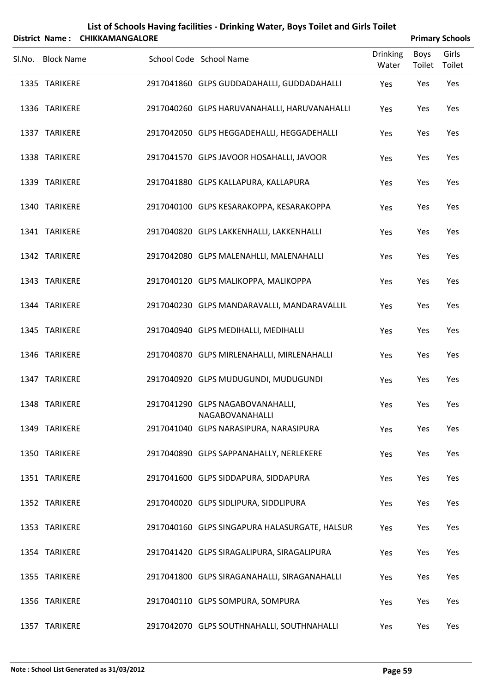|        |                   | District Name: CHIKKAMANGALORE |                                                     |                          |                       | <b>Primary Schools</b> |
|--------|-------------------|--------------------------------|-----------------------------------------------------|--------------------------|-----------------------|------------------------|
| Sl.No. | <b>Block Name</b> |                                | School Code School Name                             | <b>Drinking</b><br>Water | <b>Boys</b><br>Toilet | Girls<br>Toilet        |
|        | 1335 TARIKERE     |                                | 2917041860 GLPS GUDDADAHALLI, GUDDADAHALLI          | Yes                      | Yes                   | Yes                    |
|        | 1336 TARIKERE     |                                | 2917040260 GLPS HARUVANAHALLI, HARUVANAHALLI        | Yes                      | Yes                   | Yes                    |
|        | 1337 TARIKERE     |                                | 2917042050 GLPS HEGGADEHALLI, HEGGADEHALLI          | Yes                      | Yes                   | Yes                    |
|        | 1338 TARIKERE     |                                | 2917041570 GLPS JAVOOR HOSAHALLI, JAVOOR            | Yes                      | Yes                   | Yes                    |
|        | 1339 TARIKERE     |                                | 2917041880 GLPS KALLAPURA, KALLAPURA                | Yes                      | Yes                   | Yes                    |
|        | 1340 TARIKERE     |                                | 2917040100 GLPS KESARAKOPPA, KESARAKOPPA            | Yes                      | Yes                   | Yes                    |
|        | 1341 TARIKERE     |                                | 2917040820 GLPS LAKKENHALLI, LAKKENHALLI            | Yes                      | Yes                   | Yes                    |
|        | 1342 TARIKERE     |                                | 2917042080 GLPS MALENAHLLI, MALENAHALLI             | Yes                      | Yes                   | Yes                    |
|        | 1343 TARIKERE     |                                | 2917040120 GLPS MALIKOPPA, MALIKOPPA                | Yes                      | Yes                   | Yes                    |
|        | 1344 TARIKERE     |                                | 2917040230 GLPS MANDARAVALLI, MANDARAVALLIL         | Yes                      | Yes                   | Yes                    |
|        | 1345 TARIKERE     |                                | 2917040940 GLPS MEDIHALLI, MEDIHALLI                | Yes                      | Yes                   | Yes                    |
|        | 1346 TARIKERE     |                                | 2917040870 GLPS MIRLENAHALLI, MIRLENAHALLI          | Yes                      | Yes                   | Yes                    |
|        | 1347 TARIKERE     |                                | 2917040920 GLPS MUDUGUNDI, MUDUGUNDI                | Yes                      | Yes                   | Yes                    |
|        | 1348 TARIKERE     |                                | 2917041290 GLPS NAGABOVANAHALLI,<br>NAGABOVANAHALLI | Yes                      | Yes                   | Yes                    |
|        | 1349 TARIKERE     |                                | 2917041040 GLPS NARASIPURA, NARASIPURA              | Yes                      | Yes                   | Yes                    |
|        | 1350 TARIKERE     |                                | 2917040890 GLPS SAPPANAHALLY, NERLEKERE             | Yes                      | Yes                   | Yes                    |
|        | 1351 TARIKERE     |                                | 2917041600 GLPS SIDDAPURA, SIDDAPURA                | Yes                      | Yes                   | Yes                    |
|        | 1352 TARIKERE     |                                | 2917040020 GLPS SIDLIPURA, SIDDLIPURA               | Yes                      | Yes                   | Yes                    |
|        | 1353 TARIKERE     |                                | 2917040160 GLPS SINGAPURA HALASURGATE, HALSUR       | Yes                      | Yes                   | Yes                    |
|        | 1354 TARIKERE     |                                | 2917041420 GLPS SIRAGALIPURA, SIRAGALIPURA          | Yes                      | Yes                   | Yes                    |
|        | 1355 TARIKERE     |                                | 2917041800 GLPS SIRAGANAHALLI, SIRAGANAHALLI        | Yes                      | Yes                   | Yes                    |
|        | 1356 TARIKERE     |                                | 2917040110 GLPS SOMPURA, SOMPURA                    | Yes                      | Yes                   | Yes                    |
|        | 1357 TARIKERE     |                                | 2917042070 GLPS SOUTHNAHALLI, SOUTHNAHALLI          | Yes                      | Yes                   | Yes                    |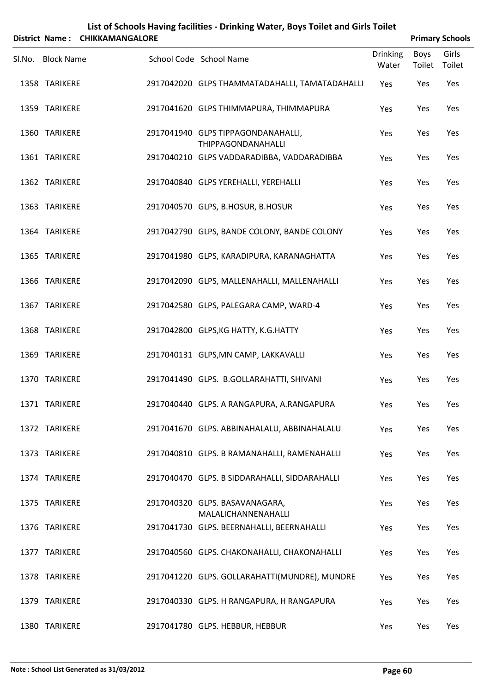|        |                   | District Name: CHIKKAMANGALORE |                                                          |                          | <b>Primary Schools</b> |                 |
|--------|-------------------|--------------------------------|----------------------------------------------------------|--------------------------|------------------------|-----------------|
| Sl.No. | <b>Block Name</b> |                                | School Code School Name                                  | <b>Drinking</b><br>Water | <b>Boys</b><br>Toilet  | Girls<br>Toilet |
|        | 1358 TARIKERE     |                                | 2917042020 GLPS THAMMATADAHALLI, TAMATADAHALLI           | Yes                      | Yes                    | Yes             |
|        | 1359 TARIKERE     |                                | 2917041620 GLPS THIMMAPURA, THIMMAPURA                   | Yes                      | Yes                    | Yes             |
|        | 1360 TARIKERE     |                                | 2917041940 GLPS TIPPAGONDANAHALLI,<br>THIPPAGONDANAHALLI | Yes                      | Yes                    | Yes             |
|        | 1361 TARIKERE     |                                | 2917040210 GLPS VADDARADIBBA, VADDARADIBBA               | Yes                      | Yes                    | Yes             |
|        | 1362 TARIKERE     |                                | 2917040840 GLPS YEREHALLI, YEREHALLI                     | Yes                      | Yes                    | Yes             |
|        | 1363 TARIKERE     |                                | 2917040570 GLPS, B.HOSUR, B.HOSUR                        | Yes                      | Yes                    | Yes             |
|        | 1364 TARIKERE     |                                | 2917042790 GLPS, BANDE COLONY, BANDE COLONY              | Yes                      | Yes                    | Yes             |
|        | 1365 TARIKERE     |                                | 2917041980 GLPS, KARADIPURA, KARANAGHATTA                | Yes                      | Yes                    | Yes             |
|        | 1366 TARIKERE     |                                | 2917042090 GLPS, MALLENAHALLI, MALLENAHALLI              | Yes                      | Yes                    | Yes             |
|        | 1367 TARIKERE     |                                | 2917042580 GLPS, PALEGARA CAMP, WARD-4                   | Yes                      | Yes                    | Yes             |
|        | 1368 TARIKERE     |                                | 2917042800 GLPS, KG HATTY, K.G. HATTY                    | Yes                      | Yes                    | Yes             |
|        | 1369 TARIKERE     |                                | 2917040131 GLPS, MN CAMP, LAKKAVALLI                     | Yes                      | Yes                    | Yes             |
|        | 1370 TARIKERE     |                                | 2917041490 GLPS. B.GOLLARAHATTI, SHIVANI                 | Yes                      | Yes                    | Yes             |
|        | 1371 TARIKERE     |                                | 2917040440 GLPS. A RANGAPURA, A.RANGAPURA                | Yes                      | Yes                    | Yes             |
|        | 1372 TARIKERE     |                                | 2917041670 GLPS. ABBINAHALALU, ABBINAHALALU              | Yes                      | Yes                    | Yes             |
|        | 1373 TARIKERE     |                                | 2917040810 GLPS. B RAMANAHALLI, RAMENAHALLI              | Yes                      | Yes                    | Yes             |
|        | 1374 TARIKERE     |                                | 2917040470 GLPS. B SIDDARAHALLI, SIDDARAHALLI            | Yes                      | Yes                    | Yes             |
|        | 1375 TARIKERE     |                                | 2917040320 GLPS. BASAVANAGARA,<br>MALALICHANNENAHALLI    | Yes                      | Yes                    | Yes             |
|        | 1376 TARIKERE     |                                | 2917041730 GLPS. BEERNAHALLI, BEERNAHALLI                | Yes                      | Yes                    | Yes             |
|        | 1377 TARIKERE     |                                | 2917040560 GLPS. CHAKONAHALLI, CHAKONAHALLI              | Yes                      | Yes                    | Yes             |
|        | 1378 TARIKERE     |                                | 2917041220 GLPS. GOLLARAHATTI(MUNDRE), MUNDRE            | Yes                      | Yes                    | Yes             |
|        | 1379 TARIKERE     |                                | 2917040330 GLPS. H RANGAPURA, H RANGAPURA                | Yes                      | Yes                    | Yes             |
|        | 1380 TARIKERE     |                                | 2917041780 GLPS. HEBBUR, HEBBUR                          | Yes                      | Yes                    | Yes             |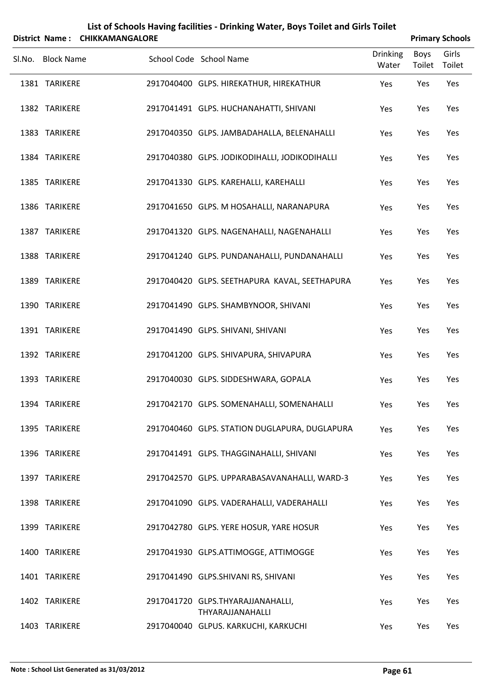|                   | District Name: CHIKKAMANGALORE |                                                       |                          |                       | <b>Primary Schools</b> |
|-------------------|--------------------------------|-------------------------------------------------------|--------------------------|-----------------------|------------------------|
| Sl.No. Block Name |                                | School Code School Name                               | <b>Drinking</b><br>Water | <b>Boys</b><br>Toilet | Girls<br>Toilet        |
| 1381 TARIKERE     |                                | 2917040400 GLPS. HIREKATHUR, HIREKATHUR               | Yes                      | Yes                   | Yes                    |
| 1382 TARIKERE     |                                | 2917041491 GLPS. HUCHANAHATTI, SHIVANI                | Yes                      | Yes                   | Yes                    |
| 1383 TARIKERE     |                                | 2917040350 GLPS. JAMBADAHALLA, BELENAHALLI            | Yes                      | Yes                   | Yes                    |
| 1384 TARIKERE     |                                | 2917040380 GLPS. JODIKODIHALLI, JODIKODIHALLI         | Yes                      | Yes                   | Yes                    |
| 1385 TARIKERE     |                                | 2917041330 GLPS. KAREHALLI, KAREHALLI                 | Yes                      | Yes                   | Yes                    |
| 1386 TARIKERE     |                                | 2917041650 GLPS. M HOSAHALLI, NARANAPURA              | Yes                      | Yes                   | Yes                    |
| 1387 TARIKERE     |                                | 2917041320 GLPS. NAGENAHALLI, NAGENAHALLI             | Yes                      | Yes                   | Yes                    |
| 1388 TARIKERE     |                                | 2917041240 GLPS. PUNDANAHALLI, PUNDANAHALLI           | Yes                      | Yes                   | Yes                    |
| 1389 TARIKERE     |                                | 2917040420 GLPS. SEETHAPURA KAVAL, SEETHAPURA         | Yes                      | Yes                   | Yes                    |
| 1390 TARIKERE     |                                | 2917041490 GLPS. SHAMBYNOOR, SHIVANI                  | Yes                      | Yes                   | Yes                    |
| 1391 TARIKERE     |                                | 2917041490 GLPS. SHIVANI, SHIVANI                     | Yes                      | Yes                   | Yes                    |
| 1392 TARIKERE     |                                | 2917041200 GLPS. SHIVAPURA, SHIVAPURA                 | Yes                      | Yes                   | Yes                    |
| 1393 TARIKERE     |                                | 2917040030 GLPS. SIDDESHWARA, GOPALA                  | Yes                      | Yes                   | Yes                    |
| 1394 TARIKERE     |                                | 2917042170 GLPS. SOMENAHALLI, SOMENAHALLI             | Yes                      | Yes                   | Yes                    |
| 1395 TARIKERE     |                                | 2917040460 GLPS. STATION DUGLAPURA, DUGLAPURA         | Yes                      | Yes                   | Yes                    |
| 1396 TARIKERE     |                                | 2917041491 GLPS. THAGGINAHALLI, SHIVANI               | Yes                      | Yes                   | Yes                    |
| 1397 TARIKERE     |                                | 2917042570 GLPS. UPPARABASAVANAHALLI, WARD-3          | Yes                      | Yes                   | Yes                    |
| 1398 TARIKERE     |                                | 2917041090 GLPS. VADERAHALLI, VADERAHALLI             | Yes                      | Yes                   | Yes                    |
| 1399 TARIKERE     |                                | 2917042780 GLPS. YERE HOSUR, YARE HOSUR               | Yes                      | Yes                   | Yes                    |
| 1400 TARIKERE     |                                | 2917041930 GLPS.ATTIMOGGE, ATTIMOGGE                  | Yes                      | Yes                   | Yes                    |
| 1401 TARIKERE     |                                | 2917041490 GLPS.SHIVANI RS, SHIVANI                   | Yes                      | Yes                   | Yes                    |
| 1402 TARIKERE     |                                | 2917041720 GLPS.THYARAJJANAHALLI,<br>THYARAJJANAHALLI | Yes                      | Yes                   | Yes                    |
| 1403 TARIKERE     |                                | 2917040040 GLPUS. KARKUCHI, KARKUCHI                  | Yes                      | Yes                   | Yes                    |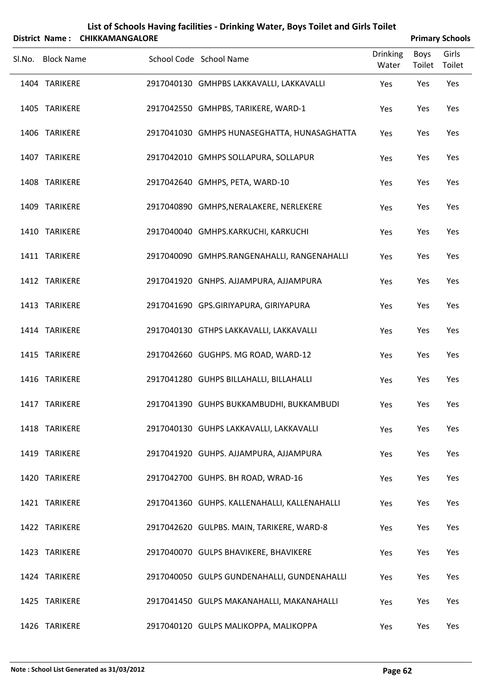|                   | District Name: CHIKKAMANGALORE |                                              |                          |                       | <b>Primary Schools</b> |
|-------------------|--------------------------------|----------------------------------------------|--------------------------|-----------------------|------------------------|
| Sl.No. Block Name |                                | School Code School Name                      | <b>Drinking</b><br>Water | <b>Boys</b><br>Toilet | Girls<br>Toilet        |
| 1404 TARIKERE     |                                | 2917040130 GMHPBS LAKKAVALLI, LAKKAVALLI     | Yes                      | Yes                   | Yes                    |
| 1405 TARIKERE     |                                | 2917042550 GMHPBS, TARIKERE, WARD-1          | Yes                      | Yes                   | Yes                    |
| 1406 TARIKERE     |                                | 2917041030 GMHPS HUNASEGHATTA, HUNASAGHATTA  | Yes                      | Yes                   | Yes                    |
| 1407 TARIKERE     |                                | 2917042010 GMHPS SOLLAPURA, SOLLAPUR         | Yes                      | Yes                   | Yes                    |
| 1408 TARIKERE     |                                | 2917042640 GMHPS, PETA, WARD-10              | Yes                      | Yes                   | Yes                    |
| 1409 TARIKERE     |                                | 2917040890 GMHPS, NERALAKERE, NERLEKERE      | Yes                      | Yes                   | Yes                    |
| 1410 TARIKERE     |                                | 2917040040 GMHPS.KARKUCHI, KARKUCHI          | Yes                      | Yes                   | Yes                    |
| 1411 TARIKERE     |                                | 2917040090 GMHPS.RANGENAHALLI, RANGENAHALLI  | Yes                      | Yes                   | Yes                    |
| 1412 TARIKERE     |                                | 2917041920 GNHPS. AJJAMPURA, AJJAMPURA       | Yes                      | Yes                   | Yes                    |
| 1413 TARIKERE     |                                | 2917041690 GPS.GIRIYAPURA, GIRIYAPURA        | Yes                      | Yes                   | Yes                    |
| 1414 TARIKERE     |                                | 2917040130 GTHPS LAKKAVALLI, LAKKAVALLI      | Yes                      | Yes                   | Yes                    |
| 1415 TARIKERE     |                                | 2917042660 GUGHPS. MG ROAD, WARD-12          | Yes                      | Yes                   | Yes                    |
| 1416 TARIKERE     |                                | 2917041280 GUHPS BILLAHALLI, BILLAHALLI      | Yes                      | Yes                   | Yes                    |
| 1417 TARIKERE     |                                | 2917041390 GUHPS BUKKAMBUDHI, BUKKAMBUDI     | Yes                      | Yes                   | Yes                    |
| 1418 TARIKERE     |                                | 2917040130 GUHPS LAKKAVALLI, LAKKAVALLI      | Yes                      | Yes                   | Yes                    |
| 1419 TARIKERE     |                                | 2917041920 GUHPS. AJJAMPURA, AJJAMPURA       | Yes                      | Yes                   | Yes                    |
| 1420 TARIKERE     |                                | 2917042700 GUHPS. BH ROAD, WRAD-16           | Yes                      | Yes                   | Yes                    |
| 1421 TARIKERE     |                                | 2917041360 GUHPS. KALLENAHALLI, KALLENAHALLI | Yes                      | Yes                   | Yes                    |
| 1422 TARIKERE     |                                | 2917042620 GULPBS. MAIN, TARIKERE, WARD-8    | Yes                      | Yes                   | Yes                    |
| 1423 TARIKERE     |                                | 2917040070 GULPS BHAVIKERE, BHAVIKERE        | Yes                      | Yes                   | Yes                    |
| 1424 TARIKERE     |                                | 2917040050 GULPS GUNDENAHALLI, GUNDENAHALLI  | Yes                      | Yes                   | Yes                    |
| 1425 TARIKERE     |                                | 2917041450 GULPS MAKANAHALLI, MAKANAHALLI    | Yes                      | Yes                   | Yes                    |
| 1426 TARIKERE     |                                | 2917040120 GULPS MALIKOPPA, MALIKOPPA        | Yes                      | Yes                   | Yes                    |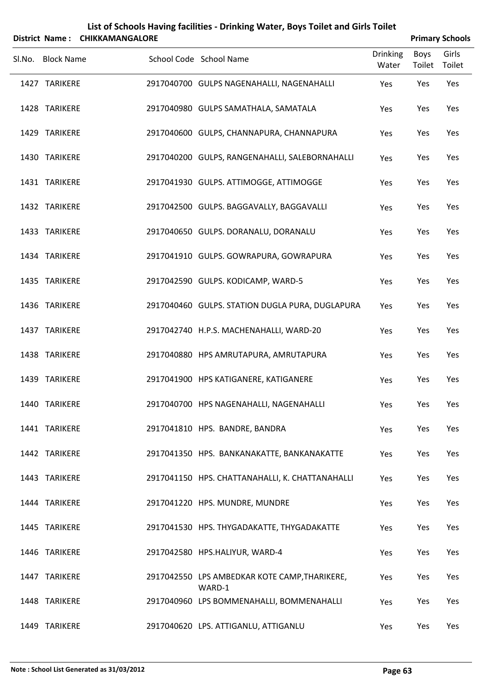| List of Schools Having facilities - Drinking Water, Boys Toilet and Girls Toilet<br><b>CHIKKAMANGALORE</b><br><b>Primary Schools</b><br>District Name: |                   |  |                                                         |                 |        |        |  |
|--------------------------------------------------------------------------------------------------------------------------------------------------------|-------------------|--|---------------------------------------------------------|-----------------|--------|--------|--|
|                                                                                                                                                        |                   |  |                                                         | <b>Drinking</b> | Boys   | Girls  |  |
|                                                                                                                                                        | Sl.No. Block Name |  | School Code School Name                                 | Water           | Toilet | Toilet |  |
|                                                                                                                                                        | 1427 TARIKERE     |  | 2917040700 GULPS NAGENAHALLI, NAGENAHALLI               | Yes             | Yes    | Yes    |  |
|                                                                                                                                                        | 1428 TARIKERE     |  | 2917040980 GULPS SAMATHALA, SAMATALA                    | Yes             | Yes    | Yes    |  |
|                                                                                                                                                        | 1429 TARIKERE     |  | 2917040600 GULPS, CHANNAPURA, CHANNAPURA                | Yes             | Yes    | Yes    |  |
|                                                                                                                                                        | 1430 TARIKERE     |  | 2917040200 GULPS, RANGENAHALLI, SALEBORNAHALLI          | Yes             | Yes    | Yes    |  |
|                                                                                                                                                        | 1431 TARIKERE     |  | 2917041930 GULPS. ATTIMOGGE, ATTIMOGGE                  | Yes             | Yes    | Yes    |  |
|                                                                                                                                                        | 1432 TARIKERE     |  | 2917042500 GULPS. BAGGAVALLY, BAGGAVALLI                | Yes             | Yes    | Yes    |  |
|                                                                                                                                                        | 1433 TARIKERE     |  | 2917040650 GULPS. DORANALU, DORANALU                    | Yes             | Yes    | Yes    |  |
|                                                                                                                                                        | 1434 TARIKERE     |  | 2917041910 GULPS. GOWRAPURA, GOWRAPURA                  | Yes             | Yes    | Yes    |  |
|                                                                                                                                                        | 1435 TARIKERE     |  | 2917042590 GULPS. KODICAMP, WARD-5                      | Yes             | Yes    | Yes    |  |
|                                                                                                                                                        | 1436 TARIKERE     |  | 2917040460 GULPS. STATION DUGLA PURA, DUGLAPURA         | Yes             | Yes    | Yes    |  |
|                                                                                                                                                        | 1437 TARIKERE     |  | 2917042740 H.P.S. MACHENAHALLI, WARD-20                 | Yes             | Yes    | Yes    |  |
|                                                                                                                                                        | 1438 TARIKERE     |  | 2917040880 HPS AMRUTAPURA, AMRUTAPURA                   | Yes             | Yes    | Yes    |  |
|                                                                                                                                                        | 1439 TARIKERE     |  | 2917041900 HPS KATIGANERE, KATIGANERE                   | Yes             | Yes    | Yes    |  |
|                                                                                                                                                        | 1440 TARIKERE     |  | 2917040700 HPS NAGENAHALLI, NAGENAHALLI                 | Yes             | Yes    | Yes    |  |
|                                                                                                                                                        | 1441 TARIKERE     |  | 2917041810 HPS. BANDRE, BANDRA                          | Yes             | Yes    | Yes    |  |
|                                                                                                                                                        | 1442 TARIKERE     |  | 2917041350 HPS. BANKANAKATTE, BANKANAKATTE              | Yes             | Yes    | Yes    |  |
|                                                                                                                                                        | 1443 TARIKERE     |  | 2917041150 HPS. CHATTANAHALLI, K. CHATTANAHALLI         | Yes             | Yes    | Yes    |  |
|                                                                                                                                                        | 1444 TARIKERE     |  | 2917041220 HPS. MUNDRE, MUNDRE                          | Yes             | Yes    | Yes    |  |
|                                                                                                                                                        | 1445 TARIKERE     |  | 2917041530 HPS. THYGADAKATTE, THYGADAKATTE              | Yes             | Yes    | Yes    |  |
|                                                                                                                                                        | 1446 TARIKERE     |  | 2917042580 HPS.HALIYUR, WARD-4                          | Yes             | Yes    | Yes    |  |
|                                                                                                                                                        | 1447 TARIKERE     |  | 2917042550 LPS AMBEDKAR KOTE CAMP, THARIKERE,<br>WARD-1 | Yes             | Yes    | Yes    |  |
|                                                                                                                                                        | 1448 TARIKERE     |  | 2917040960 LPS BOMMENAHALLI, BOMMENAHALLI               | Yes             | Yes    | Yes    |  |
|                                                                                                                                                        | 1449 TARIKERE     |  | 2917040620 LPS. ATTIGANLU, ATTIGANLU                    | Yes             | Yes    | Yes    |  |